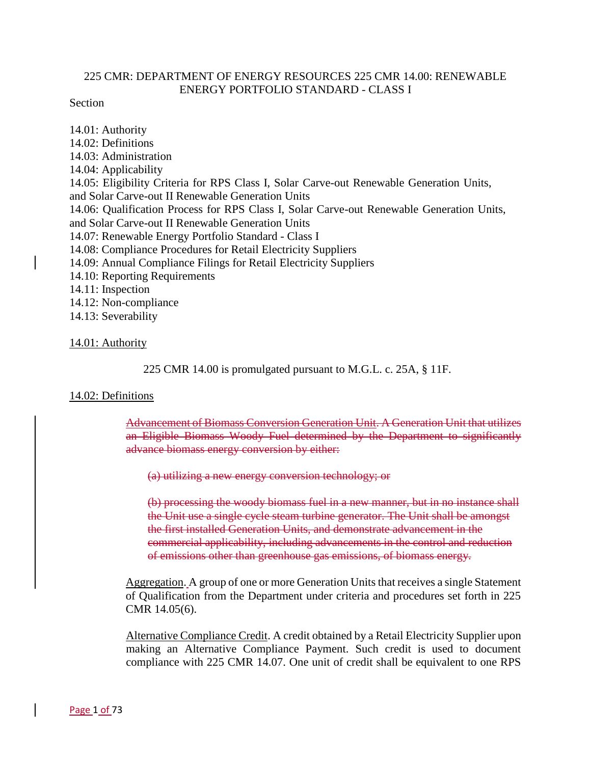## 225 CMR: DEPARTMENT OF ENERGY RESOURCES 225 CMR 14.00: RENEWABLE ENERGY PORTFOLIO STANDARD - CLASS I

### Section

14.01: Authority 14.02: Definitions 14.03: Administration 14.04: Applicability 14.05: Eligibility Criteria for RPS Class I, Solar Carve-out Renewable Generation Units, and Solar Carve-out II Renewable Generation Units 14.06: Qualification Process for RPS Class I, Solar Carve-out Renewable Generation Units, and Solar Carve-out II Renewable Generation Units 14.07: Renewable Energy Portfolio Standard - Class I 14.08: Compliance Procedures for Retail Electricity Suppliers 14.09: Annual Compliance Filings for Retail Electricity Suppliers 14.10: Reporting Requirements 14.11: Inspection 14.12: Non-compliance 14.13: Severability

#### 14.01: Authority

225 CMR 14.00 is promulgated pursuant to M.G.L. c. 25A, § 11F.

### 14.02: Definitions

Advancement of Biomass Conversion Generation Unit. A Generation Unit that utilizes an Eligible Biomass Woody Fuel determined by the Department to significantly advance biomass energy conversion by either:

(a) utilizing a new energy conversion technology; or

(b) processing the woody biomass fuel in a new manner, but in no instance shall the Unit use a single cycle steam turbine generator. The Unit shall be amongst the first installed Generation Units, and demonstrate advancement in the commercial applicability, including advancements in the control and reduction of emissions other than greenhouse gas emissions, of biomass energy.

Aggregation. A group of one or more Generation Units that receives a single Statement of Qualification from the Department under criteria and procedures set forth in 225 CMR 14.05(6).

Alternative Compliance Credit. A credit obtained by a Retail Electricity Supplier upon making an Alternative Compliance Payment. Such credit is used to document compliance with 225 CMR 14.07. One unit of credit shall be equivalent to one RPS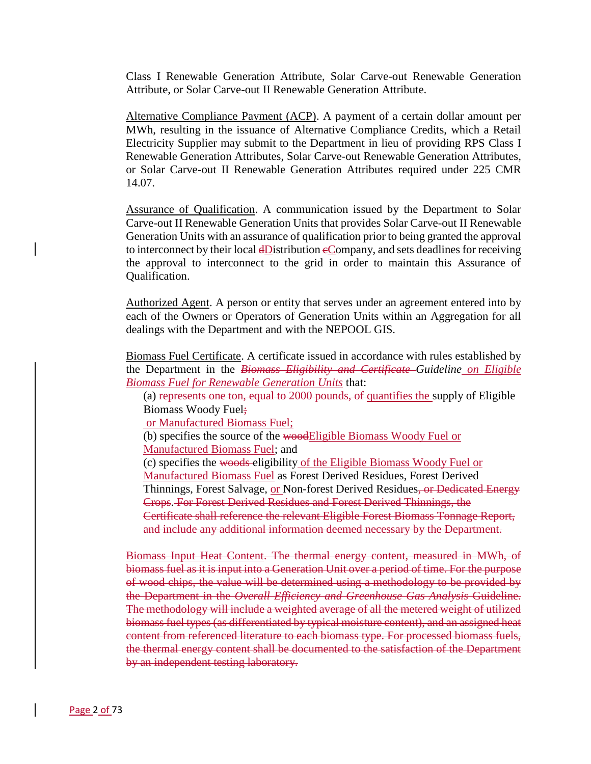Class I Renewable Generation Attribute, Solar Carve-out Renewable Generation Attribute, or Solar Carve-out II Renewable Generation Attribute.

Alternative Compliance Payment (ACP). A payment of a certain dollar amount per MWh, resulting in the issuance of Alternative Compliance Credits, which a Retail Electricity Supplier may submit to the Department in lieu of providing RPS Class I Renewable Generation Attributes, Solar Carve-out Renewable Generation Attributes, or Solar Carve-out II Renewable Generation Attributes required under 225 CMR 14.07.

Assurance of Qualification. A communication issued by the Department to Solar Carve-out II Renewable Generation Units that provides Solar Carve-out II Renewable Generation Units with an assurance of qualification prior to being granted the approval to interconnect by their local dDistribution eCompany, and sets deadlines for receiving the approval to interconnect to the grid in order to maintain this Assurance of Qualification.

Authorized Agent. A person or entity that serves under an agreement entered into by each of the Owners or Operators of Generation Units within an Aggregation for all dealings with the Department and with the NEPOOL GIS.

Biomass Fuel Certificate. A certificate issued in accordance with rules established by the Department in the *Biomass Eligibility and Certificate Guideline on Eligible Biomass Fuel for Renewable Generation Units* that:

(a) represents one ton, equal to 2000 pounds, of quantifies the supply of Eligible Biomass Woody Fuel;

or Manufactured Biomass Fuel;

(b) specifies the source of the woodEligible Biomass Woody Fuel or Manufactured Biomass Fuel; and

(c) specifies the woods eligibility of the Eligible Biomass Woody Fuel or

Manufactured Biomass Fuel as Forest Derived Residues, Forest Derived Thinnings, Forest Salvage, or Non-forest Derived Residues, or Dedicated Energy Crops. For Forest Derived Residues and Forest Derived Thinnings, the Certificate shall reference the relevant Eligible Forest Biomass Tonnage Report, and include any additional information deemed necessary by the Department.

Biomass Input Heat Content. The thermal energy content, measured in MWh, of biomass fuel as it is input into a Generation Unit over a period of time. For the purpose of wood chips, the value will be determined using a methodology to be provided by the Department in the *Overall Efficiency and Greenhouse Gas Analysis* Guideline. The methodology will include a weighted average of all the metered weight of utilized biomass fuel types (as differentiated by typical moisture content), and an assigned heat content from referenced literature to each biomass type. For processed biomass fuels, the thermal energy content shall be documented to the satisfaction of the Department by an independent testing laboratory.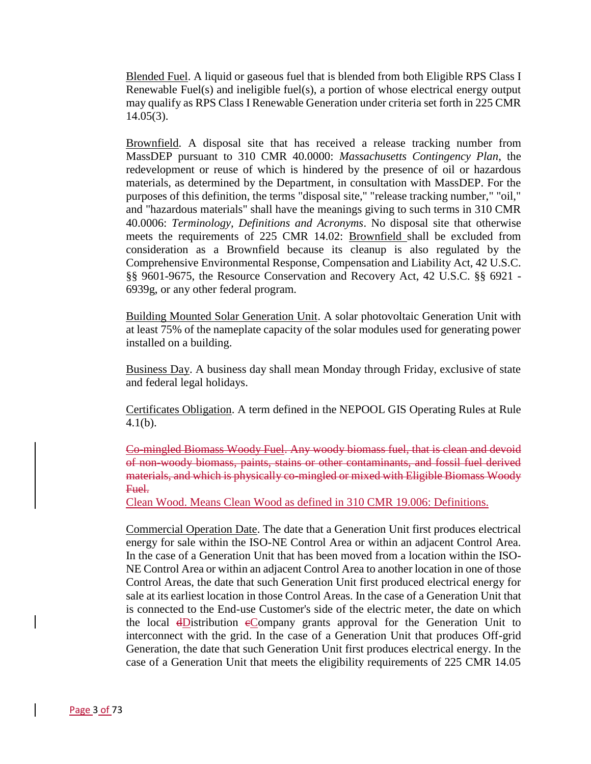Blended Fuel. A liquid or gaseous fuel that is blended from both Eligible RPS Class I Renewable Fuel(s) and ineligible fuel(s), a portion of whose electrical energy output may qualify as RPS Class I Renewable Generation under criteria set forth in 225 CMR 14.05(3).

Brownfield. A disposal site that has received a release tracking number from MassDEP pursuant to 310 CMR 40.0000: *Massachusetts Contingency Plan*, the redevelopment or reuse of which is hindered by the presence of oil or hazardous materials, as determined by the Department, in consultation with MassDEP. For the purposes of this definition, the terms "disposal site," "release tracking number," "oil," and "hazardous materials" shall have the meanings giving to such terms in 310 CMR 40.0006: *Terminology, Definitions and Acronyms*. No disposal site that otherwise meets the requirements of 225 CMR 14.02: Brownfield shall be excluded from consideration as a Brownfield because its cleanup is also regulated by the Comprehensive Environmental Response, Compensation and Liability Act, 42 U.S.C. §§ 9601-9675, the Resource Conservation and Recovery Act, 42 U.S.C. §§ 6921 - 6939g, or any other federal program.

Building Mounted Solar Generation Unit. A solar photovoltaic Generation Unit with at least 75% of the nameplate capacity of the solar modules used for generating power installed on a building.

Business Day. A business day shall mean Monday through Friday, exclusive of state and federal legal holidays.

Certificates Obligation. A term defined in the NEPOOL GIS Operating Rules at Rule 4.1(b).

Co-mingled Biomass Woody Fuel. Any woody biomass fuel, that is clean and devoid of non-woody biomass, paints, stains or other contaminants, and fossil fuel derived materials, and which is physically co-mingled or mixed with Eligible Biomass Woody Fuel.

Clean Wood. Means Clean Wood as defined in 310 CMR 19.006: Definitions.

Commercial Operation Date. The date that a Generation Unit first produces electrical energy for sale within the ISO-NE Control Area or within an adjacent Control Area. In the case of a Generation Unit that has been moved from a location within the ISO-NE Control Area or within an adjacent Control Area to another location in one of those Control Areas, the date that such Generation Unit first produced electrical energy for sale at its earliest location in those Control Areas. In the case of a Generation Unit that is connected to the End-use Customer's side of the electric meter, the date on which the local dDistribution eCompany grants approval for the Generation Unit to interconnect with the grid. In the case of a Generation Unit that produces Off-grid Generation, the date that such Generation Unit first produces electrical energy. In the case of a Generation Unit that meets the eligibility requirements of 225 CMR 14.05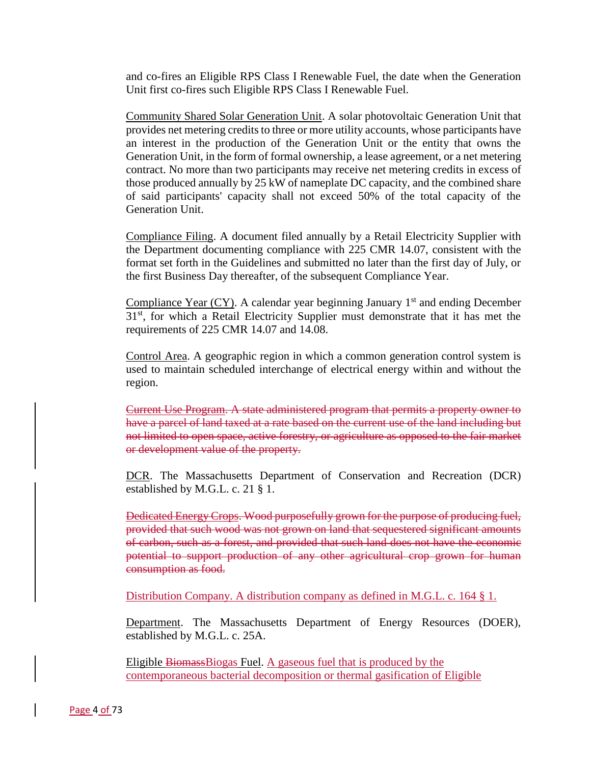and co-fires an Eligible RPS Class I Renewable Fuel, the date when the Generation Unit first co-fires such Eligible RPS Class I Renewable Fuel.

Community Shared Solar Generation Unit. A solar photovoltaic Generation Unit that provides net metering credits to three or more utility accounts, whose participants have an interest in the production of the Generation Unit or the entity that owns the Generation Unit, in the form of formal ownership, a lease agreement, or a net metering contract. No more than two participants may receive net metering credits in excess of those produced annually by 25 kW of nameplate DC capacity, and the combined share of said participants' capacity shall not exceed 50% of the total capacity of the Generation Unit.

Compliance Filing. A document filed annually by a Retail Electricity Supplier with the Department documenting compliance with 225 CMR 14.07, consistent with the format set forth in the Guidelines and submitted no later than the first day of July, or the first Business Day thereafter, of the subsequent Compliance Year.

Compliance Year  $(CY)$ . A calendar year beginning January 1<sup>st</sup> and ending December 31<sup>st</sup>, for which a Retail Electricity Supplier must demonstrate that it has met the requirements of 225 CMR 14.07 and 14.08.

Control Area. A geographic region in which a common generation control system is used to maintain scheduled interchange of electrical energy within and without the region.

Current Use Program. A state administered program that permits a property owner to have a parcel of land taxed at a rate based on the current use of the land including but not limited to open space, active forestry, or agriculture as opposed to the fair market or development value of the property.

DCR. The Massachusetts Department of Conservation and Recreation (DCR) established by M.G.L. c. 21 § 1.

Dedicated Energy Crops. Wood purposefully grown for the purpose of producing fuel, provided that such wood was not grown on land that sequestered significant amounts of carbon, such as a forest, and provided that such land does not have the economic potential to support production of any other agricultural crop grown for human consumption as food.

Distribution Company. A distribution company as defined in M.G.L. c. 164 § 1.

Department. The Massachusetts Department of Energy Resources (DOER), established by M.G.L. c. 25A.

Eligible BiomassBiogas Fuel. A gaseous fuel that is produced by the contemporaneous bacterial decomposition or thermal gasification of Eligible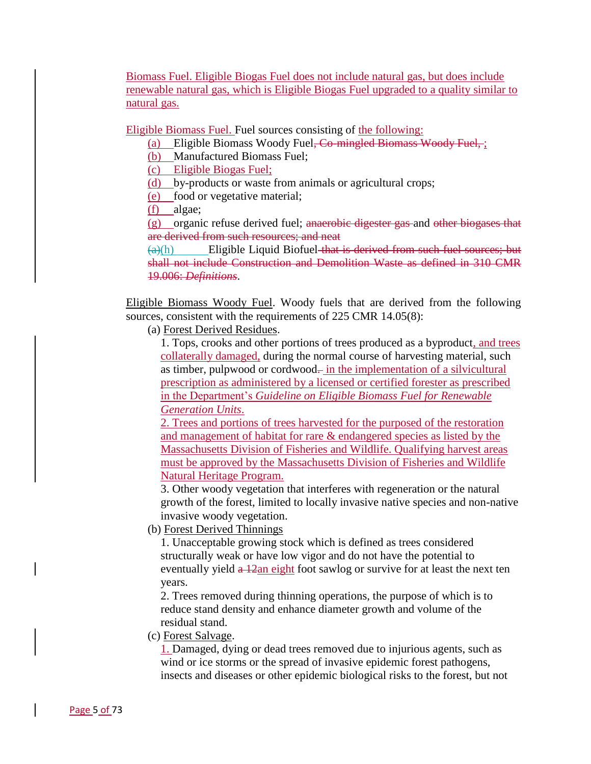Biomass Fuel. Eligible Biogas Fuel does not include natural gas, but does include renewable natural gas, which is Eligible Biogas Fuel upgraded to a quality similar to natural gas.

Eligible Biomass Fuel. Fuel sources consisting of the following:

- (a) Eligible Biomass Woody Fuel<del>, Co-mingled Biomass Woody Fuel,</del>;
- (b) Manufactured Biomass Fuel;

(c) Eligible Biogas Fuel;

- (d) by-products or waste from animals or agricultural crops;
- (e) food or vegetative material;
- (f) algae;

(g) organic refuse derived fuel; anaerobic digester gas and other biogases that are derived from such resources; and neat

 $(a)(h)$  Eligible Liquid Biofuel that is derived from such fuel sources; but shall not include Construction and Demolition Waste as defined in 310 CMR 19.006: *Definitions*.

Eligible Biomass Woody Fuel. Woody fuels that are derived from the following sources, consistent with the requirements of 225 CMR 14.05(8):

(a) Forest Derived Residues.

1. Tops, crooks and other portions of trees produced as a byproduct, and trees collaterally damaged, during the normal course of harvesting material, such as timber, pulpwood or cordwood- in the implementation of a silvicultural prescription as administered by a licensed or certified forester as prescribed in the Department's *Guideline on Eligible Biomass Fuel for Renewable Generation Units*.

2. Trees and portions of trees harvested for the purposed of the restoration and management of habitat for rare & endangered species as listed by the Massachusetts Division of Fisheries and Wildlife. Qualifying harvest areas must be approved by the Massachusetts Division of Fisheries and Wildlife Natural Heritage Program.

3. Other woody vegetation that interferes with regeneration or the natural growth of the forest, limited to locally invasive native species and non-native invasive woody vegetation.

(b) Forest Derived Thinnings

1. Unacceptable growing stock which is defined as trees considered structurally weak or have low vigor and do not have the potential to eventually yield  $\frac{a}{2}$ an eight foot sawlog or survive for at least the next ten years.

2. Trees removed during thinning operations, the purpose of which is to reduce stand density and enhance diameter growth and volume of the residual stand.

(c) Forest Salvage.

1. Damaged, dying or dead trees removed due to injurious agents, such as wind or ice storms or the spread of invasive epidemic forest pathogens, insects and diseases or other epidemic biological risks to the forest, but not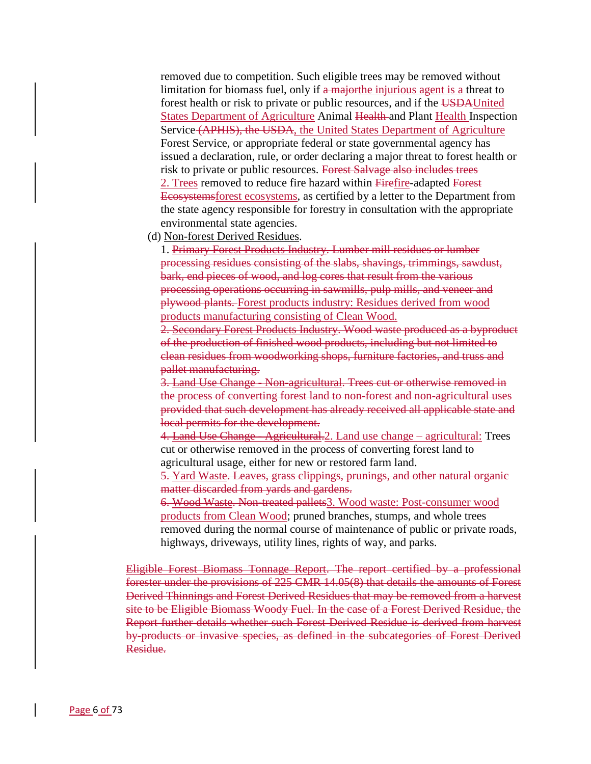removed due to competition. Such eligible trees may be removed without limitation for biomass fuel, only if a major the injurious agent is a threat to forest health or risk to private or public resources, and if the USDAUnited States Department of Agriculture Animal Health and Plant Health Inspection Service (APHIS), the USDA, the United States Department of Agriculture Forest Service, or appropriate federal or state governmental agency has issued a declaration, rule, or order declaring a major threat to forest health or risk to private or public resources. Forest Salvage also includes trees 2. Trees removed to reduce fire hazard within Firefire-adapted Forest Ecosystemsforest ecosystems, as certified by a letter to the Department from the state agency responsible for forestry in consultation with the appropriate environmental state agencies.

(d) Non-forest Derived Residues.

1. Primary Forest Products Industry. Lumber mill residues or lumber processing residues consisting of the slabs, shavings, trimmings, sawdust, bark, end pieces of wood, and log cores that result from the various processing operations occurring in sawmills, pulp mills, and veneer and plywood plants. Forest products industry: Residues derived from wood products manufacturing consisting of Clean Wood.

2. Secondary Forest Products Industry. Wood waste produced as a byproduct of the production of finished wood products, including but not limited to clean residues from woodworking shops, furniture factories, and truss and pallet manufacturing.

3. Land Use Change - Non-agricultural. Trees cut or otherwise removed in the process of converting forest land to non-forest and non-agricultural uses provided that such development has already received all applicable state and local permits for the development.

4. Land Use Change - Agricultural.2. Land use change – agricultural: Trees cut or otherwise removed in the process of converting forest land to agricultural usage, either for new or restored farm land.

5. Yard Waste. Leaves, grass clippings, prunings, and other natural organic matter discarded from yards and gardens.

6. Wood Waste. Non-treated pallets3. Wood waste: Post-consumer wood products from Clean Wood; pruned branches, stumps, and whole trees removed during the normal course of maintenance of public or private roads, highways, driveways, utility lines, rights of way, and parks.

Eligible Forest Biomass Tonnage Report. The report certified by a professional forester under the provisions of 225 CMR 14.05(8) that details the amounts of Forest Derived Thinnings and Forest Derived Residues that may be removed from a harvest site to be Eligible Biomass Woody Fuel. In the case of a Forest Derived Residue, the Report further details whether such Forest Derived Residue is derived from harvest by-products or invasive species, as defined in the subcategories of Forest Derived Residue.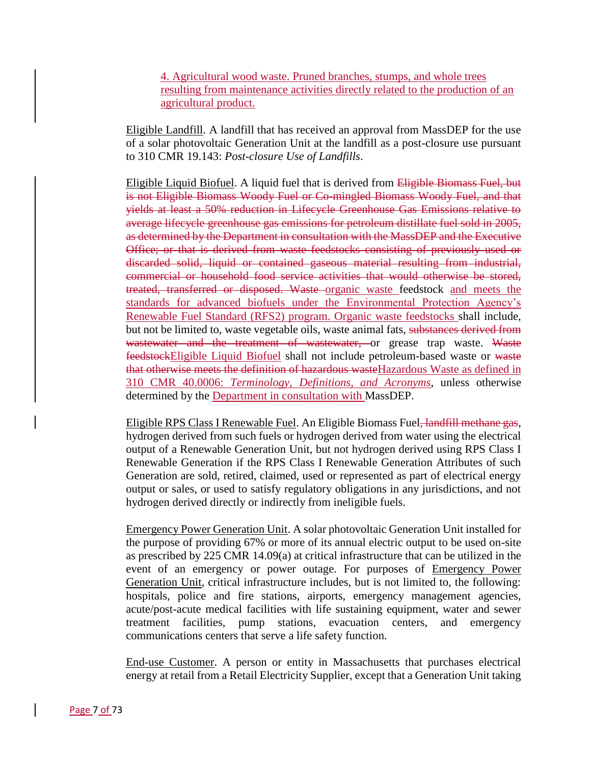4. Agricultural wood waste. Pruned branches, stumps, and whole trees resulting from maintenance activities directly related to the production of an agricultural product.

Eligible Landfill. A landfill that has received an approval from MassDEP for the use of a solar photovoltaic Generation Unit at the landfill as a post-closure use pursuant to 310 CMR 19.143: *Post-closure Use of Landfills*.

Eligible Liquid Biofuel. A liquid fuel that is derived from Eligible Biomass Fuel, but is not Eligible Biomass Woody Fuel or Co-mingled Biomass Woody Fuel, and that yields at least a 50% reduction in Lifecycle Greenhouse Gas Emissions relative to average lifecycle greenhouse gas emissions for petroleum distillate fuel sold in 2005, as determined by the Department in consultation with the MassDEP and the Executive Office; or that is derived from waste feedstocks consisting of previously used or discarded solid, liquid or contained gaseous material resulting from industrial, commercial or household food service activities that would otherwise be stored, treated, transferred or disposed. Waste organic waste feedstock and meets the standards for advanced biofuels under the Environmental Protection Agency's Renewable Fuel Standard (RFS2) program. Organic waste feedstocks shall include, but not be limited to, waste vegetable oils, waste animal fats, substances derived from wastewater and the treatment of wastewater, or grease trap waste. Waste feedstockEligible Liquid Biofuel shall not include petroleum-based waste or waste that otherwise meets the definition of hazardous wasteHazardous Waste as defined in 310 CMR 40.0006: *Terminology, Definitions, and Acronyms*, unless otherwise determined by the Department in consultation with MassDEP.

Eligible RPS Class I Renewable Fuel. An Eligible Biomass Fuel, landfill methane gas, hydrogen derived from such fuels or hydrogen derived from water using the electrical output of a Renewable Generation Unit, but not hydrogen derived using RPS Class I Renewable Generation if the RPS Class I Renewable Generation Attributes of such Generation are sold, retired, claimed, used or represented as part of electrical energy output or sales, or used to satisfy regulatory obligations in any jurisdictions, and not hydrogen derived directly or indirectly from ineligible fuels.

Emergency Power Generation Unit. A solar photovoltaic Generation Unit installed for the purpose of providing 67% or more of its annual electric output to be used on-site as prescribed by 225 CMR 14.09(a) at critical infrastructure that can be utilized in the event of an emergency or power outage. For purposes of Emergency Power Generation Unit, critical infrastructure includes, but is not limited to, the following: hospitals, police and fire stations, airports, emergency management agencies, acute/post-acute medical facilities with life sustaining equipment, water and sewer treatment facilities, pump stations, evacuation centers, and emergency communications centers that serve a life safety function.

End-use Customer. A person or entity in Massachusetts that purchases electrical energy at retail from a Retail Electricity Supplier, except that a Generation Unit taking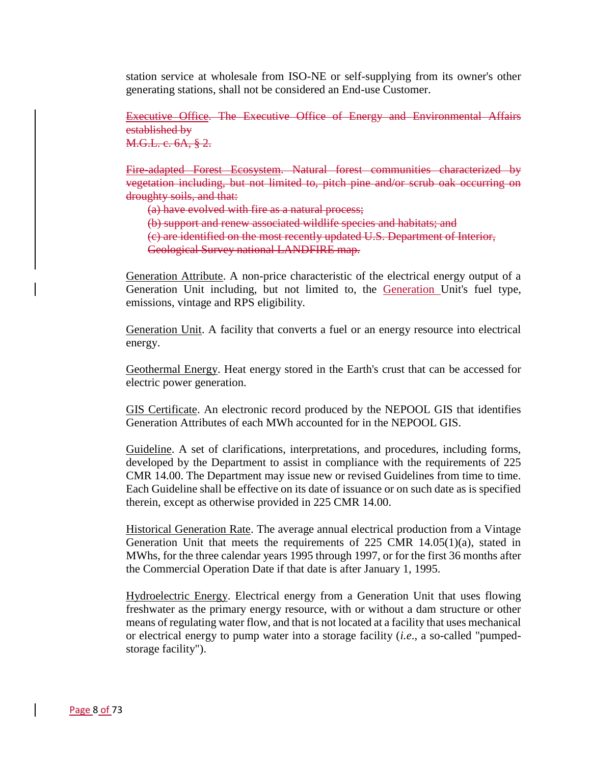station service at wholesale from ISO-NE or self-supplying from its owner's other generating stations, shall not be considered an End-use Customer.

Executive Office. The Executive Office of Energy and Environmental Affairs established by M.G.L. c. 6A, § 2.

Fire-adapted Forest Ecosystem. Natural forest communities characterized by vegetation including, but not limited to, pitch pine and/or scrub oak occurring on droughty soils, and that:

(a) have evolved with fire as a natural process;

(b) support and renew associated wildlife species and habitats; and

(c) are identified on the most recently updated U.S. Department of Interior,

Geological Survey national LANDFIRE map.

Generation Attribute. A non-price characteristic of the electrical energy output of a Generation Unit including, but not limited to, the Generation Unit's fuel type, emissions, vintage and RPS eligibility.

Generation Unit. A facility that converts a fuel or an energy resource into electrical energy.

Geothermal Energy. Heat energy stored in the Earth's crust that can be accessed for electric power generation.

GIS Certificate. An electronic record produced by the NEPOOL GIS that identifies Generation Attributes of each MWh accounted for in the NEPOOL GIS.

Guideline. A set of clarifications, interpretations, and procedures, including forms, developed by the Department to assist in compliance with the requirements of 225 CMR 14.00. The Department may issue new or revised Guidelines from time to time. Each Guideline shall be effective on its date of issuance or on such date as is specified therein, except as otherwise provided in 225 CMR 14.00.

Historical Generation Rate. The average annual electrical production from a Vintage Generation Unit that meets the requirements of  $225$  CMR  $14.05(1)(a)$ , stated in MWhs, for the three calendar years 1995 through 1997, or for the first 36 months after the Commercial Operation Date if that date is after January 1, 1995.

Hydroelectric Energy. Electrical energy from a Generation Unit that uses flowing freshwater as the primary energy resource, with or without a dam structure or other means of regulating water flow, and that is not located at a facility that uses mechanical or electrical energy to pump water into a storage facility (*i.e*., a so-called "pumpedstorage facility").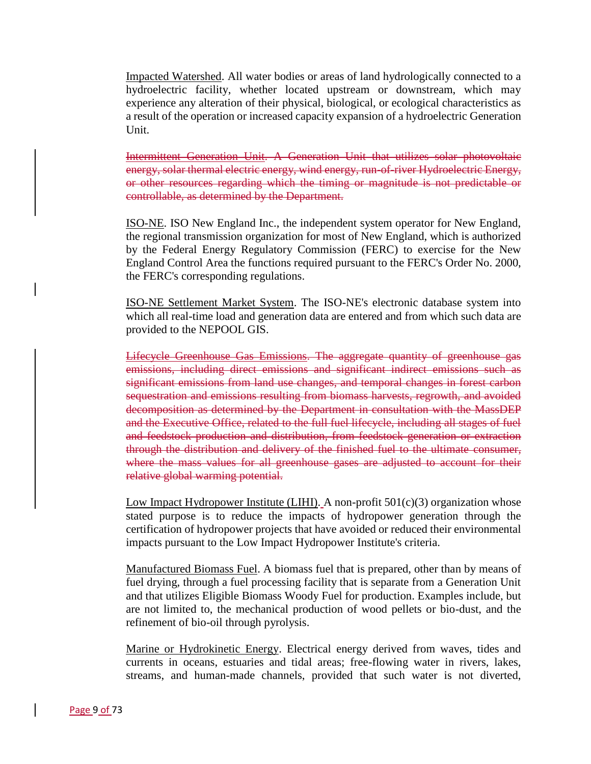Impacted Watershed. All water bodies or areas of land hydrologically connected to a hydroelectric facility, whether located upstream or downstream, which may experience any alteration of their physical, biological, or ecological characteristics as a result of the operation or increased capacity expansion of a hydroelectric Generation Unit.

Intermittent Generation Unit. A Generation Unit that utilizes solar photovoltaic energy, solar thermal electric energy, wind energy, run-of-river Hydroelectric Energy, or other resources regarding which the timing or magnitude is not predictable or controllable, as determined by the Department.

ISO-NE. ISO New England Inc., the independent system operator for New England, the regional transmission organization for most of New England, which is authorized by the Federal Energy Regulatory Commission (FERC) to exercise for the New England Control Area the functions required pursuant to the FERC's Order No. 2000, the FERC's corresponding regulations.

ISO-NE Settlement Market System. The ISO-NE's electronic database system into which all real-time load and generation data are entered and from which such data are provided to the NEPOOL GIS.

Lifecycle Greenhouse Gas Emissions. The aggregate quantity of greenhouse gas emissions, including direct emissions and significant indirect emissions such as significant emissions from land use changes, and temporal changes in forest carbon sequestration and emissions resulting from biomass harvests, regrowth, and avoided decomposition as determined by the Department in consultation with the MassDEP and the Executive Office, related to the full fuel lifecycle, including all stages of fuel and feedstock production and distribution, from feedstock generation or extraction through the distribution and delivery of the finished fuel to the ultimate consumer, where the mass values for all greenhouse gases are adjusted to account for their relative global warming potential.

Low Impact Hydropower Institute (LIHI). A non-profit  $501(c)(3)$  organization whose stated purpose is to reduce the impacts of hydropower generation through the certification of hydropower projects that have avoided or reduced their environmental impacts pursuant to the Low Impact Hydropower Institute's criteria.

Manufactured Biomass Fuel. A biomass fuel that is prepared, other than by means of fuel drying, through a fuel processing facility that is separate from a Generation Unit and that utilizes Eligible Biomass Woody Fuel for production. Examples include, but are not limited to, the mechanical production of wood pellets or bio-dust, and the refinement of bio-oil through pyrolysis.

Marine or Hydrokinetic Energy. Electrical energy derived from waves, tides and currents in oceans, estuaries and tidal areas; free-flowing water in rivers, lakes, streams, and human-made channels, provided that such water is not diverted,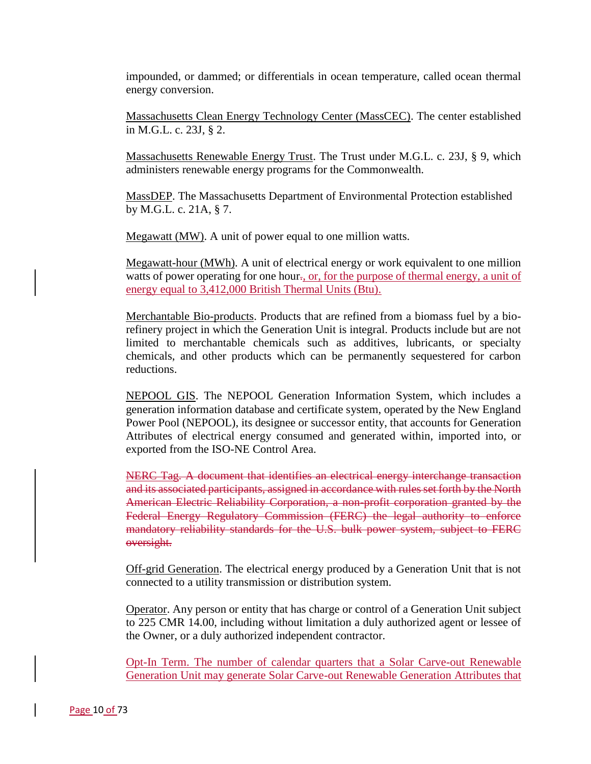impounded, or dammed; or differentials in ocean temperature, called ocean thermal energy conversion.

Massachusetts Clean Energy Technology Center (MassCEC). The center established in M.G.L. c. 23J, § 2.

Massachusetts Renewable Energy Trust. The Trust under M.G.L. c. 23J, § 9, which administers renewable energy programs for the Commonwealth.

MassDEP. The Massachusetts Department of Environmental Protection established by M.G.L. c. 21A, § 7.

Megawatt (MW). A unit of power equal to one million watts.

Megawatt-hour (MWh). A unit of electrical energy or work equivalent to one million watts of power operating for one hour., or, for the purpose of thermal energy, a unit of energy equal to 3,412,000 British Thermal Units (Btu).

Merchantable Bio-products. Products that are refined from a biomass fuel by a biorefinery project in which the Generation Unit is integral. Products include but are not limited to merchantable chemicals such as additives, lubricants, or specialty chemicals, and other products which can be permanently sequestered for carbon reductions.

NEPOOL GIS. The NEPOOL Generation Information System, which includes a generation information database and certificate system, operated by the New England Power Pool (NEPOOL), its designee or successor entity, that accounts for Generation Attributes of electrical energy consumed and generated within, imported into, or exported from the ISO-NE Control Area.

NERC Tag. A document that identifies an electrical energy interchange transaction and its associated participants, assigned in accordance with rules set forth by the North American Electric Reliability Corporation, a non-profit corporation granted by the Federal Energy Regulatory Commission (FERC) the legal authority to enforce mandatory reliability standards for the U.S. bulk power system, subject to FERC oversight.

Off-grid Generation. The electrical energy produced by a Generation Unit that is not connected to a utility transmission or distribution system.

Operator. Any person or entity that has charge or control of a Generation Unit subject to 225 CMR 14.00, including without limitation a duly authorized agent or lessee of the Owner, or a duly authorized independent contractor.

Opt-In Term. The number of calendar quarters that a Solar Carve-out Renewable Generation Unit may generate Solar Carve-out Renewable Generation Attributes that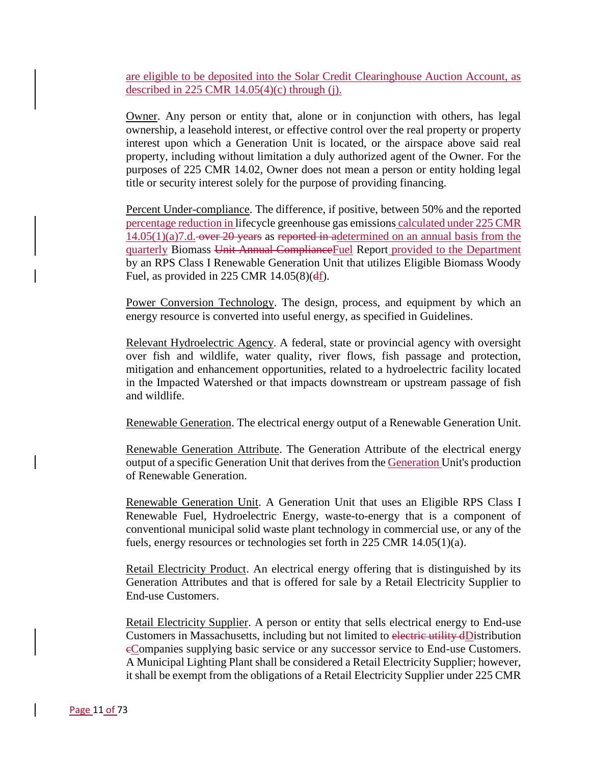are eligible to be deposited into the Solar Credit Clearinghouse Auction Account, as described in 225 CMR  $14.05(4)(c)$  through (j).

Owner. Any person or entity that, alone or in conjunction with others, has legal ownership, a leasehold interest, or effective control over the real property or property interest upon which a Generation Unit is located, or the airspace above said real property, including without limitation a duly authorized agent of the Owner. For the purposes of 225 CMR 14.02, Owner does not mean a person or entity holding legal title or security interest solely for the purpose of providing financing.

Percent Under-compliance. The difference, if positive, between 50% and the reported percentage reduction in lifecycle greenhouse gas emissions calculated under 225 CMR  $14.05(1)(a)7.d.$  over 20 years as reported in adetermined on an annual basis from the quarterly Biomass Unit Annual ComplianceFuel Report provided to the Department by an RPS Class I Renewable Generation Unit that utilizes Eligible Biomass Woody Fuel, as provided in 225 CMR  $14.05(8)(df)$ .

Power Conversion Technology. The design, process, and equipment by which an energy resource is converted into useful energy, as specified in Guidelines.

Relevant Hydroelectric Agency. A federal, state or provincial agency with oversight over fish and wildlife, water quality, river flows, fish passage and protection, mitigation and enhancement opportunities, related to a hydroelectric facility located in the Impacted Watershed or that impacts downstream or upstream passage of fish and wildlife.

Renewable Generation. The electrical energy output of a Renewable Generation Unit.

Renewable Generation Attribute. The Generation Attribute of the electrical energy output of a specific Generation Unit that derives from the Generation Unit's production of Renewable Generation.

Renewable Generation Unit. A Generation Unit that uses an Eligible RPS Class I Renewable Fuel, Hydroelectric Energy, waste-to-energy that is a component of conventional municipal solid waste plant technology in commercial use, or any of the fuels, energy resources or technologies set forth in 225 CMR 14.05(1)(a).

Retail Electricity Product. An electrical energy offering that is distinguished by its Generation Attributes and that is offered for sale by a Retail Electricity Supplier to End-use Customers.

Retail Electricity Supplier. A person or entity that sells electrical energy to End-use Customers in Massachusetts, including but not limited to electric utility dDistribution eCompanies supplying basic service or any successor service to End-use Customers. A Municipal Lighting Plant shall be considered a Retail Electricity Supplier; however, it shall be exempt from the obligations of a Retail Electricity Supplier under 225 CMR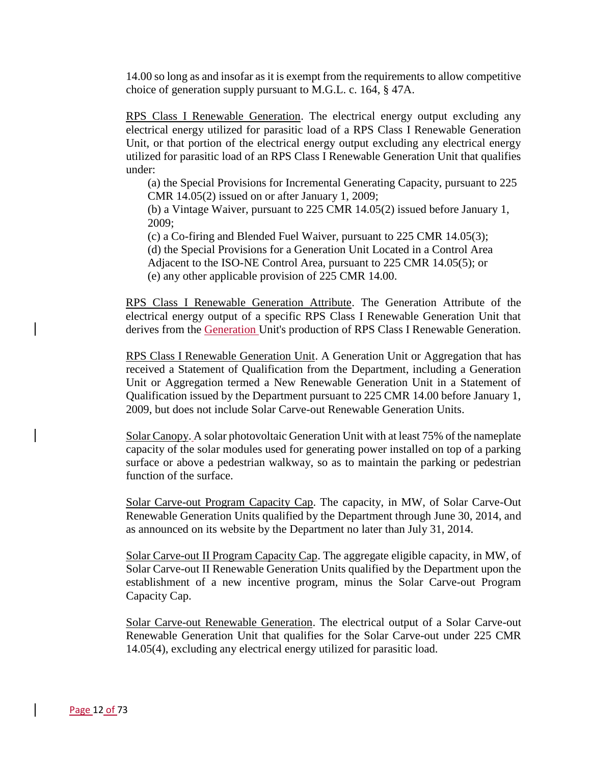14.00 so long as and insofar as it is exempt from the requirements to allow competitive choice of generation supply pursuant to M.G.L. c. 164, § 47A.

RPS Class I Renewable Generation. The electrical energy output excluding any electrical energy utilized for parasitic load of a RPS Class I Renewable Generation Unit, or that portion of the electrical energy output excluding any electrical energy utilized for parasitic load of an RPS Class I Renewable Generation Unit that qualifies under:

(a) the Special Provisions for Incremental Generating Capacity, pursuant to 225 CMR 14.05(2) issued on or after January 1, 2009;

(b) a Vintage Waiver, pursuant to 225 CMR 14.05(2) issued before January 1, 2009;

(c) a Co-firing and Blended Fuel Waiver, pursuant to 225 CMR 14.05(3);

(d) the Special Provisions for a Generation Unit Located in a Control Area Adjacent to the ISO-NE Control Area, pursuant to 225 CMR 14.05(5); or

(e) any other applicable provision of 225 CMR 14.00.

RPS Class I Renewable Generation Attribute. The Generation Attribute of the electrical energy output of a specific RPS Class I Renewable Generation Unit that derives from the Generation Unit's production of RPS Class I Renewable Generation.

RPS Class I Renewable Generation Unit. A Generation Unit or Aggregation that has received a Statement of Qualification from the Department, including a Generation Unit or Aggregation termed a New Renewable Generation Unit in a Statement of Qualification issued by the Department pursuant to 225 CMR 14.00 before January 1, 2009, but does not include Solar Carve-out Renewable Generation Units.

Solar Canopy. A solar photovoltaic Generation Unit with at least 75% of the nameplate capacity of the solar modules used for generating power installed on top of a parking surface or above a pedestrian walkway, so as to maintain the parking or pedestrian function of the surface.

Solar Carve-out Program Capacity Cap. The capacity, in MW, of Solar Carve-Out Renewable Generation Units qualified by the Department through June 30, 2014, and as announced on its website by the Department no later than July 31, 2014.

Solar Carve-out II Program Capacity Cap. The aggregate eligible capacity, in MW, of Solar Carve-out II Renewable Generation Units qualified by the Department upon the establishment of a new incentive program, minus the Solar Carve-out Program Capacity Cap.

Solar Carve-out Renewable Generation. The electrical output of a Solar Carve-out Renewable Generation Unit that qualifies for the Solar Carve-out under 225 CMR 14.05(4), excluding any electrical energy utilized for parasitic load.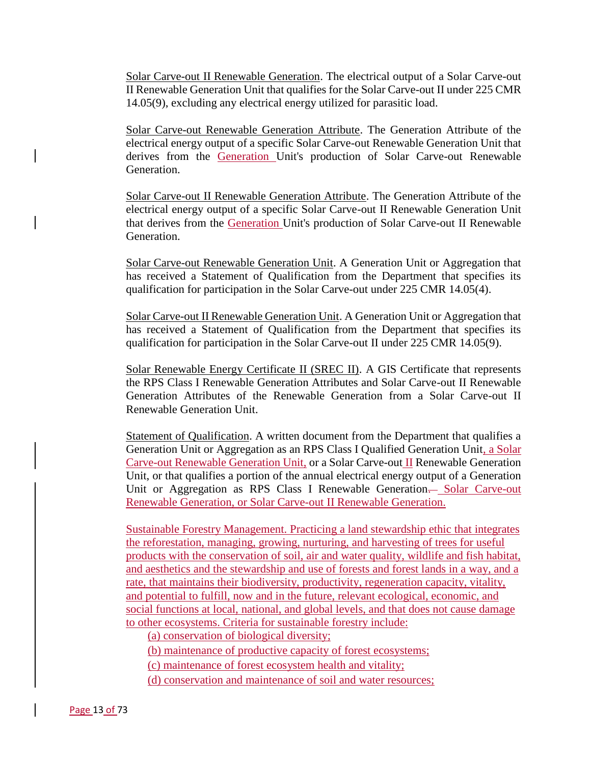Solar Carve-out II Renewable Generation. The electrical output of a Solar Carve-out II Renewable Generation Unit that qualifies for the Solar Carve-out II under 225 CMR 14.05(9), excluding any electrical energy utilized for parasitic load.

Solar Carve-out Renewable Generation Attribute. The Generation Attribute of the electrical energy output of a specific Solar Carve-out Renewable Generation Unit that derives from the Generation Unit's production of Solar Carve-out Renewable Generation.

Solar Carve-out II Renewable Generation Attribute. The Generation Attribute of the electrical energy output of a specific Solar Carve-out II Renewable Generation Unit that derives from the Generation Unit's production of Solar Carve-out II Renewable Generation.

Solar Carve-out Renewable Generation Unit. A Generation Unit or Aggregation that has received a Statement of Qualification from the Department that specifies its qualification for participation in the Solar Carve-out under 225 CMR 14.05(4).

Solar Carve-out II Renewable Generation Unit. A Generation Unit or Aggregation that has received a Statement of Qualification from the Department that specifies its qualification for participation in the Solar Carve-out II under 225 CMR 14.05(9).

Solar Renewable Energy Certificate II (SREC II). A GIS Certificate that represents the RPS Class I Renewable Generation Attributes and Solar Carve-out II Renewable Generation Attributes of the Renewable Generation from a Solar Carve-out II Renewable Generation Unit.

Statement of Qualification. A written document from the Department that qualifies a Generation Unit or Aggregation as an RPS Class I Qualified Generation Unit, a Solar Carve-out Renewable Generation Unit, or a Solar Carve-out II Renewable Generation Unit, or that qualifies a portion of the annual electrical energy output of a Generation Unit or Aggregation as RPS Class I Renewable Generation— Solar Carve-out Renewable Generation, or Solar Carve-out II Renewable Generation.

Sustainable Forestry Management. Practicing a land stewardship ethic that integrates the reforestation, managing, growing, nurturing, and harvesting of trees for useful products with the conservation of soil, air and water quality, wildlife and fish habitat, and aesthetics and the stewardship and use of forests and forest lands in a way, and a rate, that maintains their biodiversity, productivity, regeneration capacity, vitality, and potential to fulfill, now and in the future, relevant ecological, economic, and social functions at local, national, and global levels, and that does not cause damage to other ecosystems. Criteria for sustainable forestry include:

(a) conservation of biological diversity;

(b) maintenance of productive capacity of forest ecosystems;

(c) maintenance of forest ecosystem health and vitality;

(d) conservation and maintenance of soil and water resources;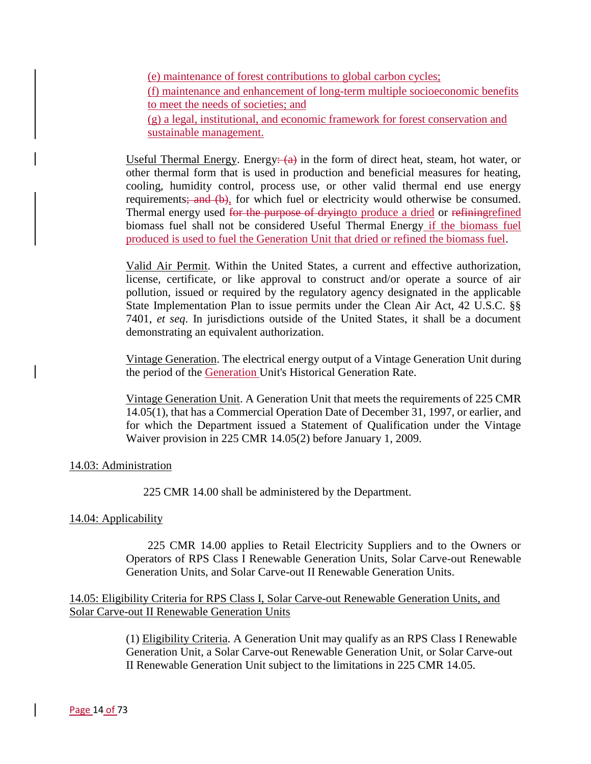(e) maintenance of forest contributions to global carbon cycles; (f) maintenance and enhancement of long-term multiple socioeconomic benefits to meet the needs of societies; and (g) a legal, institutional, and economic framework for forest conservation and sustainable management.

Useful Thermal Energy. Energy:  $(a)$  in the form of direct heat, steam, hot water, or other thermal form that is used in production and beneficial measures for heating, cooling, humidity control, process use, or other valid thermal end use energy requirements; and (b), for which fuel or electricity would otherwise be consumed. Thermal energy used for the purpose of dryingto produce a dried or refining refined biomass fuel shall not be considered Useful Thermal Energy if the biomass fuel produced is used to fuel the Generation Unit that dried or refined the biomass fuel.

Valid Air Permit. Within the United States, a current and effective authorization, license, certificate, or like approval to construct and/or operate a source of air pollution, issued or required by the regulatory agency designated in the applicable State Implementation Plan to issue permits under the Clean Air Act, 42 U.S.C. §§ 7401, *et seq*. In jurisdictions outside of the United States, it shall be a document demonstrating an equivalent authorization.

Vintage Generation. The electrical energy output of a Vintage Generation Unit during the period of the Generation Unit's Historical Generation Rate.

Vintage Generation Unit. A Generation Unit that meets the requirements of 225 CMR 14.05(1), that has a Commercial Operation Date of December 31, 1997, or earlier, and for which the Department issued a Statement of Qualification under the Vintage Waiver provision in 225 CMR 14.05(2) before January 1, 2009.

### 14.03: Administration

225 CMR 14.00 shall be administered by the Department.

### 14.04: Applicability

225 CMR 14.00 applies to Retail Electricity Suppliers and to the Owners or Operators of RPS Class I Renewable Generation Units, Solar Carve-out Renewable Generation Units, and Solar Carve-out II Renewable Generation Units.

## 14.05: Eligibility Criteria for RPS Class I, Solar Carve-out Renewable Generation Units, and Solar Carve-out II Renewable Generation Units

(1) Eligibility Criteria. A Generation Unit may qualify as an RPS Class I Renewable Generation Unit, a Solar Carve-out Renewable Generation Unit, or Solar Carve-out II Renewable Generation Unit subject to the limitations in 225 CMR 14.05.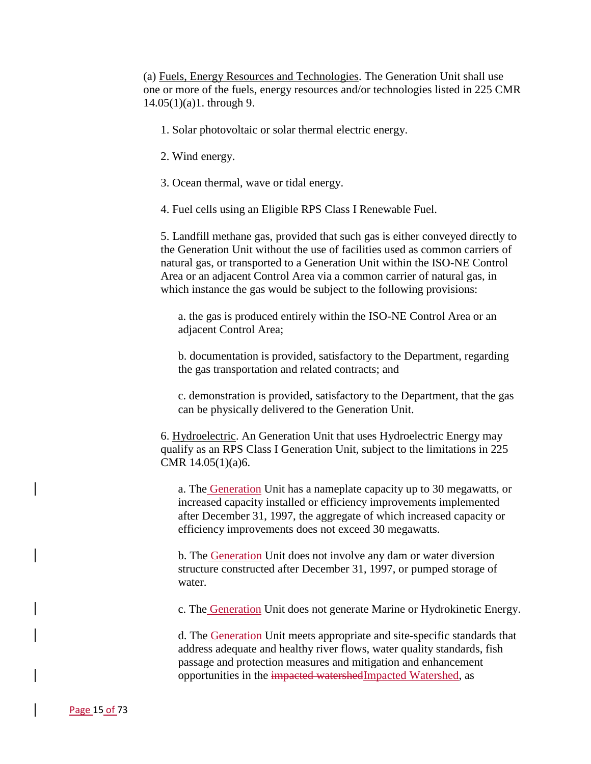(a) Fuels, Energy Resources and Technologies. The Generation Unit shall use one or more of the fuels, energy resources and/or technologies listed in 225 CMR 14.05(1)(a)1. through 9.

- 1. Solar photovoltaic or solar thermal electric energy.
- 2. Wind energy.
- 3. Ocean thermal, wave or tidal energy.
- 4. Fuel cells using an Eligible RPS Class I Renewable Fuel.

5. Landfill methane gas, provided that such gas is either conveyed directly to the Generation Unit without the use of facilities used as common carriers of natural gas, or transported to a Generation Unit within the ISO-NE Control Area or an adjacent Control Area via a common carrier of natural gas, in which instance the gas would be subject to the following provisions:

a. the gas is produced entirely within the ISO-NE Control Area or an adjacent Control Area;

b. documentation is provided, satisfactory to the Department, regarding the gas transportation and related contracts; and

c. demonstration is provided, satisfactory to the Department, that the gas can be physically delivered to the Generation Unit.

6. Hydroelectric. An Generation Unit that uses Hydroelectric Energy may qualify as an RPS Class I Generation Unit, subject to the limitations in 225 CMR 14.05(1)(a)6.

a. The Generation Unit has a nameplate capacity up to 30 megawatts, or increased capacity installed or efficiency improvements implemented after December 31, 1997, the aggregate of which increased capacity or efficiency improvements does not exceed 30 megawatts.

b. The Generation Unit does not involve any dam or water diversion structure constructed after December 31, 1997, or pumped storage of water.

c. The Generation Unit does not generate Marine or Hydrokinetic Energy.

d. The Generation Unit meets appropriate and site-specific standards that address adequate and healthy river flows, water quality standards, fish passage and protection measures and mitigation and enhancement opportunities in the impacted watershedImpacted Watershed, as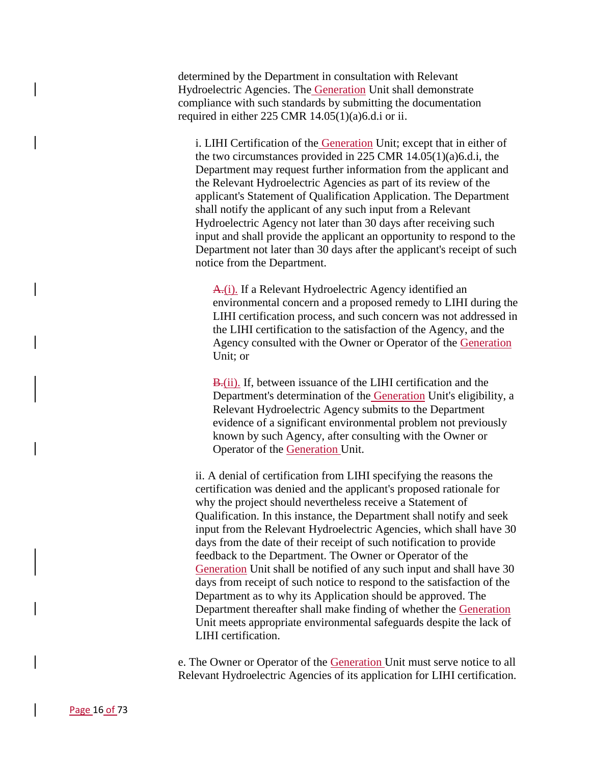determined by the Department in consultation with Relevant Hydroelectric Agencies. The Generation Unit shall demonstrate compliance with such standards by submitting the documentation required in either 225 CMR 14.05(1)(a)6.d.i or ii.

i. LIHI Certification of the Generation Unit; except that in either of the two circumstances provided in 225 CMR 14.05(1)(a)6.d.i, the Department may request further information from the applicant and the Relevant Hydroelectric Agencies as part of its review of the applicant's Statement of Qualification Application. The Department shall notify the applicant of any such input from a Relevant Hydroelectric Agency not later than 30 days after receiving such input and shall provide the applicant an opportunity to respond to the Department not later than 30 days after the applicant's receipt of such notice from the Department.

A.(i). If a Relevant Hydroelectric Agency identified an environmental concern and a proposed remedy to LIHI during the LIHI certification process, and such concern was not addressed in the LIHI certification to the satisfaction of the Agency, and the Agency consulted with the Owner or Operator of the Generation Unit; or

B<sub>r</sub>(ii). If, between issuance of the LIHI certification and the Department's determination of the Generation Unit's eligibility, a Relevant Hydroelectric Agency submits to the Department evidence of a significant environmental problem not previously known by such Agency, after consulting with the Owner or Operator of the Generation Unit.

ii. A denial of certification from LIHI specifying the reasons the certification was denied and the applicant's proposed rationale for why the project should nevertheless receive a Statement of Qualification. In this instance, the Department shall notify and seek input from the Relevant Hydroelectric Agencies, which shall have 30 days from the date of their receipt of such notification to provide feedback to the Department. The Owner or Operator of the Generation Unit shall be notified of any such input and shall have 30 days from receipt of such notice to respond to the satisfaction of the Department as to why its Application should be approved. The Department thereafter shall make finding of whether the Generation Unit meets appropriate environmental safeguards despite the lack of LIHI certification.

e. The Owner or Operator of the Generation Unit must serve notice to all Relevant Hydroelectric Agencies of its application for LIHI certification.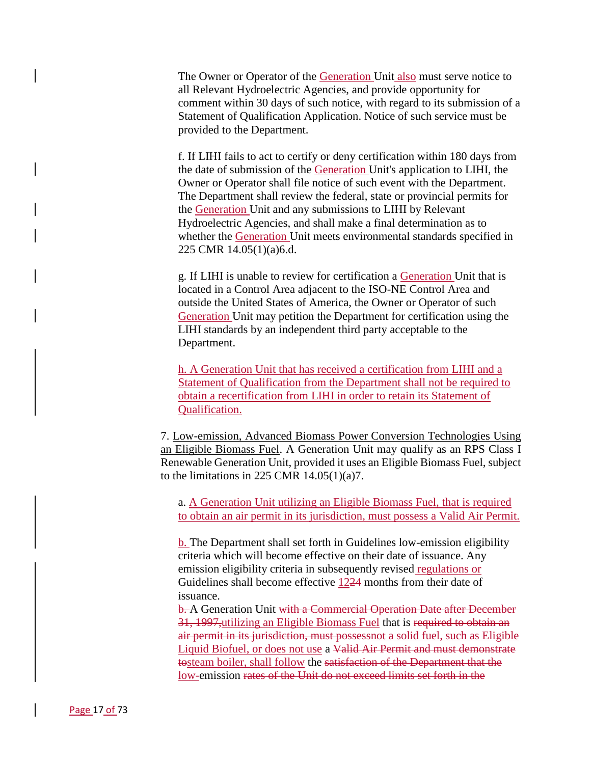The Owner or Operator of the Generation Unit also must serve notice to all Relevant Hydroelectric Agencies, and provide opportunity for comment within 30 days of such notice, with regard to its submission of a Statement of Qualification Application. Notice of such service must be provided to the Department.

f. If LIHI fails to act to certify or deny certification within 180 days from the date of submission of the Generation Unit's application to LIHI, the Owner or Operator shall file notice of such event with the Department. The Department shall review the federal, state or provincial permits for the Generation Unit and any submissions to LIHI by Relevant Hydroelectric Agencies, and shall make a final determination as to whether the Generation Unit meets environmental standards specified in 225 CMR 14.05(1)(a)6.d.

g. If LIHI is unable to review for certification a Generation Unit that is located in a Control Area adjacent to the ISO-NE Control Area and outside the United States of America, the Owner or Operator of such Generation Unit may petition the Department for certification using the LIHI standards by an independent third party acceptable to the Department.

h. A Generation Unit that has received a certification from LIHI and a Statement of Qualification from the Department shall not be required to obtain a recertification from LIHI in order to retain its Statement of Qualification.

7. Low-emission, Advanced Biomass Power Conversion Technologies Using an Eligible Biomass Fuel. A Generation Unit may qualify as an RPS Class I Renewable Generation Unit, provided it uses an Eligible Biomass Fuel, subject to the limitations in 225 CMR  $14.05(1)(a)7$ .

a. A Generation Unit utilizing an Eligible Biomass Fuel, that is required to obtain an air permit in its jurisdiction, must possess a Valid Air Permit.

b. The Department shall set forth in Guidelines low-emission eligibility criteria which will become effective on their date of issuance. Any emission eligibility criteria in subsequently revised regulations or Guidelines shall become effective 1224 months from their date of issuance.

b. A Generation Unit with a Commercial Operation Date after December 31, 1997,utilizing an Eligible Biomass Fuel that is required to obtain an air permit in its jurisdiction, must possessnot a solid fuel, such as Eligible Liquid Biofuel, or does not use a Valid Air Permit and must demonstrate tosteam boiler, shall follow the satisfaction of the Department that the low-emission rates of the Unit do not exceed limits set forth in the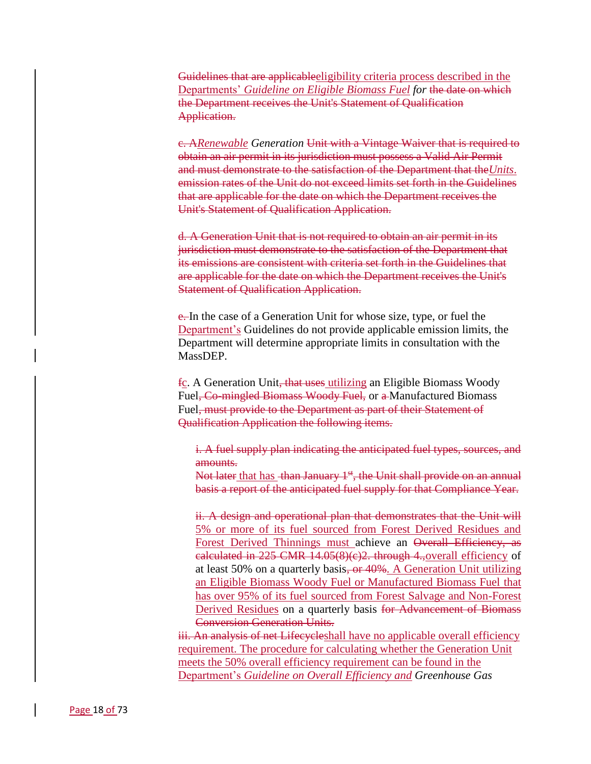Guidelines that are applicableeligibility criteria process described in the Departments' *Guideline on Eligible Biomass Fuel for* the date on which the Department receives the Unit's Statement of Qualification Application.

c. A*Renewable Generation* Unit with a Vintage Waiver that is required to obtain an air permit in its jurisdiction must possess a Valid Air Permit and must demonstrate to the satisfaction of the Department that the*Units*. emission rates of the Unit do not exceed limits set forth in the Guidelines that are applicable for the date on which the Department receives the Unit's Statement of Qualification Application.

d. A Generation Unit that is not required to obtain an air permit in its jurisdiction must demonstrate to the satisfaction of the Department that its emissions are consistent with criteria set forth in the Guidelines that are applicable for the date on which the Department receives the Unit's Statement of Qualification Application.

e. In the case of a Generation Unit for whose size, type, or fuel the Department's Guidelines do not provide applicable emission limits, the Department will determine appropriate limits in consultation with the MassDEP.

fc. A Generation Unit, that uses utilizing an Eligible Biomass Woody Fuel<del>, Co-mingled Biomass Woody Fuel,</del> or a Manufactured Biomass Fuel, must provide to the Department as part of their Statement of Qualification Application the following items.

i. A fuel supply plan indicating the anticipated fuel types, sources, and amounts.

Not later that has than January 1<sup>st</sup>, the Unit shall provide on an annual basis a report of the anticipated fuel supply for that Compliance Year.

ii. A design and operational plan that demonstrates that the Unit will 5% or more of its fuel sourced from Forest Derived Residues and Forest Derived Thinnings must achieve an Overall Efficiency, as calculated in 225 CMR 14.05(8)(c)2. through 4.,overall efficiency of at least 50% on a quarterly basis, or 40%. A Generation Unit utilizing an Eligible Biomass Woody Fuel or Manufactured Biomass Fuel that has over 95% of its fuel sourced from Forest Salvage and Non-Forest Derived Residues on a quarterly basis for Advancement of Biomass Conversion Generation Units.

iii. An analysis of net Lifecycleshall have no applicable overall efficiency requirement. The procedure for calculating whether the Generation Unit meets the 50% overall efficiency requirement can be found in the Department's *Guideline on Overall Efficiency and Greenhouse Gas*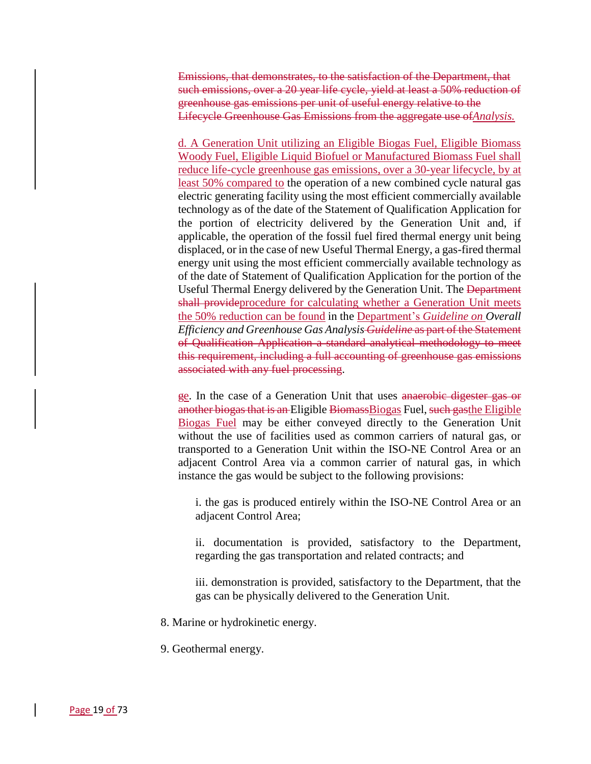Emissions, that demonstrates, to the satisfaction of the Department, that such emissions, over a 20 year life cycle, yield at least a 50% reduction of greenhouse gas emissions per unit of useful energy relative to the Lifecycle Greenhouse Gas Emissions from the aggregate use of*Analysis.*

d. A Generation Unit utilizing an Eligible Biogas Fuel, Eligible Biomass Woody Fuel, Eligible Liquid Biofuel or Manufactured Biomass Fuel shall reduce life-cycle greenhouse gas emissions, over a 30-year lifecycle, by at least 50% compared to the operation of a new combined cycle natural gas electric generating facility using the most efficient commercially available technology as of the date of the Statement of Qualification Application for the portion of electricity delivered by the Generation Unit and, if applicable, the operation of the fossil fuel fired thermal energy unit being displaced, or in the case of new Useful Thermal Energy, a gas-fired thermal energy unit using the most efficient commercially available technology as of the date of Statement of Qualification Application for the portion of the Useful Thermal Energy delivered by the Generation Unit. The Department shall provideprocedure for calculating whether a Generation Unit meets the 50% reduction can be found in the Department's *Guideline on Overall Efficiency and Greenhouse Gas Analysis Guideline* as part of the Statement of Qualification Application a standard analytical methodology to meet this requirement, including a full accounting of greenhouse gas emissions associated with any fuel processing.

ge. In the case of a Generation Unit that uses anaerobic digester gas or another biogas that is an Eligible BiomassBiogas Fuel, such gasthe Eligible Biogas Fuel may be either conveyed directly to the Generation Unit without the use of facilities used as common carriers of natural gas, or transported to a Generation Unit within the ISO-NE Control Area or an adjacent Control Area via a common carrier of natural gas, in which instance the gas would be subject to the following provisions:

i. the gas is produced entirely within the ISO-NE Control Area or an adjacent Control Area;

ii. documentation is provided, satisfactory to the Department, regarding the gas transportation and related contracts; and

iii. demonstration is provided, satisfactory to the Department, that the gas can be physically delivered to the Generation Unit.

8. Marine or hydrokinetic energy.

9. Geothermal energy.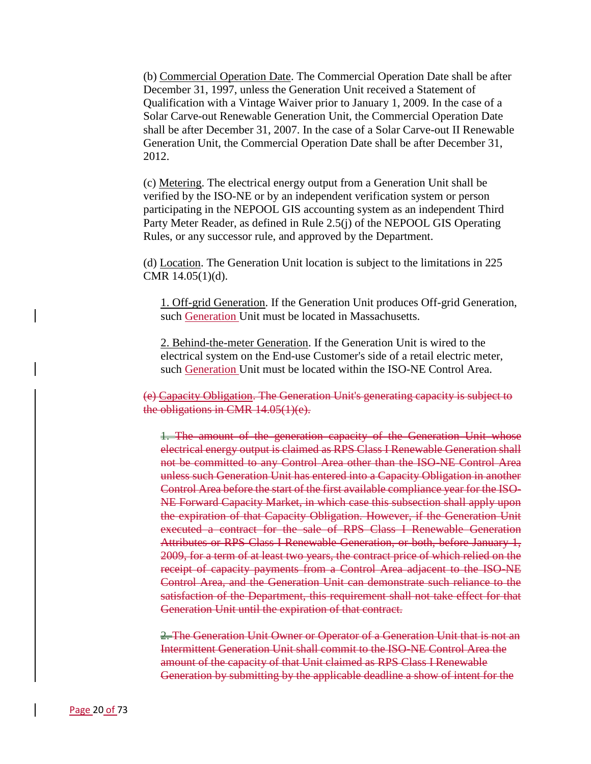(b) Commercial Operation Date. The Commercial Operation Date shall be after December 31, 1997, unless the Generation Unit received a Statement of Qualification with a Vintage Waiver prior to January 1, 2009. In the case of a Solar Carve-out Renewable Generation Unit, the Commercial Operation Date shall be after December 31, 2007. In the case of a Solar Carve-out II Renewable Generation Unit, the Commercial Operation Date shall be after December 31, 2012.

(c) Metering. The electrical energy output from a Generation Unit shall be verified by the ISO-NE or by an independent verification system or person participating in the NEPOOL GIS accounting system as an independent Third Party Meter Reader, as defined in Rule 2.5(j) of the NEPOOL GIS Operating Rules, or any successor rule, and approved by the Department.

(d) Location. The Generation Unit location is subject to the limitations in 225 CMR 14.05(1)(d).

1. Off-grid Generation. If the Generation Unit produces Off-grid Generation, such Generation Unit must be located in Massachusetts.

2. Behind-the-meter Generation. If the Generation Unit is wired to the electrical system on the End-use Customer's side of a retail electric meter, such Generation Unit must be located within the ISO-NE Control Area.

(e) Capacity Obligation. The Generation Unit's generating capacity is subject to the obligations in CMR 14.05(1)(e).

1. The amount of the generation capacity of the Generation Unit whose electrical energy output is claimed as RPS Class I Renewable Generation shall not be committed to any Control Area other than the ISO-NE Control Area unless such Generation Unit has entered into a Capacity Obligation in another Control Area before the start of the first available compliance year for the ISO-NE Forward Capacity Market, in which case this subsection shall apply upon the expiration of that Capacity Obligation. However, if the Generation Unit executed a contract for the sale of RPS Class I Renewable Generation Attributes or RPS Class I Renewable Generation, or both, before January 1, 2009, for a term of at least two years, the contract price of which relied on the receipt of capacity payments from a Control Area adjacent to the ISO-NE Control Area, and the Generation Unit can demonstrate such reliance to the satisfaction of the Department, this requirement shall not take effect for that Generation Unit until the expiration of that contract.

2. The Generation Unit Owner or Operator of a Generation Unit that is not an Intermittent Generation Unit shall commit to the ISO-NE Control Area the amount of the capacity of that Unit claimed as RPS Class I Renewable Generation by submitting by the applicable deadline a show of intent for the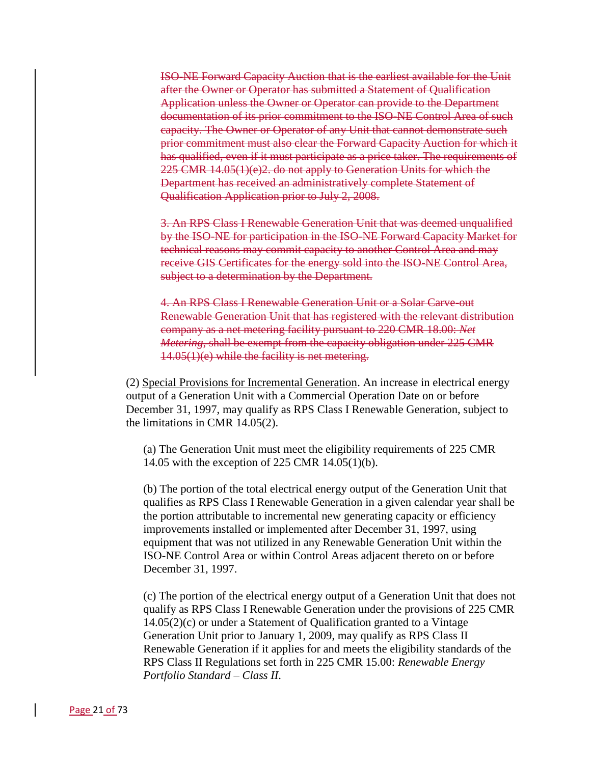ISO-NE Forward Capacity Auction that is the earliest available for the Unit after the Owner or Operator has submitted a Statement of Qualification Application unless the Owner or Operator can provide to the Department documentation of its prior commitment to the ISO-NE Control Area of such capacity. The Owner or Operator of any Unit that cannot demonstrate such prior commitment must also clear the Forward Capacity Auction for which it has qualified, even if it must participate as a price taker. The requirements of 225 CMR 14.05(1)(e)2. do not apply to Generation Units for which the Department has received an administratively complete Statement of Qualification Application prior to July 2, 2008.

3. An RPS Class I Renewable Generation Unit that was deemed unqualified by the ISO-NE for participation in the ISO-NE Forward Capacity Market for technical reasons may commit capacity to another Control Area and may receive GIS Certificates for the energy sold into the ISO-NE Control Area, subject to a determination by the Department.

4. An RPS Class I Renewable Generation Unit or a Solar Carve-out Renewable Generation Unit that has registered with the relevant distribution company as a net metering facility pursuant to 220 CMR 18.00: *Net Metering*, shall be exempt from the capacity obligation under 225 CMR 14.05(1)(e) while the facility is net metering.

(2) Special Provisions for Incremental Generation. An increase in electrical energy output of a Generation Unit with a Commercial Operation Date on or before December 31, 1997, may qualify as RPS Class I Renewable Generation, subject to the limitations in CMR 14.05(2).

(a) The Generation Unit must meet the eligibility requirements of 225 CMR 14.05 with the exception of 225 CMR 14.05(1)(b).

(b) The portion of the total electrical energy output of the Generation Unit that qualifies as RPS Class I Renewable Generation in a given calendar year shall be the portion attributable to incremental new generating capacity or efficiency improvements installed or implemented after December 31, 1997, using equipment that was not utilized in any Renewable Generation Unit within the ISO-NE Control Area or within Control Areas adjacent thereto on or before December 31, 1997.

(c) The portion of the electrical energy output of a Generation Unit that does not qualify as RPS Class I Renewable Generation under the provisions of 225 CMR 14.05(2)(c) or under a Statement of Qualification granted to a Vintage Generation Unit prior to January 1, 2009, may qualify as RPS Class II Renewable Generation if it applies for and meets the eligibility standards of the RPS Class II Regulations set forth in 225 CMR 15.00: *Renewable Energy Portfolio Standard – Class II*.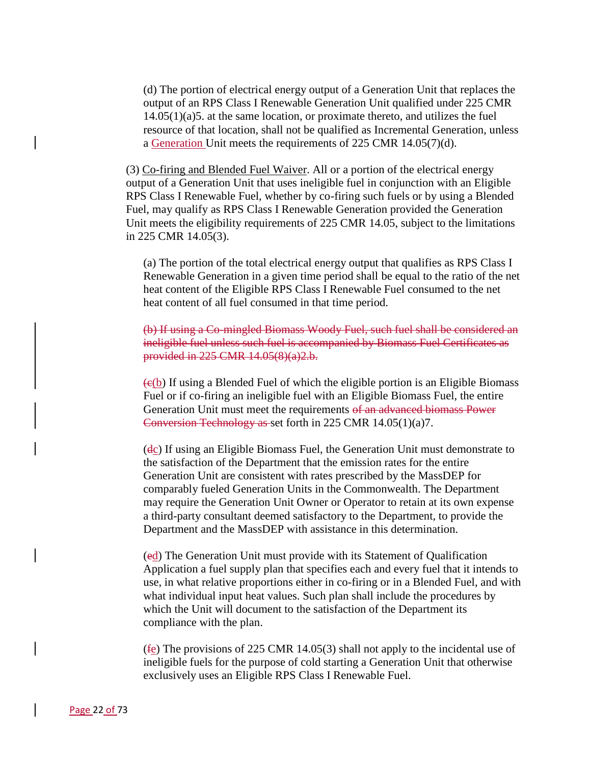(d) The portion of electrical energy output of a Generation Unit that replaces the output of an RPS Class I Renewable Generation Unit qualified under 225 CMR 14.05(1)(a)5. at the same location, or proximate thereto, and utilizes the fuel resource of that location, shall not be qualified as Incremental Generation, unless a Generation Unit meets the requirements of 225 CMR 14.05(7)(d).

(3) Co-firing and Blended Fuel Waiver. All or a portion of the electrical energy output of a Generation Unit that uses ineligible fuel in conjunction with an Eligible RPS Class I Renewable Fuel, whether by co-firing such fuels or by using a Blended Fuel, may qualify as RPS Class I Renewable Generation provided the Generation Unit meets the eligibility requirements of 225 CMR 14.05, subject to the limitations in 225 CMR 14.05(3).

(a) The portion of the total electrical energy output that qualifies as RPS Class I Renewable Generation in a given time period shall be equal to the ratio of the net heat content of the Eligible RPS Class I Renewable Fuel consumed to the net heat content of all fuel consumed in that time period.

(b) If using a Co-mingled Biomass Woody Fuel, such fuel shall be considered an ineligible fuel unless such fuel is accompanied by Biomass Fuel Certificates as provided in 225 CMR 14.05(8)(a)2.b.

 $(c(b))$  If using a Blended Fuel of which the eligible portion is an Eligible Biomass Fuel or if co-firing an ineligible fuel with an Eligible Biomass Fuel, the entire Generation Unit must meet the requirements of an advanced biomass Power Conversion Technology as set forth in 225 CMR 14.05(1)(a)7.

(dc) If using an Eligible Biomass Fuel, the Generation Unit must demonstrate to the satisfaction of the Department that the emission rates for the entire Generation Unit are consistent with rates prescribed by the MassDEP for comparably fueled Generation Units in the Commonwealth. The Department may require the Generation Unit Owner or Operator to retain at its own expense a third-party consultant deemed satisfactory to the Department, to provide the Department and the MassDEP with assistance in this determination.

(ed) The Generation Unit must provide with its Statement of Qualification Application a fuel supply plan that specifies each and every fuel that it intends to use, in what relative proportions either in co-firing or in a Blended Fuel, and with what individual input heat values. Such plan shall include the procedures by which the Unit will document to the satisfaction of the Department its compliance with the plan.

(fe) The provisions of 225 CMR 14.05(3) shall not apply to the incidental use of ineligible fuels for the purpose of cold starting a Generation Unit that otherwise exclusively uses an Eligible RPS Class I Renewable Fuel.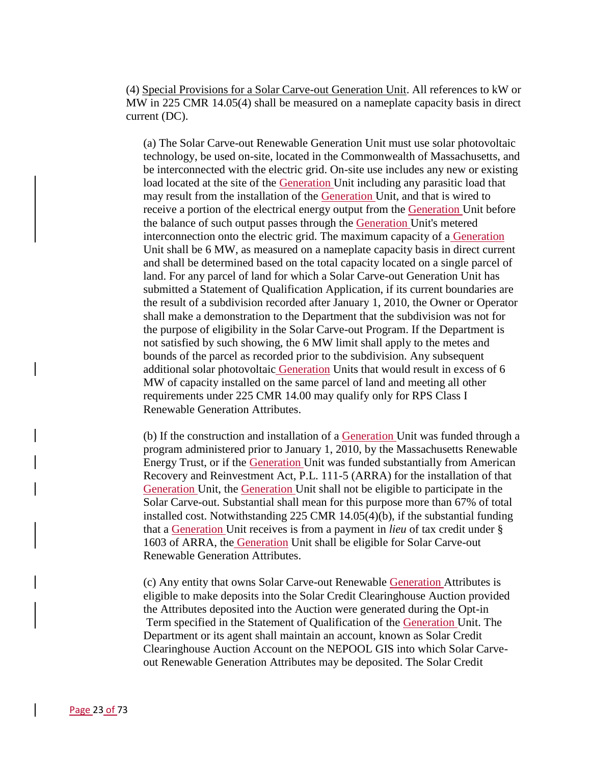(4) Special Provisions for a Solar Carve-out Generation Unit. All references to kW or MW in 225 CMR 14.05(4) shall be measured on a nameplate capacity basis in direct current (DC).

(a) The Solar Carve-out Renewable Generation Unit must use solar photovoltaic technology, be used on-site, located in the Commonwealth of Massachusetts, and be interconnected with the electric grid. On-site use includes any new or existing load located at the site of the Generation Unit including any parasitic load that may result from the installation of the Generation Unit, and that is wired to receive a portion of the electrical energy output from the Generation Unit before the balance of such output passes through the Generation Unit's metered interconnection onto the electric grid. The maximum capacity of a Generation Unit shall be 6 MW, as measured on a nameplate capacity basis in direct current and shall be determined based on the total capacity located on a single parcel of land. For any parcel of land for which a Solar Carve-out Generation Unit has submitted a Statement of Qualification Application, if its current boundaries are the result of a subdivision recorded after January 1, 2010, the Owner or Operator shall make a demonstration to the Department that the subdivision was not for the purpose of eligibility in the Solar Carve-out Program. If the Department is not satisfied by such showing, the 6 MW limit shall apply to the metes and bounds of the parcel as recorded prior to the subdivision. Any subsequent additional solar photovoltaic Generation Units that would result in excess of 6 MW of capacity installed on the same parcel of land and meeting all other requirements under 225 CMR 14.00 may qualify only for RPS Class I Renewable Generation Attributes.

(b) If the construction and installation of a Generation Unit was funded through a program administered prior to January 1, 2010, by the Massachusetts Renewable Energy Trust, or if the Generation Unit was funded substantially from American Recovery and Reinvestment Act, P.L. 111-5 (ARRA) for the installation of that Generation Unit, the Generation Unit shall not be eligible to participate in the Solar Carve-out. Substantial shall mean for this purpose more than 67% of total installed cost. Notwithstanding 225 CMR 14.05(4)(b), if the substantial funding that a Generation Unit receives is from a payment in *lieu* of tax credit under § 1603 of ARRA, the Generation Unit shall be eligible for Solar Carve-out Renewable Generation Attributes.

(c) Any entity that owns Solar Carve-out Renewable Generation Attributes is eligible to make deposits into the Solar Credit Clearinghouse Auction provided the Attributes deposited into the Auction were generated during the Opt-in Term specified in the Statement of Qualification of the Generation Unit. The Department or its agent shall maintain an account, known as Solar Credit Clearinghouse Auction Account on the NEPOOL GIS into which Solar Carveout Renewable Generation Attributes may be deposited. The Solar Credit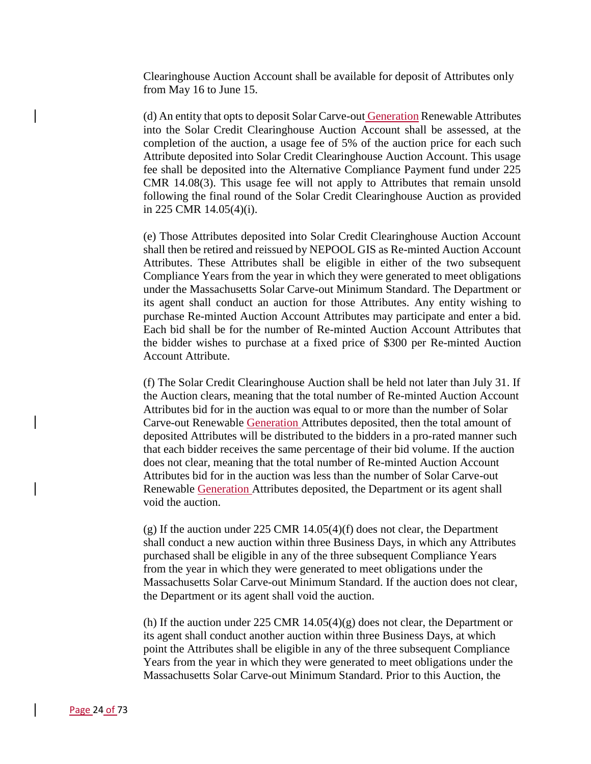Clearinghouse Auction Account shall be available for deposit of Attributes only from May 16 to June 15.

(d) An entity that opts to deposit Solar Carve-out Generation Renewable Attributes into the Solar Credit Clearinghouse Auction Account shall be assessed, at the completion of the auction, a usage fee of 5% of the auction price for each such Attribute deposited into Solar Credit Clearinghouse Auction Account. This usage fee shall be deposited into the Alternative Compliance Payment fund under 225 CMR 14.08(3). This usage fee will not apply to Attributes that remain unsold following the final round of the Solar Credit Clearinghouse Auction as provided in 225 CMR 14.05(4)(i).

(e) Those Attributes deposited into Solar Credit Clearinghouse Auction Account shall then be retired and reissued by NEPOOL GIS as Re-minted Auction Account Attributes. These Attributes shall be eligible in either of the two subsequent Compliance Years from the year in which they were generated to meet obligations under the Massachusetts Solar Carve-out Minimum Standard. The Department or its agent shall conduct an auction for those Attributes. Any entity wishing to purchase Re-minted Auction Account Attributes may participate and enter a bid. Each bid shall be for the number of Re-minted Auction Account Attributes that the bidder wishes to purchase at a fixed price of \$300 per Re-minted Auction Account Attribute.

(f) The Solar Credit Clearinghouse Auction shall be held not later than July 31. If the Auction clears, meaning that the total number of Re-minted Auction Account Attributes bid for in the auction was equal to or more than the number of Solar Carve-out Renewable Generation Attributes deposited, then the total amount of deposited Attributes will be distributed to the bidders in a pro-rated manner such that each bidder receives the same percentage of their bid volume. If the auction does not clear, meaning that the total number of Re-minted Auction Account Attributes bid for in the auction was less than the number of Solar Carve-out Renewable Generation Attributes deposited, the Department or its agent shall void the auction.

(g) If the auction under 225 CMR 14.05(4)(f) does not clear, the Department shall conduct a new auction within three Business Days, in which any Attributes purchased shall be eligible in any of the three subsequent Compliance Years from the year in which they were generated to meet obligations under the Massachusetts Solar Carve-out Minimum Standard. If the auction does not clear, the Department or its agent shall void the auction.

(h) If the auction under 225 CMR  $14.05(4)(g)$  does not clear, the Department or its agent shall conduct another auction within three Business Days, at which point the Attributes shall be eligible in any of the three subsequent Compliance Years from the year in which they were generated to meet obligations under the Massachusetts Solar Carve-out Minimum Standard. Prior to this Auction, the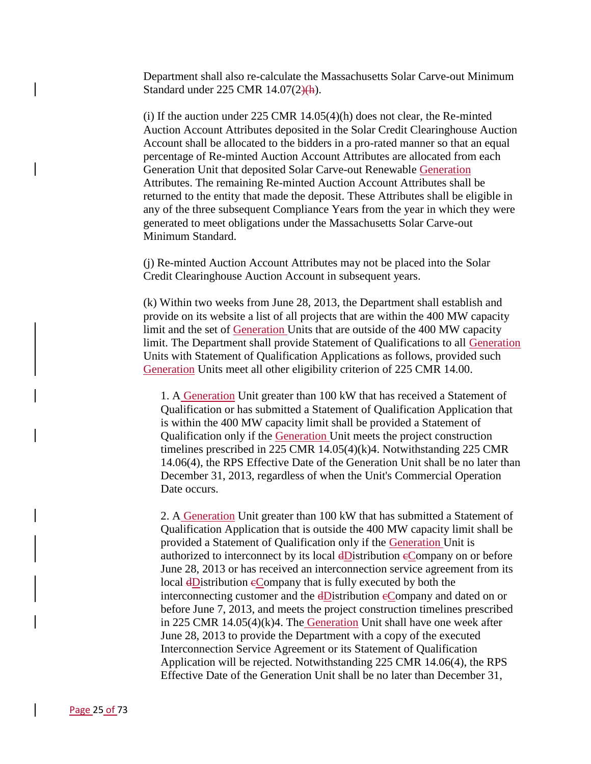Department shall also re-calculate the Massachusetts Solar Carve-out Minimum Standard under 225 CMR 14.07(2)(h).

(i) If the auction under  $225$  CMR  $14.05(4)(h)$  does not clear, the Re-minted Auction Account Attributes deposited in the Solar Credit Clearinghouse Auction Account shall be allocated to the bidders in a pro-rated manner so that an equal percentage of Re-minted Auction Account Attributes are allocated from each Generation Unit that deposited Solar Carve-out Renewable Generation Attributes. The remaining Re-minted Auction Account Attributes shall be returned to the entity that made the deposit. These Attributes shall be eligible in any of the three subsequent Compliance Years from the year in which they were generated to meet obligations under the Massachusetts Solar Carve-out Minimum Standard.

(j) Re-minted Auction Account Attributes may not be placed into the Solar Credit Clearinghouse Auction Account in subsequent years.

(k) Within two weeks from June 28, 2013, the Department shall establish and provide on its website a list of all projects that are within the 400 MW capacity limit and the set of Generation Units that are outside of the 400 MW capacity limit. The Department shall provide Statement of Qualifications to all Generation Units with Statement of Qualification Applications as follows, provided such Generation Units meet all other eligibility criterion of 225 CMR 14.00.

1. A Generation Unit greater than 100 kW that has received a Statement of Qualification or has submitted a Statement of Qualification Application that is within the 400 MW capacity limit shall be provided a Statement of Qualification only if the Generation Unit meets the project construction timelines prescribed in 225 CMR 14.05(4)(k)4. Notwithstanding 225 CMR 14.06(4), the RPS Effective Date of the Generation Unit shall be no later than December 31, 2013, regardless of when the Unit's Commercial Operation Date occurs.

2. A Generation Unit greater than 100 kW that has submitted a Statement of Qualification Application that is outside the 400 MW capacity limit shall be provided a Statement of Qualification only if the Generation Unit is authorized to interconnect by its local dDistribution eCompany on or before June 28, 2013 or has received an interconnection service agreement from its local dDistribution eCompany that is fully executed by both the interconnecting customer and the dDistribution eCompany and dated on or before June 7, 2013, and meets the project construction timelines prescribed in 225 CMR 14.05(4)(k)4. The Generation Unit shall have one week after June 28, 2013 to provide the Department with a copy of the executed Interconnection Service Agreement or its Statement of Qualification Application will be rejected. Notwithstanding 225 CMR 14.06(4), the RPS Effective Date of the Generation Unit shall be no later than December 31,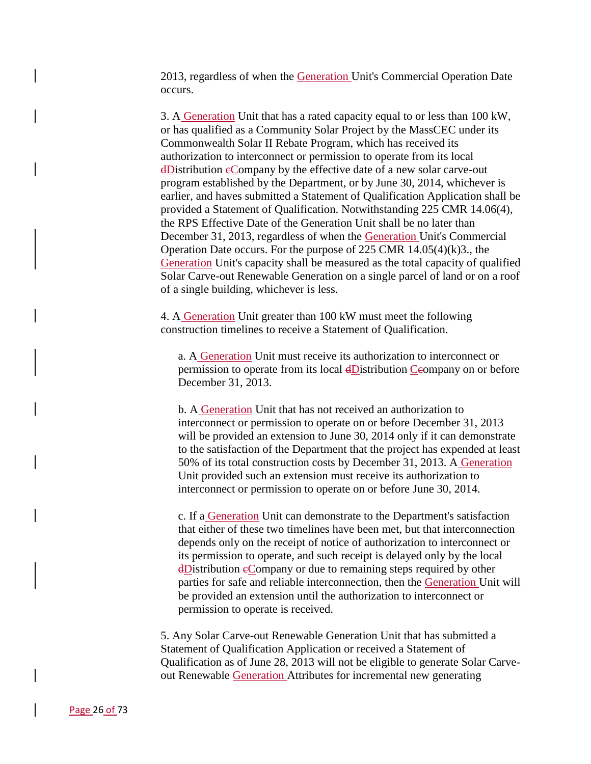2013, regardless of when the Generation Unit's Commercial Operation Date occurs.

3. A Generation Unit that has a rated capacity equal to or less than 100 kW, or has qualified as a Community Solar Project by the MassCEC under its Commonwealth Solar II Rebate Program, which has received its authorization to interconnect or permission to operate from its local dDistribution cCompany by the effective date of a new solar carve-out program established by the Department, or by June 30, 2014, whichever is earlier, and haves submitted a Statement of Qualification Application shall be provided a Statement of Qualification. Notwithstanding 225 CMR 14.06(4), the RPS Effective Date of the Generation Unit shall be no later than December 31, 2013, regardless of when the Generation Unit's Commercial Operation Date occurs. For the purpose of 225 CMR 14.05(4)(k)3., the Generation Unit's capacity shall be measured as the total capacity of qualified Solar Carve-out Renewable Generation on a single parcel of land or on a roof of a single building, whichever is less.

4. A Generation Unit greater than 100 kW must meet the following construction timelines to receive a Statement of Qualification.

a. A Generation Unit must receive its authorization to interconnect or permission to operate from its local dDistribution Ceompany on or before December 31, 2013.

b. A Generation Unit that has not received an authorization to interconnect or permission to operate on or before December 31, 2013 will be provided an extension to June 30, 2014 only if it can demonstrate to the satisfaction of the Department that the project has expended at least 50% of its total construction costs by December 31, 2013. A Generation Unit provided such an extension must receive its authorization to interconnect or permission to operate on or before June 30, 2014.

c. If a Generation Unit can demonstrate to the Department's satisfaction that either of these two timelines have been met, but that interconnection depends only on the receipt of notice of authorization to interconnect or its permission to operate, and such receipt is delayed only by the local dDistribution cCompany or due to remaining steps required by other parties for safe and reliable interconnection, then the Generation Unit will be provided an extension until the authorization to interconnect or permission to operate is received.

5. Any Solar Carve-out Renewable Generation Unit that has submitted a Statement of Qualification Application or received a Statement of Qualification as of June 28, 2013 will not be eligible to generate Solar Carveout Renewable Generation Attributes for incremental new generating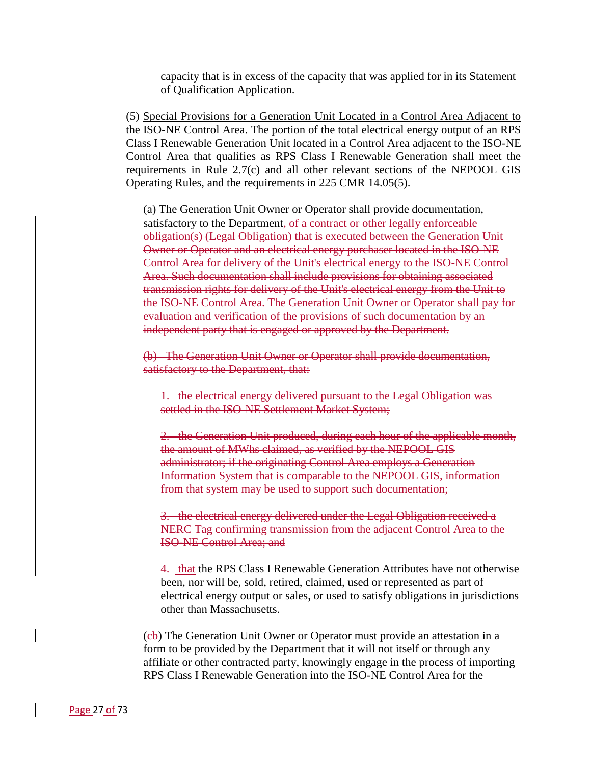capacity that is in excess of the capacity that was applied for in its Statement of Qualification Application.

(5) Special Provisions for a Generation Unit Located in a Control Area Adjacent to the ISO-NE Control Area. The portion of the total electrical energy output of an RPS Class I Renewable Generation Unit located in a Control Area adjacent to the ISO-NE Control Area that qualifies as RPS Class I Renewable Generation shall meet the requirements in Rule 2.7(c) and all other relevant sections of the NEPOOL GIS Operating Rules, and the requirements in 225 CMR 14.05(5).

(a) The Generation Unit Owner or Operator shall provide documentation, satisfactory to the Department, of a contract or other legally enforceable obligation(s) (Legal Obligation) that is executed between the Generation Unit Owner or Operator and an electrical energy purchaser located in the ISO-NE Control Area for delivery of the Unit's electrical energy to the ISO-NE Control Area. Such documentation shall include provisions for obtaining associated transmission rights for delivery of the Unit's electrical energy from the Unit to the ISO-NE Control Area. The Generation Unit Owner or Operator shall pay for evaluation and verification of the provisions of such documentation by an independent party that is engaged or approved by the Department.

(b) The Generation Unit Owner or Operator shall provide documentation, satisfactory to the Department, that:

1. the electrical energy delivered pursuant to the Legal Obligation was settled in the ISO-NE Settlement Market System;

2. the Generation Unit produced, during each hour of the applicable month, the amount of MWhs claimed, as verified by the NEPOOL GIS administrator; if the originating Control Area employs a Generation Information System that is comparable to the NEPOOL GIS, information from that system may be used to support such documentation;

3. the electrical energy delivered under the Legal Obligation received a NERC Tag confirming transmission from the adjacent Control Area to the ISO-NE Control Area; and

4. that the RPS Class I Renewable Generation Attributes have not otherwise been, nor will be, sold, retired, claimed, used or represented as part of electrical energy output or sales, or used to satisfy obligations in jurisdictions other than Massachusetts.

(eb) The Generation Unit Owner or Operator must provide an attestation in a form to be provided by the Department that it will not itself or through any affiliate or other contracted party, knowingly engage in the process of importing RPS Class I Renewable Generation into the ISO-NE Control Area for the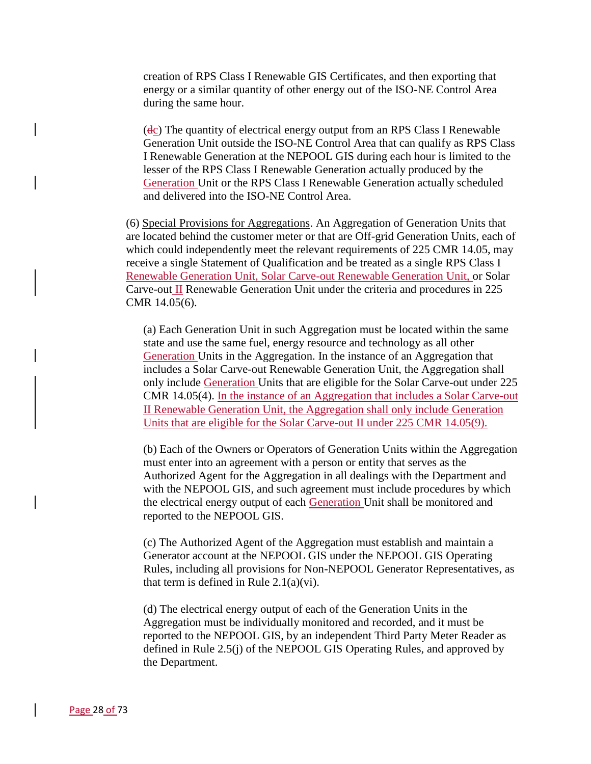creation of RPS Class I Renewable GIS Certificates, and then exporting that energy or a similar quantity of other energy out of the ISO-NE Control Area during the same hour.

 $(d<sub>c</sub>)$  The quantity of electrical energy output from an RPS Class I Renewable Generation Unit outside the ISO-NE Control Area that can qualify as RPS Class I Renewable Generation at the NEPOOL GIS during each hour is limited to the lesser of the RPS Class I Renewable Generation actually produced by the Generation Unit or the RPS Class I Renewable Generation actually scheduled and delivered into the ISO-NE Control Area.

(6) Special Provisions for Aggregations. An Aggregation of Generation Units that are located behind the customer meter or that are Off-grid Generation Units, each of which could independently meet the relevant requirements of 225 CMR 14.05, may receive a single Statement of Qualification and be treated as a single RPS Class I Renewable Generation Unit, Solar Carve-out Renewable Generation Unit, or Solar Carve-out II Renewable Generation Unit under the criteria and procedures in 225 CMR 14.05(6).

(a) Each Generation Unit in such Aggregation must be located within the same state and use the same fuel, energy resource and technology as all other Generation Units in the Aggregation. In the instance of an Aggregation that includes a Solar Carve-out Renewable Generation Unit, the Aggregation shall only include Generation Units that are eligible for the Solar Carve-out under 225 CMR 14.05(4). In the instance of an Aggregation that includes a Solar Carve-out II Renewable Generation Unit, the Aggregation shall only include Generation Units that are eligible for the Solar Carve-out II under 225 CMR 14.05(9).

(b) Each of the Owners or Operators of Generation Units within the Aggregation must enter into an agreement with a person or entity that serves as the Authorized Agent for the Aggregation in all dealings with the Department and with the NEPOOL GIS, and such agreement must include procedures by which the electrical energy output of each Generation Unit shall be monitored and reported to the NEPOOL GIS.

(c) The Authorized Agent of the Aggregation must establish and maintain a Generator account at the NEPOOL GIS under the NEPOOL GIS Operating Rules, including all provisions for Non-NEPOOL Generator Representatives, as that term is defined in Rule  $2.1(a)(vi)$ .

(d) The electrical energy output of each of the Generation Units in the Aggregation must be individually monitored and recorded, and it must be reported to the NEPOOL GIS, by an independent Third Party Meter Reader as defined in Rule 2.5(j) of the NEPOOL GIS Operating Rules, and approved by the Department.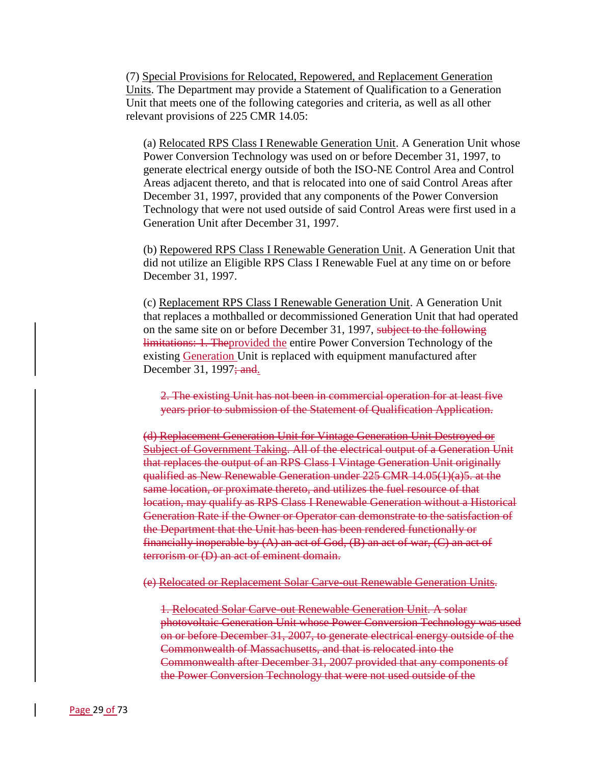(7) Special Provisions for Relocated, Repowered, and Replacement Generation Units. The Department may provide a Statement of Qualification to a Generation Unit that meets one of the following categories and criteria, as well as all other relevant provisions of 225 CMR 14.05:

(a) Relocated RPS Class I Renewable Generation Unit. A Generation Unit whose Power Conversion Technology was used on or before December 31, 1997, to generate electrical energy outside of both the ISO-NE Control Area and Control Areas adjacent thereto, and that is relocated into one of said Control Areas after December 31, 1997, provided that any components of the Power Conversion Technology that were not used outside of said Control Areas were first used in a Generation Unit after December 31, 1997.

(b) Repowered RPS Class I Renewable Generation Unit. A Generation Unit that did not utilize an Eligible RPS Class I Renewable Fuel at any time on or before December 31, 1997.

(c) Replacement RPS Class I Renewable Generation Unit. A Generation Unit that replaces a mothballed or decommissioned Generation Unit that had operated on the same site on or before December 31, 1997, subject to the following limitations: 1. Theprovided the entire Power Conversion Technology of the existing Generation Unit is replaced with equipment manufactured after December 31, 1997<del>; and</del>.

2. The existing Unit has not been in commercial operation for at least five years prior to submission of the Statement of Qualification Application.

(d) Replacement Generation Unit for Vintage Generation Unit Destroyed or Subject of Government Taking. All of the electrical output of a Generation Unit that replaces the output of an RPS Class I Vintage Generation Unit originally qualified as New Renewable Generation under 225 CMR 14.05(1)(a)5. at the same location, or proximate thereto, and utilizes the fuel resource of that location, may qualify as RPS Class I Renewable Generation without a Historical Generation Rate if the Owner or Operator can demonstrate to the satisfaction of the Department that the Unit has been has been rendered functionally or financially inoperable by  $(A)$  an act of God,  $(B)$  an act of war,  $(C)$  an act of terrorism or (D) an act of eminent domain.

(e) Relocated or Replacement Solar Carve-out Renewable Generation Units.

1. Relocated Solar Carve-out Renewable Generation Unit. A solar photovoltaic Generation Unit whose Power Conversion Technology was used on or before December 31, 2007, to generate electrical energy outside of the Commonwealth of Massachusetts, and that is relocated into the Commonwealth after December 31, 2007 provided that any components of the Power Conversion Technology that were not used outside of the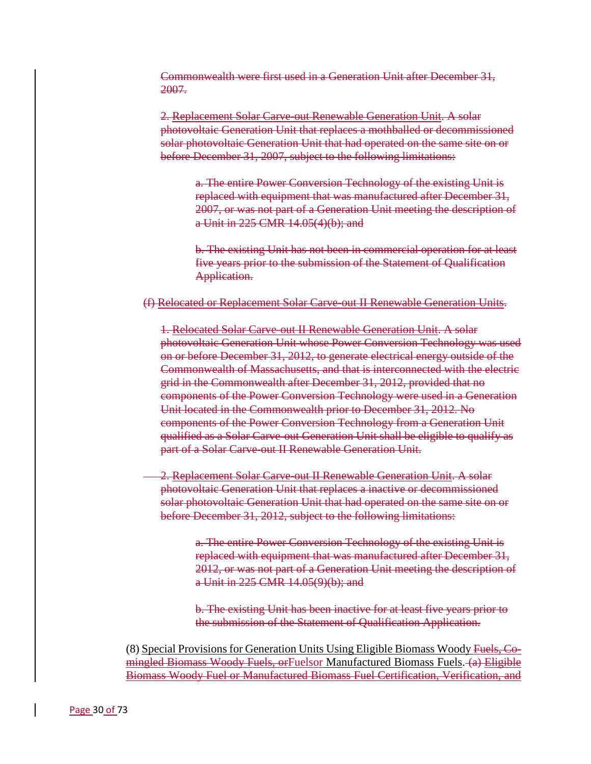Commonwealth were first used in a Generation Unit after December 31, 2007.

2. Replacement Solar Carve-out Renewable Generation Unit. A solar photovoltaic Generation Unit that replaces a mothballed or decommissioned solar photovoltaic Generation Unit that had operated on the same site on or before December 31, 2007, subject to the following limitations:

a. The entire Power Conversion Technology of the existing Unit is replaced with equipment that was manufactured after December 31, 2007, or was not part of a Generation Unit meeting the description of a Unit in 225 CMR 14.05(4)(b); and

b. The existing Unit has not been in commercial operation for at least five years prior to the submission of the Statement of Qualification Application.

# (f) Relocated or Replacement Solar Carve-out II Renewable Generation Units.

1. Relocated Solar Carve-out II Renewable Generation Unit. A solar photovoltaic Generation Unit whose Power Conversion Technology was used on or before December 31, 2012, to generate electrical energy outside of the Commonwealth of Massachusetts, and that is interconnected with the electric grid in the Commonwealth after December 31, 2012, provided that no components of the Power Conversion Technology were used in a Generation Unit located in the Commonwealth prior to December 31, 2012. No components of the Power Conversion Technology from a Generation Unit qualified as a Solar Carve-out Generation Unit shall be eligible to qualify as part of a Solar Carve-out II Renewable Generation Unit.

2. Replacement Solar Carve-out II Renewable Generation Unit. A solar photovoltaic Generation Unit that replaces a inactive or decommissioned solar photovoltaic Generation Unit that had operated on the same site on or before December 31, 2012, subject to the following limitations:

> a. The entire Power Conversion Technology of the existing Unit is replaced with equipment that was manufactured after December 31, 2012, or was not part of a Generation Unit meeting the description of a Unit in 225 CMR 14.05(9)(b); and

b. The existing Unit has been inactive for at least five years prior to the submission of the Statement of Qualification Application.

(8) Special Provisions for Generation Units Using Eligible Biomass Woody Fuels, Comingled Biomass Woody Fuels, or Fuelsor Manufactured Biomass Fuels. (a) Eligible Biomass Woody Fuel or Manufactured Biomass Fuel Certification, Verification, and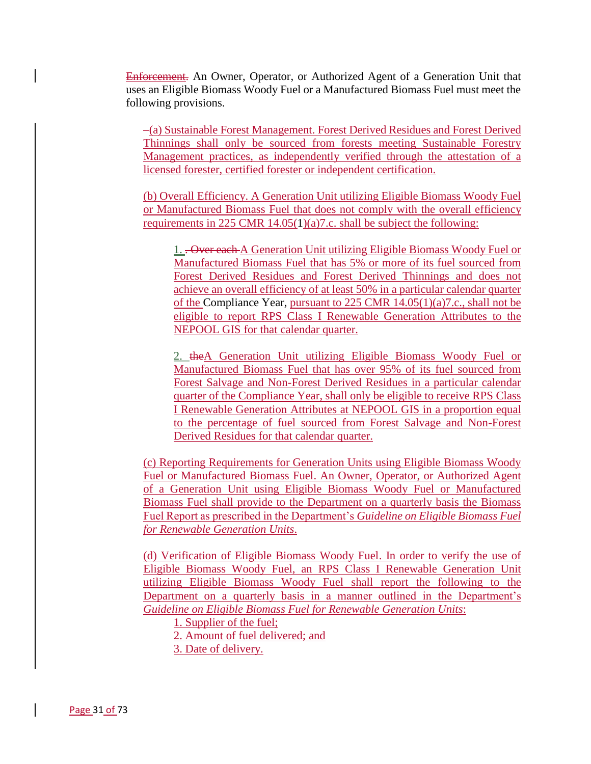Enforcement. An Owner, Operator, or Authorized Agent of a Generation Unit that uses an Eligible Biomass Woody Fuel or a Manufactured Biomass Fuel must meet the following provisions.

 (a) Sustainable Forest Management. Forest Derived Residues and Forest Derived Thinnings shall only be sourced from forests meeting Sustainable Forestry Management practices, as independently verified through the attestation of a licensed forester, certified forester or independent certification.

(b) Overall Efficiency. A Generation Unit utilizing Eligible Biomass Woody Fuel or Manufactured Biomass Fuel that does not comply with the overall efficiency requirements in 225 CMR 14.05(1)(a)7.c. shall be subject the following:

1. . Over each A Generation Unit utilizing Eligible Biomass Woody Fuel or Manufactured Biomass Fuel that has 5% or more of its fuel sourced from Forest Derived Residues and Forest Derived Thinnings and does not achieve an overall efficiency of at least 50% in a particular calendar quarter of the Compliance Year, pursuant to 225 CMR 14.05(1)(a)7.c., shall not be eligible to report RPS Class I Renewable Generation Attributes to the NEPOOL GIS for that calendar quarter.

2. theA Generation Unit utilizing Eligible Biomass Woody Fuel or Manufactured Biomass Fuel that has over 95% of its fuel sourced from Forest Salvage and Non-Forest Derived Residues in a particular calendar quarter of the Compliance Year, shall only be eligible to receive RPS Class I Renewable Generation Attributes at NEPOOL GIS in a proportion equal to the percentage of fuel sourced from Forest Salvage and Non-Forest Derived Residues for that calendar quarter.

(c) Reporting Requirements for Generation Units using Eligible Biomass Woody Fuel or Manufactured Biomass Fuel. An Owner, Operator, or Authorized Agent of a Generation Unit using Eligible Biomass Woody Fuel or Manufactured Biomass Fuel shall provide to the Department on a quarterly basis the Biomass Fuel Report as prescribed in the Department's *Guideline on Eligible Biomass Fuel for Renewable Generation Units*.

(d) Verification of Eligible Biomass Woody Fuel. In order to verify the use of Eligible Biomass Woody Fuel, an RPS Class I Renewable Generation Unit utilizing Eligible Biomass Woody Fuel shall report the following to the Department on a quarterly basis in a manner outlined in the Department's *Guideline on Eligible Biomass Fuel for Renewable Generation Units*:

1. Supplier of the fuel;

2. Amount of fuel delivered; and

3. Date of delivery.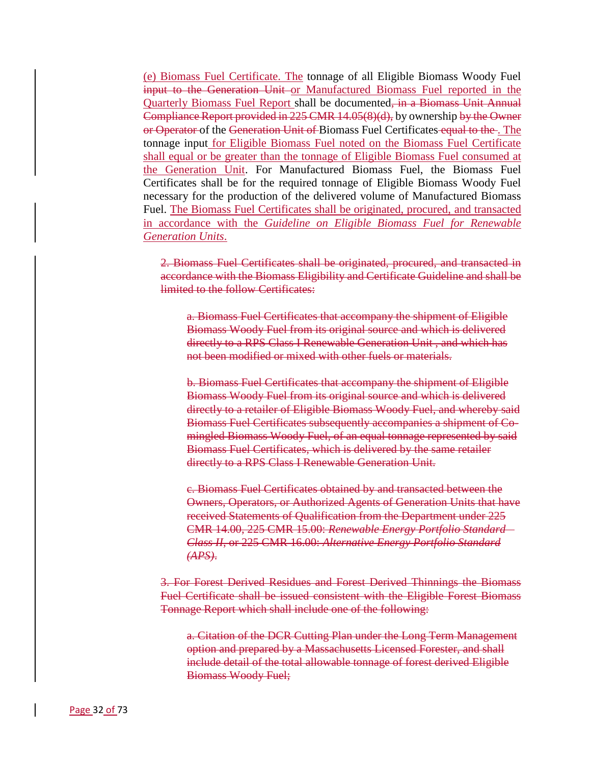(e) Biomass Fuel Certificate. The tonnage of all Eligible Biomass Woody Fuel input to the Generation Unit or Manufactured Biomass Fuel reported in the Quarterly Biomass Fuel Report shall be documented, in a Biomass Unit Annual Compliance Report provided in 225 CMR 14.05(8)(d), by ownership by the Owner or Operator of the Generation Unit of Biomass Fuel Certificates equal to the. The tonnage input for Eligible Biomass Fuel noted on the Biomass Fuel Certificate shall equal or be greater than the tonnage of Eligible Biomass Fuel consumed at the Generation Unit. For Manufactured Biomass Fuel, the Biomass Fuel Certificates shall be for the required tonnage of Eligible Biomass Woody Fuel necessary for the production of the delivered volume of Manufactured Biomass Fuel. The Biomass Fuel Certificates shall be originated, procured, and transacted in accordance with the *Guideline on Eligible Biomass Fuel for Renewable Generation Units*.

2. Biomass Fuel Certificates shall be originated, procured, and transacted in accordance with the Biomass Eligibility and Certificate Guideline and shall be limited to the follow Certificates:

a. Biomass Fuel Certificates that accompany the shipment of Eligible Biomass Woody Fuel from its original source and which is delivered directly to a RPS Class I Renewable Generation Unit , and which has not been modified or mixed with other fuels or materials.

b. Biomass Fuel Certificates that accompany the shipment of Eligible Biomass Woody Fuel from its original source and which is delivered directly to a retailer of Eligible Biomass Woody Fuel, and whereby said Biomass Fuel Certificates subsequently accompanies a shipment of Comingled Biomass Woody Fuel, of an equal tonnage represented by said Biomass Fuel Certificates, which is delivered by the same retailer directly to a RPS Class I Renewable Generation Unit.

c. Biomass Fuel Certificates obtained by and transacted between the Owners, Operators, or Authorized Agents of Generation Units that have received Statements of Qualification from the Department under 225 CMR 14.00, 225 CMR 15.00: *Renewable Energy Portfolio Standard – Class II*, or 225 CMR 16.00: *Alternative Energy Portfolio Standard (APS)*.

3. For Forest Derived Residues and Forest Derived Thinnings the Biomass Fuel Certificate shall be issued consistent with the Eligible Forest Biomass Tonnage Report which shall include one of the following:

a. Citation of the DCR Cutting Plan under the Long Term Management option and prepared by a Massachusetts Licensed Forester, and shall include detail of the total allowable tonnage of forest derived Eligible Biomass Woody Fuel;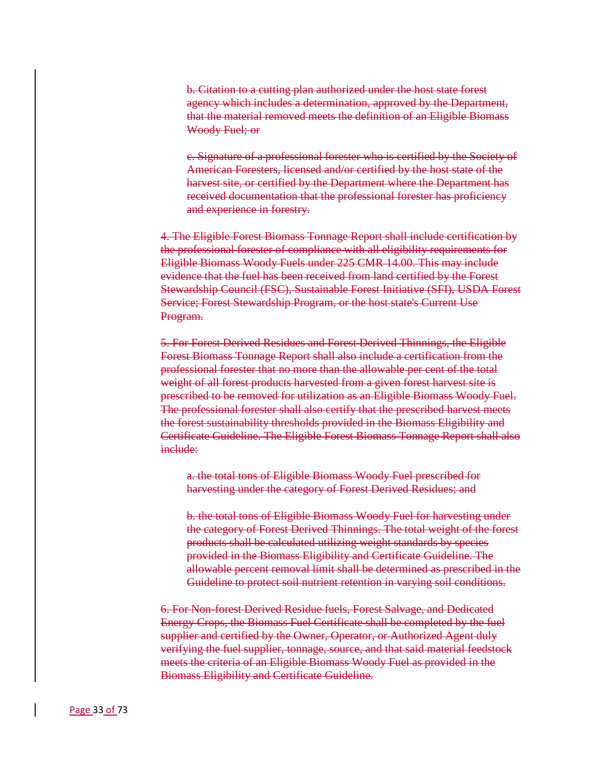b. Citation to a cutting plan authorized under the host state forest agency which includes a determination, approved by the Department, that the material removed meets the definition of an Eligible Biomass Woody Fuel; or

c. Signature of a professional forester who is certified by the Society of American Foresters, licensed and/or certified by the host state of the harvest site, or certified by the Department where the Department has received documentation that the professional forester has proficiency and experience in forestry.

4. The Eligible Forest Biomass Tonnage Report shall include certification by the professional forester of compliance with all eligibility requirements for Eligible Biomass Woody Fuels under 225 CMR 14.00. This may include evidence that the fuel has been received from land certified by the Forest Stewardship Council (FSC), Sustainable Forest Initiative (SFI), USDA Forest Service; Forest Stewardship Program, or the host state's Current Use Program.

5. For Forest Derived Residues and Forest Derived Thinnings, the Eligible Forest Biomass Tonnage Report shall also include a certification from the professional forester that no more than the allowable per cent of the total weight of all forest products harvested from a given forest harvest site is prescribed to be removed for utilization as an Eligible Biomass Woody Fuel. The professional forester shall also certify that the prescribed harvest meets the forest sustainability thresholds provided in the Biomass Eligibility and Certificate Guideline. The Eligible Forest Biomass Tonnage Report shall also include:

a. the total tons of Eligible Biomass Woody Fuel prescribed for harvesting under the category of Forest Derived Residues; and

b. the total tons of Eligible Biomass Woody Fuel for harvesting under the category of Forest Derived Thinnings. The total weight of the forest products shall be calculated utilizing weight standards by species provided in the Biomass Eligibility and Certificate Guideline. The allowable percent removal limit shall be determined as prescribed in the Guideline to protect soil nutrient retention in varying soil conditions.

6. For Non-forest Derived Residue fuels, Forest Salvage, and Dedicated Energy Crops, the Biomass Fuel Certificate shall be completed by the fuel supplier and certified by the Owner, Operator, or Authorized Agent duly verifying the fuel supplier, tonnage, source, and that said material feedstock meets the criteria of an Eligible Biomass Woody Fuel as provided in the Biomass Eligibility and Certificate Guideline.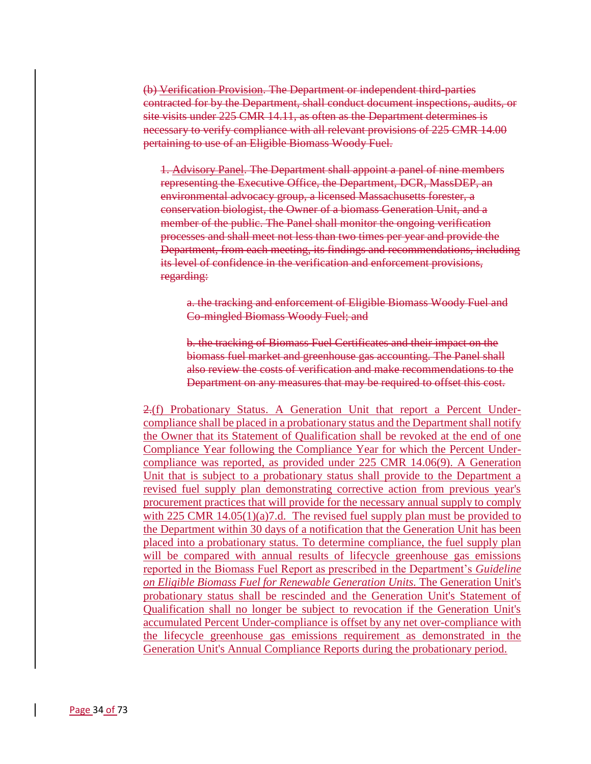(b) Verification Provision. The Department or independent third-parties contracted for by the Department, shall conduct document inspections, audits, or site visits under 225 CMR 14.11, as often as the Department determines is necessary to verify compliance with all relevant provisions of 225 CMR 14.00 pertaining to use of an Eligible Biomass Woody Fuel.

1. Advisory Panel. The Department shall appoint a panel of nine members representing the Executive Office, the Department, DCR, MassDEP, an environmental advocacy group, a licensed Massachusetts forester, a conservation biologist, the Owner of a biomass Generation Unit, and a member of the public. The Panel shall monitor the ongoing verification processes and shall meet not less than two times per year and provide the Department, from each meeting, its findings and recommendations, including its level of confidence in the verification and enforcement provisions, regarding:

a. the tracking and enforcement of Eligible Biomass Woody Fuel and Co-mingled Biomass Woody Fuel; and

b. the tracking of Biomass Fuel Certificates and their impact on the biomass fuel market and greenhouse gas accounting. The Panel shall also review the costs of verification and make recommendations to the Department on any measures that may be required to offset this cost.

2.(f) Probationary Status. A Generation Unit that report a Percent Undercompliance shall be placed in a probationary status and the Department shall notify the Owner that its Statement of Qualification shall be revoked at the end of one Compliance Year following the Compliance Year for which the Percent Undercompliance was reported, as provided under 225 CMR 14.06(9). A Generation Unit that is subject to a probationary status shall provide to the Department a revised fuel supply plan demonstrating corrective action from previous year's procurement practices that will provide for the necessary annual supply to comply with 225 CMR  $14.05(1)(a)7.d.$  The revised fuel supply plan must be provided to the Department within 30 days of a notification that the Generation Unit has been placed into a probationary status. To determine compliance, the fuel supply plan will be compared with annual results of lifecycle greenhouse gas emissions reported in the Biomass Fuel Report as prescribed in the Department's *Guideline on Eligible Biomass Fuel for Renewable Generation Units.* The Generation Unit's probationary status shall be rescinded and the Generation Unit's Statement of Qualification shall no longer be subject to revocation if the Generation Unit's accumulated Percent Under-compliance is offset by any net over-compliance with the lifecycle greenhouse gas emissions requirement as demonstrated in the Generation Unit's Annual Compliance Reports during the probationary period.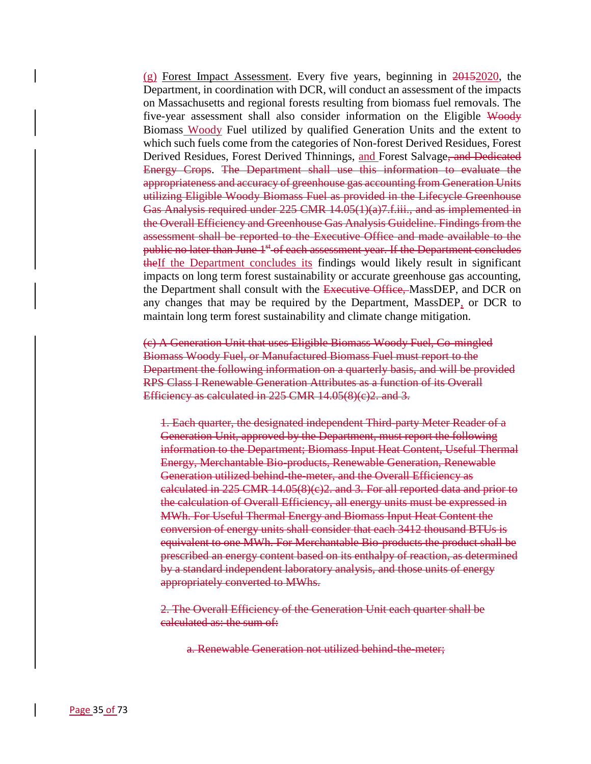$(g)$  Forest Impact Assessment. Every five years, beginning in  $20+152020$ , the Department, in coordination with DCR, will conduct an assessment of the impacts on Massachusetts and regional forests resulting from biomass fuel removals. The five-year assessment shall also consider information on the Eligible Woody Biomass Woody Fuel utilized by qualified Generation Units and the extent to which such fuels come from the categories of Non-forest Derived Residues, Forest Derived Residues, Forest Derived Thinnings, and Forest Salvage<del>, and Dedicated</del> Energy Crops. The Department shall use this information to evaluate the appropriateness and accuracy of greenhouse gas accounting from Generation Units utilizing Eligible Woody Biomass Fuel as provided in the Lifecycle Greenhouse Gas Analysis required under 225 CMR 14.05(1)(a)7.f.iii., and as implemented in the Overall Efficiency and Greenhouse Gas Analysis Guideline. Findings from the assessment shall be reported to the Executive Office and made available to the public no later than June 1<sup>st</sup> of each assessment year. If the Department concludes the If the Department concludes its findings would likely result in significant impacts on long term forest sustainability or accurate greenhouse gas accounting, the Department shall consult with the Executive Office, MassDEP, and DCR on any changes that may be required by the Department, MassDEP, or DCR to maintain long term forest sustainability and climate change mitigation.

(c) A Generation Unit that uses Eligible Biomass Woody Fuel, Co-mingled Biomass Woody Fuel, or Manufactured Biomass Fuel must report to the Department the following information on a quarterly basis, and will be provided RPS Class I Renewable Generation Attributes as a function of its Overall Efficiency as calculated in 225 CMR 14.05(8)(c)2. and 3.

1. Each quarter, the designated independent Third-party Meter Reader of a Generation Unit, approved by the Department, must report the following information to the Department; Biomass Input Heat Content, Useful Thermal Energy, Merchantable Bio-products, Renewable Generation, Renewable Generation utilized behind-the-meter, and the Overall Efficiency as calculated in 225 CMR 14.05(8)(c)2. and 3. For all reported data and prior to the calculation of Overall Efficiency, all energy units must be expressed in MWh. For Useful Thermal Energy and Biomass Input Heat Content the conversion of energy units shall consider that each 3412 thousand BTUs is equivalent to one MWh. For Merchantable Bio-products the product shall be prescribed an energy content based on its enthalpy of reaction, as determined by a standard independent laboratory analysis, and those units of energy appropriately converted to MWhs.

2. The Overall Efficiency of the Generation Unit each quarter shall be calculated as: the sum of:

a. Renewable Generation not utilized behind-the-meter;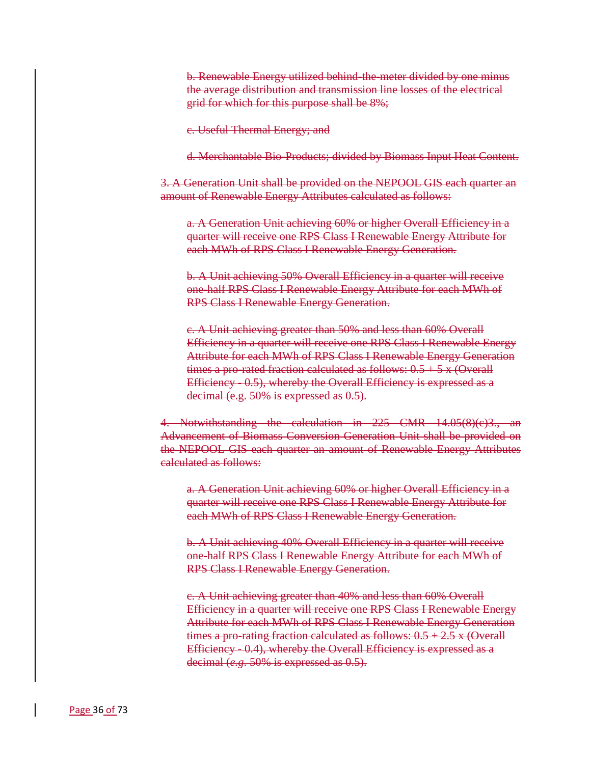b. Renewable Energy utilized behind-the-meter divided by one minus the average distribution and transmission line losses of the electrical grid for which for this purpose shall be 8%;

c. Useful Thermal Energy; and

d. Merchantable Bio-Products; divided by Biomass Input Heat Content.

3. A Generation Unit shall be provided on the NEPOOL GIS each quarter an amount of Renewable Energy Attributes calculated as follows:

a. A Generation Unit achieving 60% or higher Overall Efficiency in a quarter will receive one RPS Class I Renewable Energy Attribute for each MWh of RPS Class I Renewable Energy Generation.

b. A Unit achieving 50% Overall Efficiency in a quarter will receive one-half RPS Class I Renewable Energy Attribute for each MWh of RPS Class I Renewable Energy Generation.

c. A Unit achieving greater than 50% and less than 60% Overall Efficiency in a quarter will receive one RPS Class I Renewable Energy Attribute for each MWh of RPS Class I Renewable Energy Generation times a pro-rated fraction calculated as follows:  $0.5 + 5x$  (Overall Efficiency - 0.5), whereby the Overall Efficiency is expressed as a decimal (e.g. 50% is expressed as 0.5).

4. Notwithstanding the calculation in 225 CMR 14.05(8)(c)3., an Advancement of Biomass Conversion Generation Unit shall be provided on the NEPOOL GIS each quarter an amount of Renewable Energy Attributes calculated as follows:

a. A Generation Unit achieving 60% or higher Overall Efficiency in a quarter will receive one RPS Class I Renewable Energy Attribute for each MWh of RPS Class I Renewable Energy Generation.

b. A Unit achieving 40% Overall Efficiency in a quarter will receive one-half RPS Class I Renewable Energy Attribute for each MWh of RPS Class I Renewable Energy Generation.

c. A Unit achieving greater than 40% and less than 60% Overall Efficiency in a quarter will receive one RPS Class I Renewable Energy Attribute for each MWh of RPS Class I Renewable Energy Generation times a pro-rating fraction calculated as follows:  $0.5 + 2.5$  x (Overall Efficiency - 0.4), whereby the Overall Efficiency is expressed as a decimal (*e.g*. 50% is expressed as 0.5).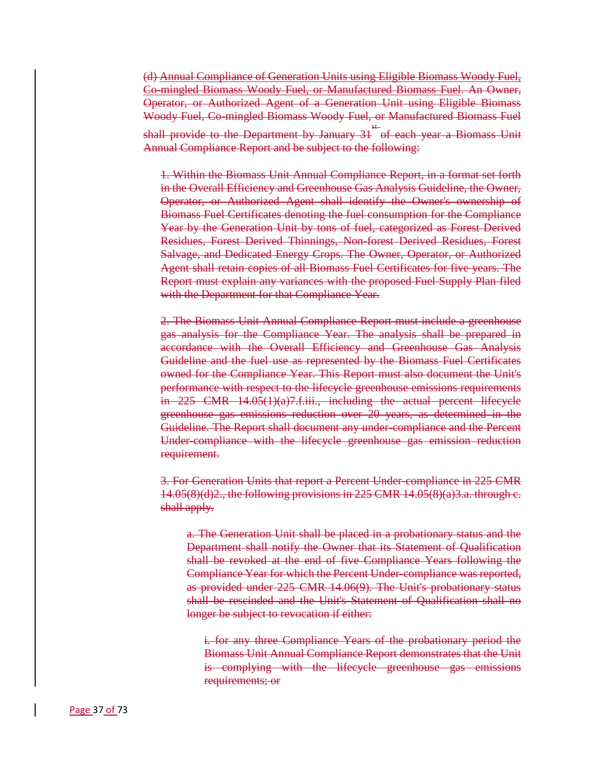(d) Annual Compliance of Generation Units using Eligible Biomass Woody Fuel, Co-mingled Biomass Woody Fuel, or Manufactured Biomass Fuel. An Owner, Operator, or Authorized Agent of a Generation Unit using Eligible Biomass Woody Fuel, Co-mingled Biomass Woody Fuel, or Manufactured Biomass Fuel shall provide to the Department by January 31 st of each year a Biomass Unit Annual Compliance Report and be subject to the following:

1. Within the Biomass Unit Annual Compliance Report, in a format set forth in the Overall Efficiency and Greenhouse Gas Analysis Guideline, the Owner, Operator, or Authorized Agent shall identify the Owner's ownership of Biomass Fuel Certificates denoting the fuel consumption for the Compliance Year by the Generation Unit by tons of fuel, categorized as Forest Derived Residues, Forest Derived Thinnings, Non-forest Derived Residues, Forest Salvage, and Dedicated Energy Crops. The Owner, Operator, or Authorized Agent shall retain copies of all Biomass Fuel Certificates for five years. The Report must explain any variances with the proposed Fuel Supply Plan filed with the Department for that Compliance Year.

2. The Biomass Unit Annual Compliance Report must include a greenhouse gas analysis for the Compliance Year. The analysis shall be prepared in accordance with the Overall Efficiency and Greenhouse Gas Analysis Guideline and the fuel use as represented by the Biomass Fuel Certificates owned for the Compliance Year. This Report must also document the Unit's performance with respect to the lifecycle greenhouse emissions requirements in 225 CMR 14.05(1)(a)7.f.iii., including the actual percent lifecycle greenhouse gas emissions reduction over 20 years, as determined in the Guideline. The Report shall document any under-compliance and the Percent Under-compliance with the lifecycle greenhouse gas emission reduction requirement.

3. For Generation Units that report a Percent Under-compliance in 225 CMR  $14.05(8)(d)2$ , the following provisions in 225 CMR  $14.05(8)(a)3.a.$  through e. shall apply.

a. The Generation Unit shall be placed in a probationary status and the Department shall notify the Owner that its Statement of Qualification shall be revoked at the end of five Compliance Years following the Compliance Year for which the Percent Under-compliance was reported, as provided under 225 CMR 14.06(9). The Unit's probationary status shall be rescinded and the Unit's Statement of Qualification shall no longer be subject to revocation if either:

i. for any three Compliance Years of the probationary period the Biomass Unit Annual Compliance Report demonstrates that the Unit is complying with the lifecycle greenhouse gas emissions requirements; or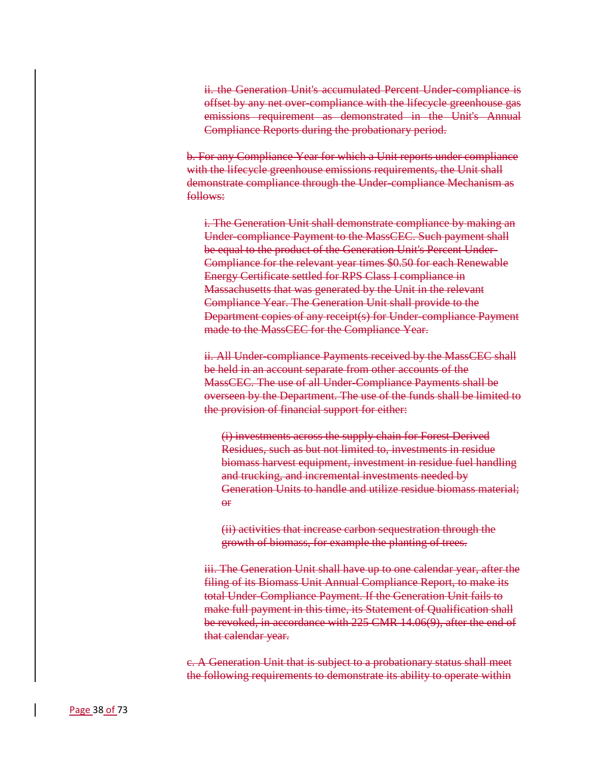ii. the Generation Unit's accumulated Percent Under-compliance is offset by any net over-compliance with the lifecycle greenhouse gas emissions requirement as demonstrated in the Unit's Annual Compliance Reports during the probationary period.

b. For any Compliance Year for which a Unit reports under compliance with the lifecycle greenhouse emissions requirements, the Unit shall demonstrate compliance through the Under-compliance Mechanism as follows:

i. The Generation Unit shall demonstrate compliance by making an Under-compliance Payment to the MassCEC. Such payment shall be equal to the product of the Generation Unit's Percent Under-Compliance for the relevant year times \$0.50 for each Renewable Energy Certificate settled for RPS Class I compliance in Massachusetts that was generated by the Unit in the relevant Compliance Year. The Generation Unit shall provide to the Department copies of any receipt(s) for Under-compliance Payment made to the MassCEC for the Compliance Year.

ii. All Under-compliance Payments received by the MassCEC shall be held in an account separate from other accounts of the MassCEC. The use of all Under-Compliance Payments shall be overseen by the Department. The use of the funds shall be limited to the provision of financial support for either:

(i) investments across the supply chain for Forest Derived Residues, such as but not limited to, investments in residue biomass harvest equipment, investment in residue fuel handling and trucking, and incremental investments needed by Generation Units to handle and utilize residue biomass material;  $\Theta$ <sup>r</sup>

(ii) activities that increase carbon sequestration through the growth of biomass, for example the planting of trees.

iii. The Generation Unit shall have up to one calendar year, after the filing of its Biomass Unit Annual Compliance Report, to make its total Under-Compliance Payment. If the Generation Unit fails to make full payment in this time, its Statement of Qualification shall be revoked, in accordance with 225 CMR 14.06(9), after the end of that calendar year.

c. A Generation Unit that is subject to a probationary status shall meet the following requirements to demonstrate its ability to operate within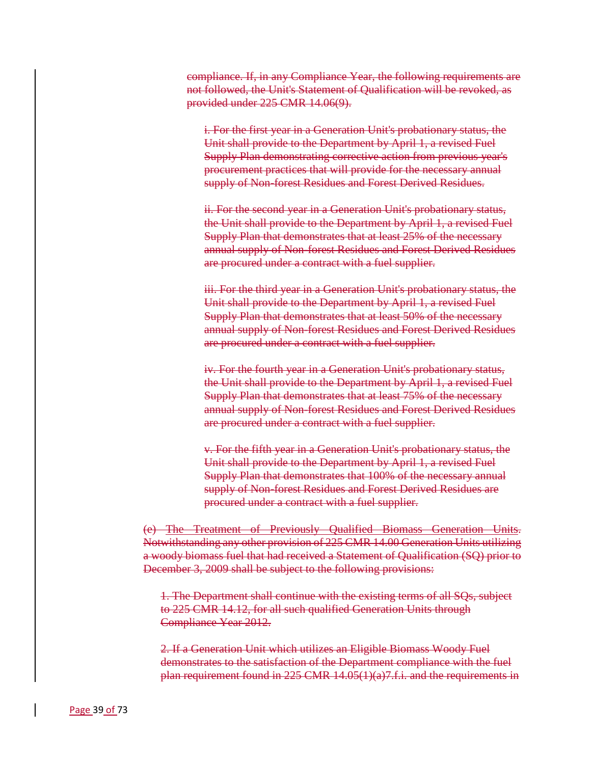compliance. If, in any Compliance Year, the following requirements are not followed, the Unit's Statement of Qualification will be revoked, as provided under 225 CMR 14.06(9).

i. For the first year in a Generation Unit's probationary status, the Unit shall provide to the Department by April 1, a revised Fuel Supply Plan demonstrating corrective action from previous year's procurement practices that will provide for the necessary annual supply of Non-forest Residues and Forest Derived Residues.

ii. For the second year in a Generation Unit's probationary status, the Unit shall provide to the Department by April 1, a revised Fuel Supply Plan that demonstrates that at least 25% of the necessary annual supply of Non-forest Residues and Forest Derived Residues are procured under a contract with a fuel supplier.

iii. For the third year in a Generation Unit's probationary status, the Unit shall provide to the Department by April 1, a revised Fuel Supply Plan that demonstrates that at least 50% of the necessary annual supply of Non-forest Residues and Forest Derived Residues are procured under a contract with a fuel supplier.

iv. For the fourth year in a Generation Unit's probationary status, the Unit shall provide to the Department by April 1, a revised Fuel Supply Plan that demonstrates that at least 75% of the necessary annual supply of Non-forest Residues and Forest Derived Residues are procured under a contract with a fuel supplier.

v. For the fifth year in a Generation Unit's probationary status, the Unit shall provide to the Department by April 1, a revised Fuel Supply Plan that demonstrates that 100% of the necessary annual supply of Non-forest Residues and Forest Derived Residues are procured under a contract with a fuel supplier.

(e) The Treatment of Previously Qualified Biomass Generation Units. Notwithstanding any other provision of 225 CMR 14.00 Generation Units utilizing a woody biomass fuel that had received a Statement of Qualification (SQ) prior to December 3, 2009 shall be subject to the following provisions:

1. The Department shall continue with the existing terms of all SQs, subject to 225 CMR 14.12, for all such qualified Generation Units through Compliance Year 2012.

2. If a Generation Unit which utilizes an Eligible Biomass Woody Fuel demonstrates to the satisfaction of the Department compliance with the fuel plan requirement found in 225 CMR 14.05(1)(a)7.f.i. and the requirements in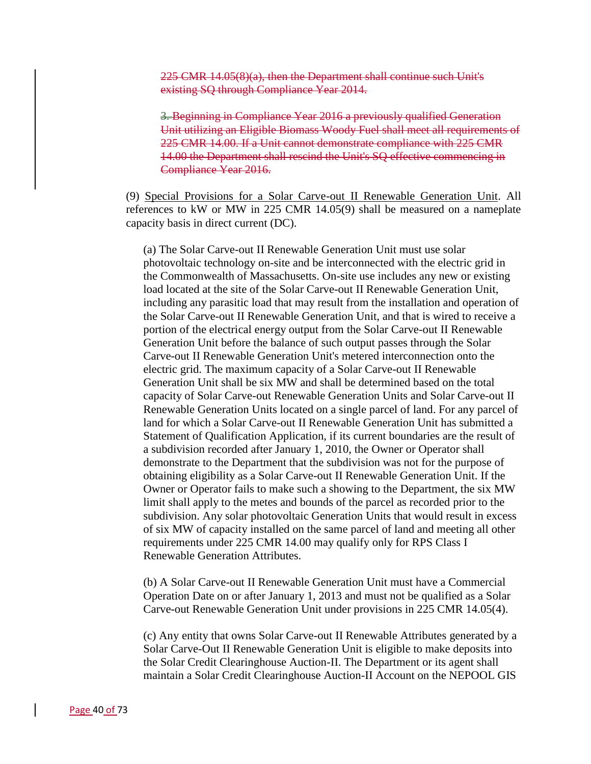225 CMR 14.05(8)(a), then the Department shall continue such Unit's existing SQ through Compliance Year 2014.

3. Beginning in Compliance Year 2016 a previously qualified Generation Unit utilizing an Eligible Biomass Woody Fuel shall meet all requirements of 225 CMR 14.00. If a Unit cannot demonstrate compliance with 225 CMR 14.00 the Department shall rescind the Unit's SQ effective commencing in Compliance Year 2016.

(9) Special Provisions for a Solar Carve-out II Renewable Generation Unit. All references to kW or MW in 225 CMR 14.05(9) shall be measured on a nameplate capacity basis in direct current (DC).

(a) The Solar Carve-out II Renewable Generation Unit must use solar photovoltaic technology on-site and be interconnected with the electric grid in the Commonwealth of Massachusetts. On-site use includes any new or existing load located at the site of the Solar Carve-out II Renewable Generation Unit, including any parasitic load that may result from the installation and operation of the Solar Carve-out II Renewable Generation Unit, and that is wired to receive a portion of the electrical energy output from the Solar Carve-out II Renewable Generation Unit before the balance of such output passes through the Solar Carve-out II Renewable Generation Unit's metered interconnection onto the electric grid. The maximum capacity of a Solar Carve-out II Renewable Generation Unit shall be six MW and shall be determined based on the total capacity of Solar Carve-out Renewable Generation Units and Solar Carve-out II Renewable Generation Units located on a single parcel of land. For any parcel of land for which a Solar Carve-out II Renewable Generation Unit has submitted a Statement of Qualification Application, if its current boundaries are the result of a subdivision recorded after January 1, 2010, the Owner or Operator shall demonstrate to the Department that the subdivision was not for the purpose of obtaining eligibility as a Solar Carve-out II Renewable Generation Unit. If the Owner or Operator fails to make such a showing to the Department, the six MW limit shall apply to the metes and bounds of the parcel as recorded prior to the subdivision. Any solar photovoltaic Generation Units that would result in excess of six MW of capacity installed on the same parcel of land and meeting all other requirements under 225 CMR 14.00 may qualify only for RPS Class I Renewable Generation Attributes.

(b) A Solar Carve-out II Renewable Generation Unit must have a Commercial Operation Date on or after January 1, 2013 and must not be qualified as a Solar Carve-out Renewable Generation Unit under provisions in 225 CMR 14.05(4).

(c) Any entity that owns Solar Carve-out II Renewable Attributes generated by a Solar Carve-Out II Renewable Generation Unit is eligible to make deposits into the Solar Credit Clearinghouse Auction-II. The Department or its agent shall maintain a Solar Credit Clearinghouse Auction-II Account on the NEPOOL GIS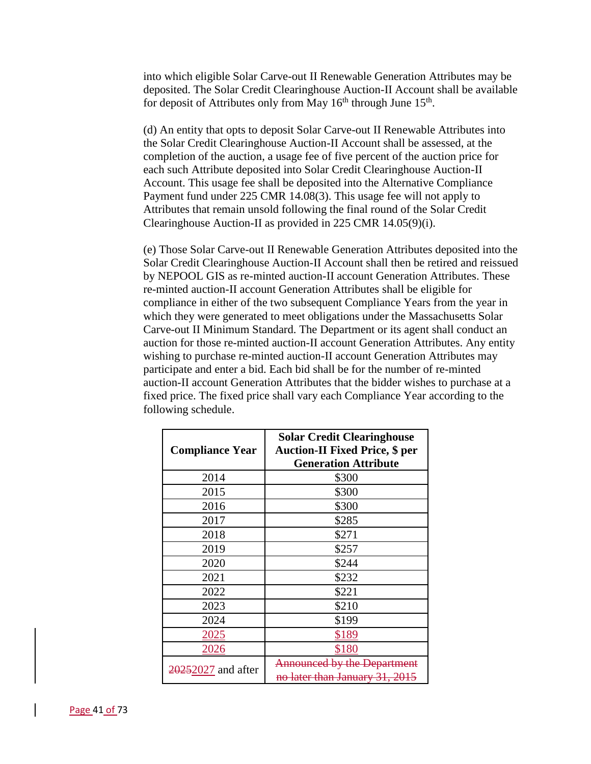into which eligible Solar Carve-out II Renewable Generation Attributes may be deposited. The Solar Credit Clearinghouse Auction-II Account shall be available for deposit of Attributes only from May  $16<sup>th</sup>$  through June  $15<sup>th</sup>$ .

(d) An entity that opts to deposit Solar Carve-out II Renewable Attributes into the Solar Credit Clearinghouse Auction-II Account shall be assessed, at the completion of the auction, a usage fee of five percent of the auction price for each such Attribute deposited into Solar Credit Clearinghouse Auction-II Account. This usage fee shall be deposited into the Alternative Compliance Payment fund under 225 CMR 14.08(3). This usage fee will not apply to Attributes that remain unsold following the final round of the Solar Credit Clearinghouse Auction-II as provided in 225 CMR 14.05(9)(i).

(e) Those Solar Carve-out II Renewable Generation Attributes deposited into the Solar Credit Clearinghouse Auction-II Account shall then be retired and reissued by NEPOOL GIS as re-minted auction-II account Generation Attributes. These re-minted auction-II account Generation Attributes shall be eligible for compliance in either of the two subsequent Compliance Years from the year in which they were generated to meet obligations under the Massachusetts Solar Carve-out II Minimum Standard. The Department or its agent shall conduct an auction for those re-minted auction-II account Generation Attributes. Any entity wishing to purchase re-minted auction-II account Generation Attributes may participate and enter a bid. Each bid shall be for the number of re-minted auction-II account Generation Attributes that the bidder wishes to purchase at a fixed price. The fixed price shall vary each Compliance Year according to the following schedule.

|                        | <b>Solar Credit Clearinghouse</b>                                    |
|------------------------|----------------------------------------------------------------------|
| <b>Compliance Year</b> | <b>Auction-II Fixed Price, \$ per</b>                                |
|                        | <b>Generation Attribute</b>                                          |
| 2014                   | \$300                                                                |
| 2015                   | \$300                                                                |
| 2016                   | \$300                                                                |
| 2017                   | \$285                                                                |
| 2018                   | \$271                                                                |
| 2019                   | \$257                                                                |
| 2020                   | \$244                                                                |
| 2021                   | \$232                                                                |
| 2022                   | \$221                                                                |
| 2023                   | \$210                                                                |
| 2024                   | \$199                                                                |
| 2025                   | \$189                                                                |
| 2026                   | \$180                                                                |
| 20252027 and after     | <b>Announced by the Department</b><br>no later than January 31, 2015 |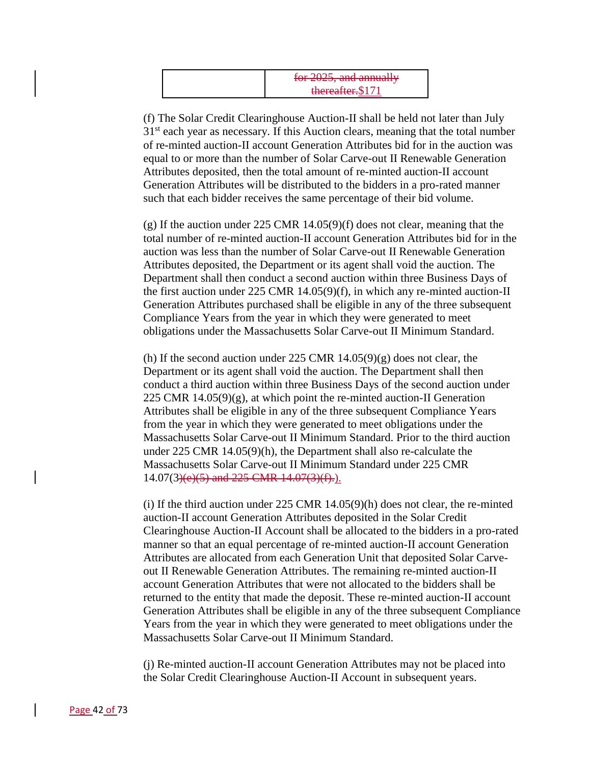| $\frac{1}{2}$ for $\frac{2025}{2}$ and annually<br>1 <del>01 2023, dhu annuan y</del> |
|---------------------------------------------------------------------------------------|
| thereafter.\$171                                                                      |

(f) The Solar Credit Clearinghouse Auction-II shall be held not later than July  $31<sup>st</sup>$  each year as necessary. If this Auction clears, meaning that the total number of re-minted auction-II account Generation Attributes bid for in the auction was equal to or more than the number of Solar Carve-out II Renewable Generation Attributes deposited, then the total amount of re-minted auction-II account Generation Attributes will be distributed to the bidders in a pro-rated manner such that each bidder receives the same percentage of their bid volume.

(g) If the auction under 225 CMR 14.05(9)(f) does not clear, meaning that the total number of re-minted auction-II account Generation Attributes bid for in the auction was less than the number of Solar Carve-out II Renewable Generation Attributes deposited, the Department or its agent shall void the auction. The Department shall then conduct a second auction within three Business Days of the first auction under 225 CMR 14.05(9)(f), in which any re-minted auction-II Generation Attributes purchased shall be eligible in any of the three subsequent Compliance Years from the year in which they were generated to meet obligations under the Massachusetts Solar Carve-out II Minimum Standard.

(h) If the second auction under 225 CMR  $14.05(9)(g)$  does not clear, the Department or its agent shall void the auction. The Department shall then conduct a third auction within three Business Days of the second auction under 225 CMR  $14.05(9)(g)$ , at which point the re-minted auction-II Generation Attributes shall be eligible in any of the three subsequent Compliance Years from the year in which they were generated to meet obligations under the Massachusetts Solar Carve-out II Minimum Standard. Prior to the third auction under 225 CMR 14.05(9)(h), the Department shall also re-calculate the Massachusetts Solar Carve-out II Minimum Standard under 225 CMR  $14.07(3)(e)(5)$  and  $225$  CMR  $14.07(3)(f)$ .

(i) If the third auction under 225 CMR 14.05(9)(h) does not clear, the re-minted auction-II account Generation Attributes deposited in the Solar Credit Clearinghouse Auction-II Account shall be allocated to the bidders in a pro-rated manner so that an equal percentage of re-minted auction-II account Generation Attributes are allocated from each Generation Unit that deposited Solar Carveout II Renewable Generation Attributes. The remaining re-minted auction-II account Generation Attributes that were not allocated to the bidders shall be returned to the entity that made the deposit. These re-minted auction-II account Generation Attributes shall be eligible in any of the three subsequent Compliance Years from the year in which they were generated to meet obligations under the Massachusetts Solar Carve-out II Minimum Standard.

(j) Re-minted auction-II account Generation Attributes may not be placed into the Solar Credit Clearinghouse Auction-II Account in subsequent years.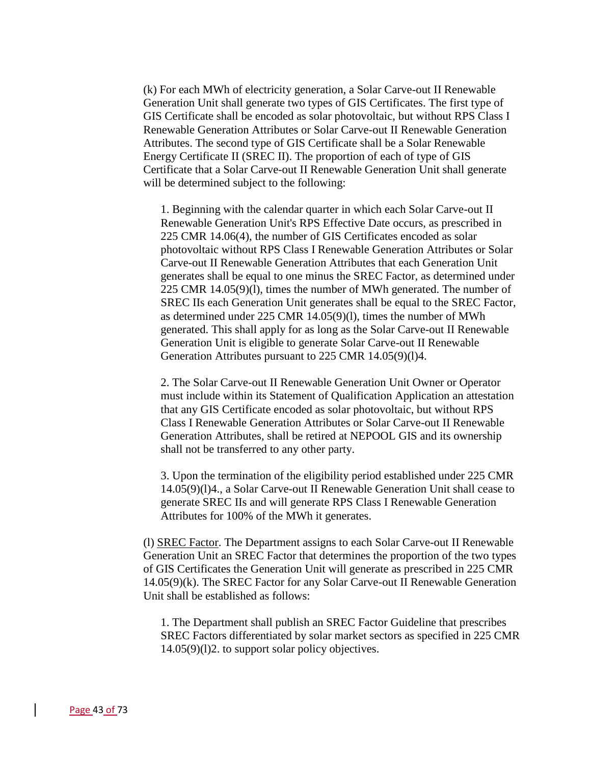(k) For each MWh of electricity generation, a Solar Carve-out II Renewable Generation Unit shall generate two types of GIS Certificates. The first type of GIS Certificate shall be encoded as solar photovoltaic, but without RPS Class I Renewable Generation Attributes or Solar Carve-out II Renewable Generation Attributes. The second type of GIS Certificate shall be a Solar Renewable Energy Certificate II (SREC II). The proportion of each of type of GIS Certificate that a Solar Carve-out II Renewable Generation Unit shall generate will be determined subject to the following:

1. Beginning with the calendar quarter in which each Solar Carve-out II Renewable Generation Unit's RPS Effective Date occurs, as prescribed in 225 CMR 14.06(4), the number of GIS Certificates encoded as solar photovoltaic without RPS Class I Renewable Generation Attributes or Solar Carve-out II Renewable Generation Attributes that each Generation Unit generates shall be equal to one minus the SREC Factor, as determined under 225 CMR 14.05(9)(l), times the number of MWh generated. The number of SREC IIs each Generation Unit generates shall be equal to the SREC Factor, as determined under 225 CMR 14.05(9)(l), times the number of MWh generated. This shall apply for as long as the Solar Carve-out II Renewable Generation Unit is eligible to generate Solar Carve-out II Renewable Generation Attributes pursuant to 225 CMR 14.05(9)(1)4.

2. The Solar Carve-out II Renewable Generation Unit Owner or Operator must include within its Statement of Qualification Application an attestation that any GIS Certificate encoded as solar photovoltaic, but without RPS Class I Renewable Generation Attributes or Solar Carve-out II Renewable Generation Attributes, shall be retired at NEPOOL GIS and its ownership shall not be transferred to any other party.

3. Upon the termination of the eligibility period established under 225 CMR 14.05(9)(l)4., a Solar Carve-out II Renewable Generation Unit shall cease to generate SREC IIs and will generate RPS Class I Renewable Generation Attributes for 100% of the MWh it generates.

(l) SREC Factor. The Department assigns to each Solar Carve-out II Renewable Generation Unit an SREC Factor that determines the proportion of the two types of GIS Certificates the Generation Unit will generate as prescribed in 225 CMR 14.05(9)(k). The SREC Factor for any Solar Carve-out II Renewable Generation Unit shall be established as follows:

1. The Department shall publish an SREC Factor Guideline that prescribes SREC Factors differentiated by solar market sectors as specified in 225 CMR 14.05(9)(l)2. to support solar policy objectives.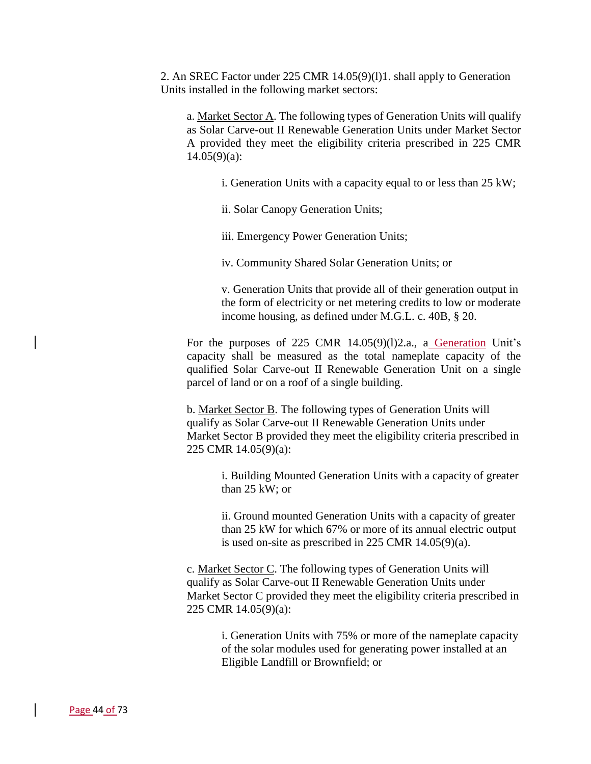2. An SREC Factor under 225 CMR 14.05(9)(l)1. shall apply to Generation Units installed in the following market sectors:

a. Market Sector A. The following types of Generation Units will qualify as Solar Carve-out II Renewable Generation Units under Market Sector A provided they meet the eligibility criteria prescribed in 225 CMR  $14.05(9)(a)$ :

i. Generation Units with a capacity equal to or less than 25 kW;

ii. Solar Canopy Generation Units;

iii. Emergency Power Generation Units;

iv. Community Shared Solar Generation Units; or

v. Generation Units that provide all of their generation output in the form of electricity or net metering credits to low or moderate income housing, as defined under M.G.L. c. 40B, § 20.

For the purposes of 225 CMR 14.05(9)(1)2.a., a Generation Unit's capacity shall be measured as the total nameplate capacity of the qualified Solar Carve-out II Renewable Generation Unit on a single parcel of land or on a roof of a single building.

b. Market Sector B. The following types of Generation Units will qualify as Solar Carve-out II Renewable Generation Units under Market Sector B provided they meet the eligibility criteria prescribed in 225 CMR 14.05(9)(a):

i. Building Mounted Generation Units with a capacity of greater than 25 kW; or

ii. Ground mounted Generation Units with a capacity of greater than 25 kW for which 67% or more of its annual electric output is used on-site as prescribed in 225 CMR 14.05(9)(a).

c. Market Sector C. The following types of Generation Units will qualify as Solar Carve-out II Renewable Generation Units under Market Sector C provided they meet the eligibility criteria prescribed in 225 CMR 14.05(9)(a):

> i. Generation Units with 75% or more of the nameplate capacity of the solar modules used for generating power installed at an Eligible Landfill or Brownfield; or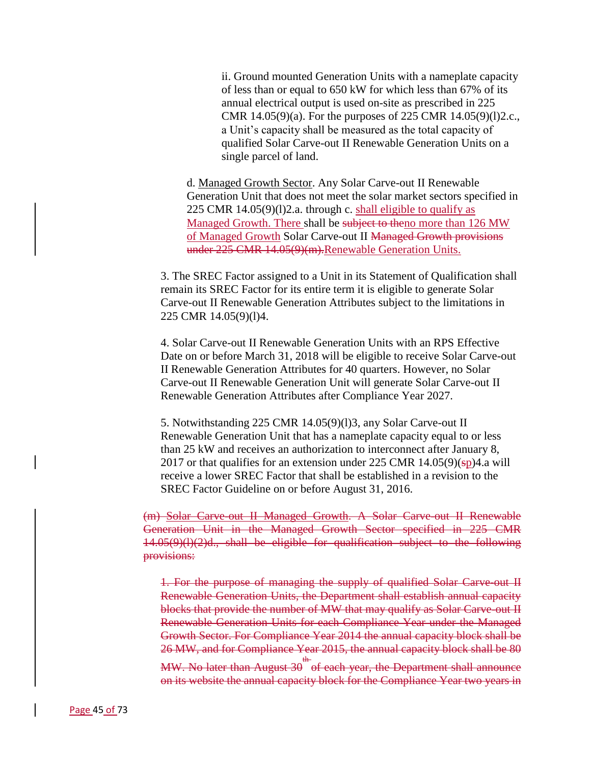ii. Ground mounted Generation Units with a nameplate capacity of less than or equal to 650 kW for which less than 67% of its annual electrical output is used on-site as prescribed in 225 CMR 14.05(9)(a). For the purposes of 225 CMR 14.05(9)(l)2.c., a Unit's capacity shall be measured as the total capacity of qualified Solar Carve-out II Renewable Generation Units on a single parcel of land.

d. Managed Growth Sector. Any Solar Carve-out II Renewable Generation Unit that does not meet the solar market sectors specified in 225 CMR 14.05(9)(l)2.a. through c. shall eligible to qualify as Managed Growth. There shall be subject to theno more than 126 MW of Managed Growth Solar Carve-out II Managed Growth provisions under 225 CMR 14.05(9)(m). Renewable Generation Units.

3. The SREC Factor assigned to a Unit in its Statement of Qualification shall remain its SREC Factor for its entire term it is eligible to generate Solar Carve-out II Renewable Generation Attributes subject to the limitations in 225 CMR 14.05(9)(l)4.

4. Solar Carve-out II Renewable Generation Units with an RPS Effective Date on or before March 31, 2018 will be eligible to receive Solar Carve-out II Renewable Generation Attributes for 40 quarters. However, no Solar Carve-out II Renewable Generation Unit will generate Solar Carve-out II Renewable Generation Attributes after Compliance Year 2027.

5. Notwithstanding 225 CMR 14.05(9)(l)3, any Solar Carve-out II Renewable Generation Unit that has a nameplate capacity equal to or less than 25 kW and receives an authorization to interconnect after January 8, 2017 or that qualifies for an extension under 225 CMR  $14.05(9)(sp)4$ .a will receive a lower SREC Factor that shall be established in a revision to the SREC Factor Guideline on or before August 31, 2016.

(m) Solar Carve-out II Managed Growth. A Solar Carve-out II Renewable Generation Unit in the Managed Growth Sector specified in 225 CMR 14.05(9)(l)(2)d., shall be eligible for qualification subject to the following provisions:

1. For the purpose of managing the supply of qualified Solar Carve-out II Renewable Generation Units, the Department shall establish annual capacity blocks that provide the number of MW that may qualify as Solar Carve-out II Renewable Generation Units for each Compliance Year under the Managed Growth Sector. For Compliance Year 2014 the annual capacity block shall be 26 MW, and for Compliance Year 2015, the annual capacity block shall be 80 MW. No later than August 30 <sup>th</sup> of each year, the Department shall announce on its website the annual capacity block for the Compliance Year two years in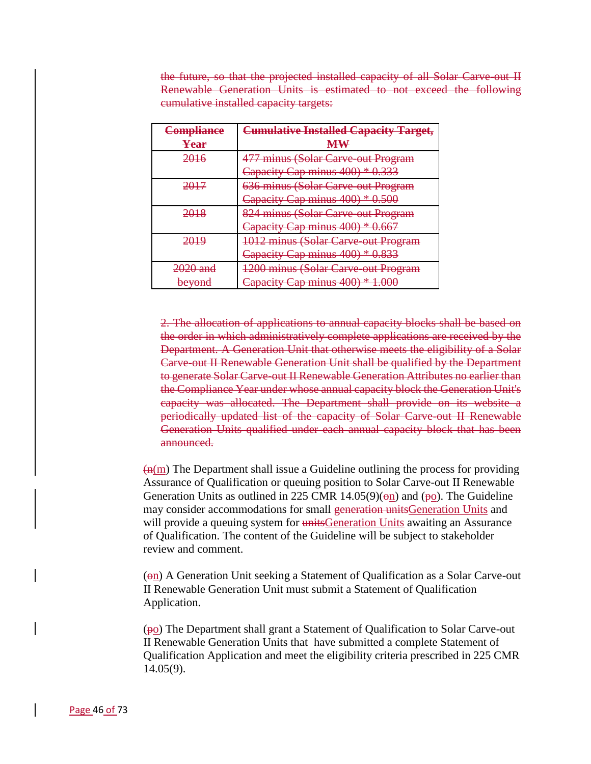the future, so that the projected installed capacity of all Solar Carve-out II Renewable Generation Units is estimated to not exceed the following cumulative installed capacity targets:

| Compliance<br>Year      | <b>Cumulative Installed Capacity Target,</b><br><b>MW</b> |
|-------------------------|-----------------------------------------------------------|
| ንበ16<br><del>∠∪⊥∪</del> | 477 minus (Solar Carve-out Program                        |
|                         | apacity Cap minus 400) * 0.333<br><del>Capacity</del>     |
|                         | 636 minus (Solar Carve out Program                        |
|                         | Capacity Cap minus 400) * 0.500                           |
|                         | 824 minus (Solar Carve out Program                        |
|                         | Capacity Cap minus 400) * 0.667                           |
| <del>2019</del>         | 1012 minus (Solar Carve-out Program                       |
|                         | Capacity Cap minus 400) * 0.833                           |
| <del>2020 and</del>     | 1200 minus (Solar Carve out Program                       |
| <b>beyond</b>           | Capacity Cap minus 400) * 1.000                           |

2. The allocation of applications to annual capacity blocks shall be based on the order in which administratively complete applications are received by the Department. A Generation Unit that otherwise meets the eligibility of a Solar Carve-out II Renewable Generation Unit shall be qualified by the Department to generate Solar Carve-out II Renewable Generation Attributes no earlier than the Compliance Year under whose annual capacity block the Generation Unit's capacity was allocated. The Department shall provide on its website a periodically updated list of the capacity of Solar Carve-out II Renewable Generation Units qualified under each annual capacity block that has been announced.

 $\left(\frac{m(m)}{m}\right)$  The Department shall issue a Guideline outlining the process for providing Assurance of Qualification or queuing position to Solar Carve-out II Renewable Generation Units as outlined in 225 CMR 14.05(9)( $\Theta$ n) and ( $\Theta$ o). The Guideline may consider accommodations for small generation units Generation Units and will provide a queuing system for unitsGeneration Units awaiting an Assurance of Qualification. The content of the Guideline will be subject to stakeholder review and comment.

(on) A Generation Unit seeking a Statement of Qualification as a Solar Carve-out II Renewable Generation Unit must submit a Statement of Qualification Application.

(po) The Department shall grant a Statement of Qualification to Solar Carve-out II Renewable Generation Units that have submitted a complete Statement of Qualification Application and meet the eligibility criteria prescribed in 225 CMR 14.05(9).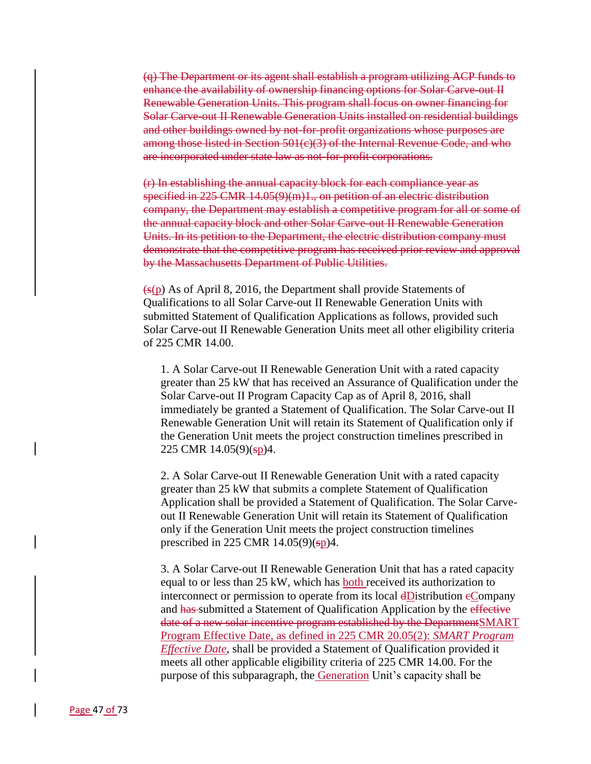(q) The Department or its agent shall establish a program utilizing ACP funds to enhance the availability of ownership financing options for Solar Carve-out II Renewable Generation Units. This program shall focus on owner financing for Solar Carve-out II Renewable Generation Units installed on residential buildings and other buildings owned by not-for-profit organizations whose purposes are among those listed in Section 501(e)(3) of the Internal Revenue Code, and who are incorporated under state law as not-for-profit corporations.

(r) In establishing the annual capacity block for each compliance year as specified in 225 CMR 14.05(9)(m)1., on petition of an electric distribution company, the Department may establish a competitive program for all or some of the annual capacity block and other Solar Carve-out II Renewable Generation Units. In its petition to the Department, the electric distribution company must demonstrate that the competitive program has received prior review and approval by the Massachusetts Department of Public Utilities.

 $\left(\frac{1}{5}(\text{p})\right)$  As of April 8, 2016, the Department shall provide Statements of Qualifications to all Solar Carve-out II Renewable Generation Units with submitted Statement of Qualification Applications as follows, provided such Solar Carve-out II Renewable Generation Units meet all other eligibility criteria of 225 CMR 14.00.

1. A Solar Carve-out II Renewable Generation Unit with a rated capacity greater than 25 kW that has received an Assurance of Qualification under the Solar Carve-out II Program Capacity Cap as of April 8, 2016, shall immediately be granted a Statement of Qualification. The Solar Carve-out II Renewable Generation Unit will retain its Statement of Qualification only if the Generation Unit meets the project construction timelines prescribed in 225 CMR 14.05(9)(sp)4.

2. A Solar Carve-out II Renewable Generation Unit with a rated capacity greater than 25 kW that submits a complete Statement of Qualification Application shall be provided a Statement of Qualification. The Solar Carveout II Renewable Generation Unit will retain its Statement of Qualification only if the Generation Unit meets the project construction timelines prescribed in 225 CMR  $14.05(9)(sp)4$ .

3. A Solar Carve-out II Renewable Generation Unit that has a rated capacity equal to or less than 25 kW, which has both received its authorization to interconnect or permission to operate from its local dDistribution eCompany and has submitted a Statement of Qualification Application by the effective date of a new solar incentive program established by the DepartmentSMART Program Effective Date, as defined in 225 CMR 20.05(2): *SMART Program Effective Date*, shall be provided a Statement of Qualification provided it meets all other applicable eligibility criteria of 225 CMR 14.00. For the purpose of this subparagraph, the Generation Unit's capacity shall be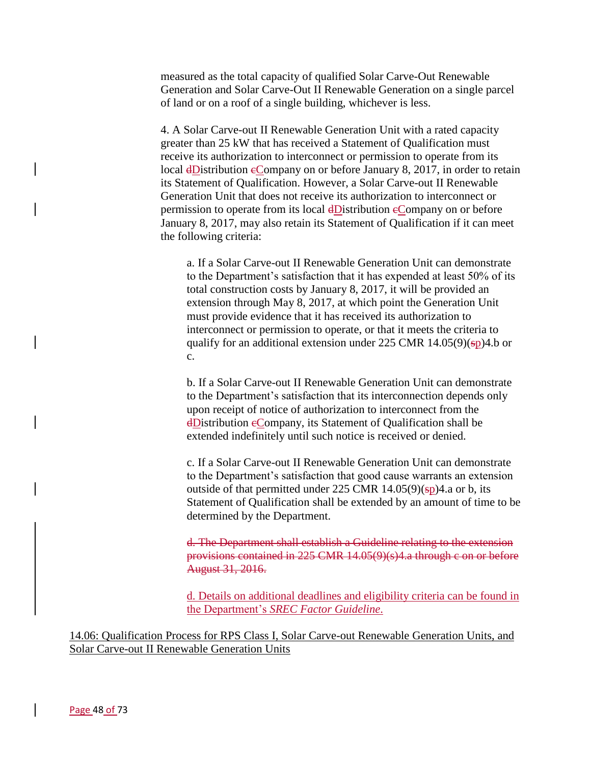measured as the total capacity of qualified Solar Carve-Out Renewable Generation and Solar Carve-Out II Renewable Generation on a single parcel of land or on a roof of a single building, whichever is less.

4. A Solar Carve-out II Renewable Generation Unit with a rated capacity greater than 25 kW that has received a Statement of Qualification must receive its authorization to interconnect or permission to operate from its local dDistribution eCompany on or before January 8, 2017, in order to retain its Statement of Qualification. However, a Solar Carve-out II Renewable Generation Unit that does not receive its authorization to interconnect or permission to operate from its local  $\frac{dD}{dt}$  is tribution  $\frac{dD}{dt}$  on or before January 8, 2017, may also retain its Statement of Qualification if it can meet the following criteria:

a. If a Solar Carve-out II Renewable Generation Unit can demonstrate to the Department's satisfaction that it has expended at least 50% of its total construction costs by January 8, 2017, it will be provided an extension through May 8, 2017, at which point the Generation Unit must provide evidence that it has received its authorization to interconnect or permission to operate, or that it meets the criteria to qualify for an additional extension under 225 CMR  $14.05(9)(sp)4.b$  or c.

b. If a Solar Carve-out II Renewable Generation Unit can demonstrate to the Department's satisfaction that its interconnection depends only upon receipt of notice of authorization to interconnect from the dDistribution cCompany, its Statement of Qualification shall be extended indefinitely until such notice is received or denied.

c. If a Solar Carve-out II Renewable Generation Unit can demonstrate to the Department's satisfaction that good cause warrants an extension outside of that permitted under 225 CMR  $14.05(9)(sp)4$ .a or b, its Statement of Qualification shall be extended by an amount of time to be determined by the Department.

d. The Department shall establish a Guideline relating to the extension provisions contained in 225 CMR 14.05(9)(s)4.a through c on or before August 31, 2016.

d. Details on additional deadlines and eligibility criteria can be found in the Department's *SREC Factor Guideline*.

14.06: Qualification Process for RPS Class I, Solar Carve-out Renewable Generation Units, and Solar Carve-out II Renewable Generation Units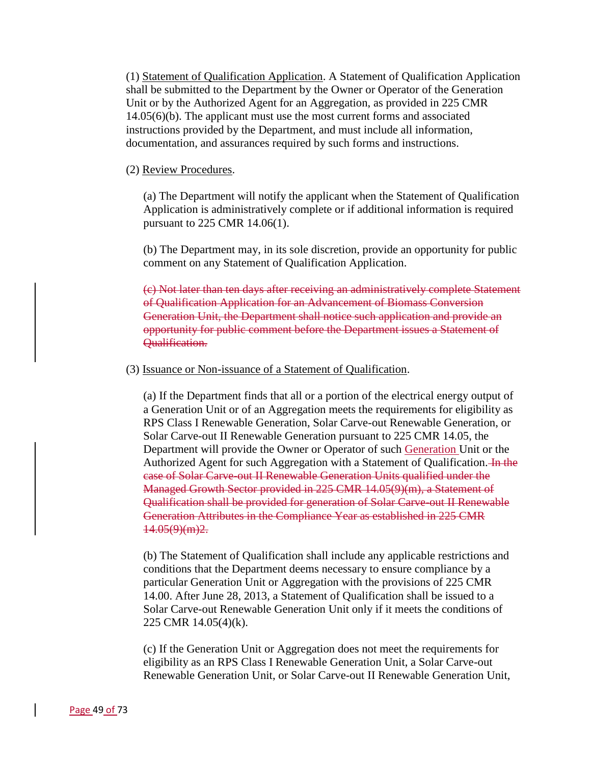(1) Statement of Qualification Application. A Statement of Qualification Application shall be submitted to the Department by the Owner or Operator of the Generation Unit or by the Authorized Agent for an Aggregation, as provided in 225 CMR 14.05(6)(b). The applicant must use the most current forms and associated instructions provided by the Department, and must include all information, documentation, and assurances required by such forms and instructions.

### (2) Review Procedures.

(a) The Department will notify the applicant when the Statement of Qualification Application is administratively complete or if additional information is required pursuant to 225 CMR 14.06(1).

(b) The Department may, in its sole discretion, provide an opportunity for public comment on any Statement of Qualification Application.

(c) Not later than ten days after receiving an administratively complete Statement of Qualification Application for an Advancement of Biomass Conversion Generation Unit, the Department shall notice such application and provide an opportunity for public comment before the Department issues a Statement of Qualification.

### (3) Issuance or Non-issuance of a Statement of Qualification.

(a) If the Department finds that all or a portion of the electrical energy output of a Generation Unit or of an Aggregation meets the requirements for eligibility as RPS Class I Renewable Generation, Solar Carve-out Renewable Generation, or Solar Carve-out II Renewable Generation pursuant to 225 CMR 14.05, the Department will provide the Owner or Operator of such Generation Unit or the Authorized Agent for such Aggregation with a Statement of Qualification. In the case of Solar Carve-out II Renewable Generation Units qualified under the Managed Growth Sector provided in 225 CMR 14.05(9)(m), a Statement of Qualification shall be provided for generation of Solar Carve-out II Renewable Generation Attributes in the Compliance Year as established in 225 CMR  $44.05(9)(m)2.$ 

(b) The Statement of Qualification shall include any applicable restrictions and conditions that the Department deems necessary to ensure compliance by a particular Generation Unit or Aggregation with the provisions of 225 CMR 14.00. After June 28, 2013, a Statement of Qualification shall be issued to a Solar Carve-out Renewable Generation Unit only if it meets the conditions of 225 CMR 14.05(4)(k).

(c) If the Generation Unit or Aggregation does not meet the requirements for eligibility as an RPS Class I Renewable Generation Unit, a Solar Carve-out Renewable Generation Unit, or Solar Carve-out II Renewable Generation Unit,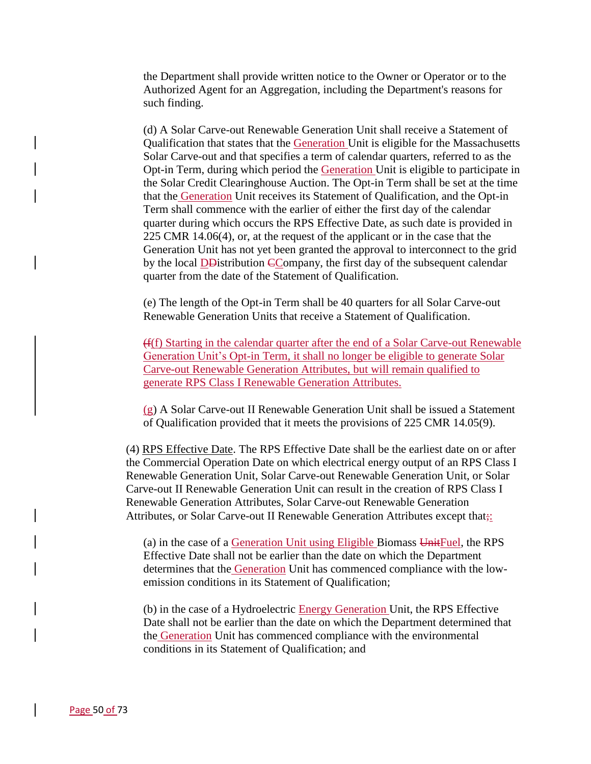the Department shall provide written notice to the Owner or Operator or to the Authorized Agent for an Aggregation, including the Department's reasons for such finding.

(d) A Solar Carve-out Renewable Generation Unit shall receive a Statement of Qualification that states that the Generation Unit is eligible for the Massachusetts Solar Carve-out and that specifies a term of calendar quarters, referred to as the Opt-in Term, during which period the Generation Unit is eligible to participate in the Solar Credit Clearinghouse Auction. The Opt-in Term shall be set at the time that the Generation Unit receives its Statement of Qualification, and the Opt-in Term shall commence with the earlier of either the first day of the calendar quarter during which occurs the RPS Effective Date, as such date is provided in 225 CMR 14.06(4), or, at the request of the applicant or in the case that the Generation Unit has not yet been granted the approval to interconnect to the grid by the local DD istribution CCompany, the first day of the subsequent calendar quarter from the date of the Statement of Qualification.

(e) The length of the Opt-in Term shall be 40 quarters for all Solar Carve-out Renewable Generation Units that receive a Statement of Qualification.

(f(f) Starting in the calendar quarter after the end of a Solar Carve-out Renewable Generation Unit's Opt-in Term, it shall no longer be eligible to generate Solar Carve-out Renewable Generation Attributes, but will remain qualified to generate RPS Class I Renewable Generation Attributes.

(g) A Solar Carve-out II Renewable Generation Unit shall be issued a Statement of Qualification provided that it meets the provisions of 225 CMR 14.05(9).

(4) RPS Effective Date. The RPS Effective Date shall be the earliest date on or after the Commercial Operation Date on which electrical energy output of an RPS Class I Renewable Generation Unit, Solar Carve-out Renewable Generation Unit, or Solar Carve-out II Renewable Generation Unit can result in the creation of RPS Class I Renewable Generation Attributes, Solar Carve-out Renewable Generation Attributes, or Solar Carve-out II Renewable Generation Attributes except that;

(a) in the case of a Generation Unit using Eligible Biomass UnitFuel, the RPS Effective Date shall not be earlier than the date on which the Department determines that the Generation Unit has commenced compliance with the lowemission conditions in its Statement of Qualification;

(b) in the case of a Hydroelectric Energy Generation Unit, the RPS Effective Date shall not be earlier than the date on which the Department determined that the Generation Unit has commenced compliance with the environmental conditions in its Statement of Qualification; and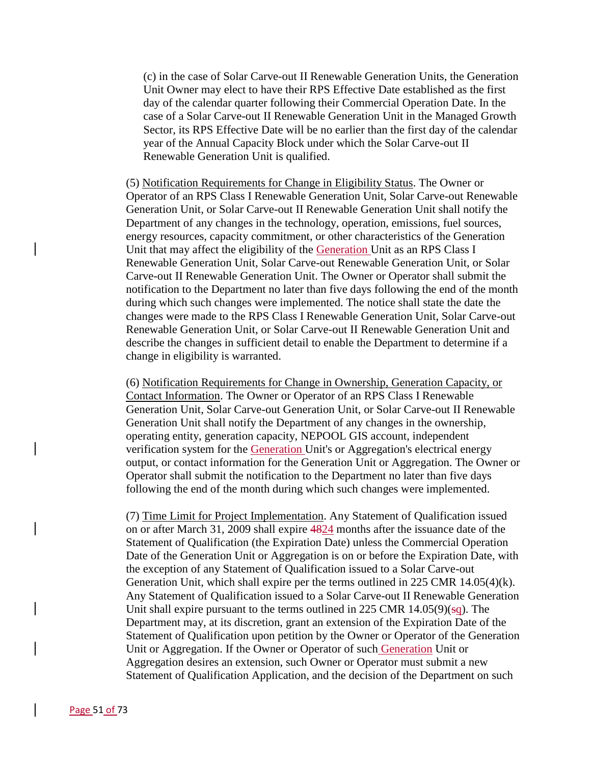(c) in the case of Solar Carve-out II Renewable Generation Units, the Generation Unit Owner may elect to have their RPS Effective Date established as the first day of the calendar quarter following their Commercial Operation Date. In the case of a Solar Carve-out II Renewable Generation Unit in the Managed Growth Sector, its RPS Effective Date will be no earlier than the first day of the calendar year of the Annual Capacity Block under which the Solar Carve-out II Renewable Generation Unit is qualified.

(5) Notification Requirements for Change in Eligibility Status. The Owner or Operator of an RPS Class I Renewable Generation Unit, Solar Carve-out Renewable Generation Unit, or Solar Carve-out II Renewable Generation Unit shall notify the Department of any changes in the technology, operation, emissions, fuel sources, energy resources, capacity commitment, or other characteristics of the Generation Unit that may affect the eligibility of the Generation Unit as an RPS Class I Renewable Generation Unit, Solar Carve-out Renewable Generation Unit, or Solar Carve-out II Renewable Generation Unit. The Owner or Operator shall submit the notification to the Department no later than five days following the end of the month during which such changes were implemented. The notice shall state the date the changes were made to the RPS Class I Renewable Generation Unit, Solar Carve-out Renewable Generation Unit, or Solar Carve-out II Renewable Generation Unit and describe the changes in sufficient detail to enable the Department to determine if a change in eligibility is warranted.

(6) Notification Requirements for Change in Ownership, Generation Capacity, or Contact Information. The Owner or Operator of an RPS Class I Renewable Generation Unit, Solar Carve-out Generation Unit, or Solar Carve-out II Renewable Generation Unit shall notify the Department of any changes in the ownership, operating entity, generation capacity, NEPOOL GIS account, independent verification system for the Generation Unit's or Aggregation's electrical energy output, or contact information for the Generation Unit or Aggregation. The Owner or Operator shall submit the notification to the Department no later than five days following the end of the month during which such changes were implemented.

(7) Time Limit for Project Implementation. Any Statement of Qualification issued on or after March 31, 2009 shall expire 4824 months after the issuance date of the Statement of Qualification (the Expiration Date) unless the Commercial Operation Date of the Generation Unit or Aggregation is on or before the Expiration Date, with the exception of any Statement of Qualification issued to a Solar Carve-out Generation Unit, which shall expire per the terms outlined in 225 CMR 14.05(4)(k). Any Statement of Qualification issued to a Solar Carve-out II Renewable Generation Unit shall expire pursuant to the terms outlined in 225 CMR  $14.05(9)(\frac{1}{9}$ . The Department may, at its discretion, grant an extension of the Expiration Date of the Statement of Qualification upon petition by the Owner or Operator of the Generation Unit or Aggregation. If the Owner or Operator of such Generation Unit or Aggregation desires an extension, such Owner or Operator must submit a new Statement of Qualification Application, and the decision of the Department on such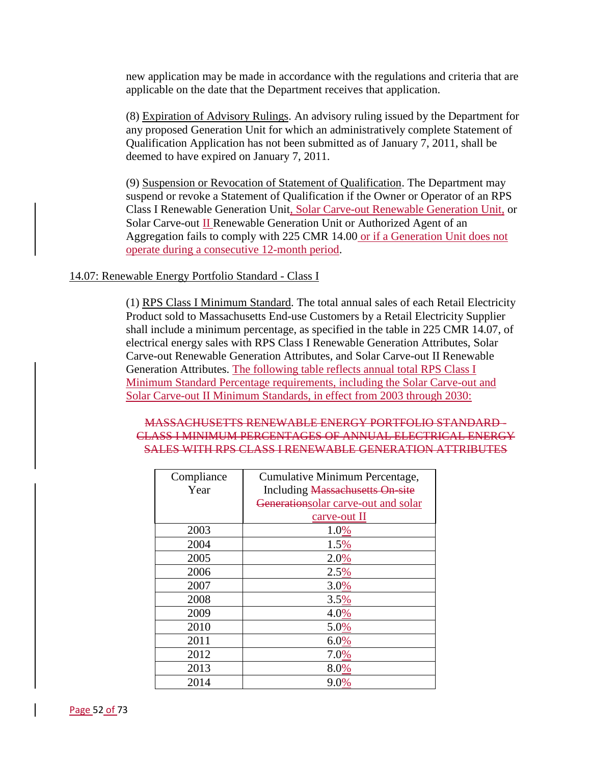new application may be made in accordance with the regulations and criteria that are applicable on the date that the Department receives that application.

(8) Expiration of Advisory Rulings. An advisory ruling issued by the Department for any proposed Generation Unit for which an administratively complete Statement of Qualification Application has not been submitted as of January 7, 2011, shall be deemed to have expired on January 7, 2011.

(9) Suspension or Revocation of Statement of Qualification. The Department may suspend or revoke a Statement of Qualification if the Owner or Operator of an RPS Class I Renewable Generation Unit, Solar Carve-out Renewable Generation Unit, or Solar Carve-out II Renewable Generation Unit or Authorized Agent of an Aggregation fails to comply with 225 CMR 14.00 or if a Generation Unit does not operate during a consecutive 12-month period.

# 14.07: Renewable Energy Portfolio Standard - Class I

(1) RPS Class I Minimum Standard. The total annual sales of each Retail Electricity Product sold to Massachusetts End-use Customers by a Retail Electricity Supplier shall include a minimum percentage, as specified in the table in 225 CMR 14.07, of electrical energy sales with RPS Class I Renewable Generation Attributes, Solar Carve-out Renewable Generation Attributes, and Solar Carve-out II Renewable Generation Attributes. The following table reflects annual total RPS Class I Minimum Standard Percentage requirements, including the Solar Carve-out and Solar Carve-out II Minimum Standards, in effect from 2003 through 2030:

# MASSACHUSETTS RENEWABLE ENERGY PORTFOLIO STANDARD - CLASS I MINIMUM PERCENTAGES OF ANNUAL ELECTRICAL ENERGY SALES WITH RPS CLASS I RENEWABLE GENERATION ATTRIBUTES

| Compliance | Cumulative Minimum Percentage,      |
|------------|-------------------------------------|
| Year       | Including Massachusetts On site     |
|            | Generationsolar carve-out and solar |
|            | carve-out II                        |
| 2003       | 1.0%                                |
| 2004       | 1.5%                                |
| 2005       | 2.0%                                |
| 2006       | 2.5%                                |
| 2007       | 3.0%                                |
| 2008       | 3.5%                                |
| 2009       | 4.0%                                |
| 2010       | 5.0%                                |
| 2011       | 6.0%                                |
| 2012       | 7.0%                                |
| 2013       | 8.0%                                |
| 2014       | 9.0%                                |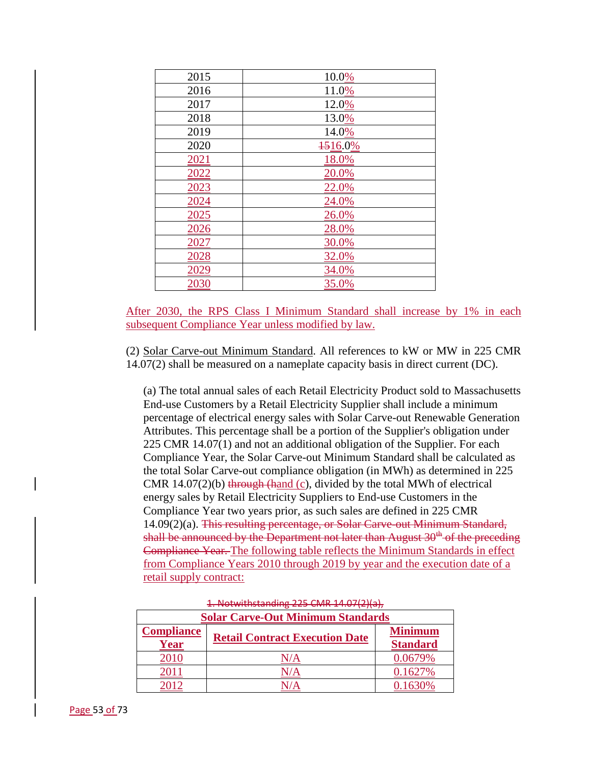| 2015 | 10.0%   |
|------|---------|
| 2016 | 11.0%   |
| 2017 | 12.0%   |
| 2018 | 13.0%   |
| 2019 | 14.0%   |
| 2020 | 1516.0% |
| 2021 | 18.0%   |
| 2022 | 20.0%   |
| 2023 | 22.0%   |
| 2024 | 24.0%   |
| 2025 | 26.0%   |
| 2026 | 28.0%   |
| 2027 | 30.0%   |
| 2028 | 32.0%   |
| 2029 | 34.0%   |
| 2030 | 35.0%   |

After 2030, the RPS Class I Minimum Standard shall increase by 1% in each subsequent Compliance Year unless modified by law.

(2) Solar Carve-out Minimum Standard. All references to kW or MW in 225 CMR 14.07(2) shall be measured on a nameplate capacity basis in direct current (DC).

(a) The total annual sales of each Retail Electricity Product sold to Massachusetts End-use Customers by a Retail Electricity Supplier shall include a minimum percentage of electrical energy sales with Solar Carve-out Renewable Generation Attributes. This percentage shall be a portion of the Supplier's obligation under 225 CMR 14.07(1) and not an additional obligation of the Supplier. For each Compliance Year, the Solar Carve-out Minimum Standard shall be calculated as the total Solar Carve-out compliance obligation (in MWh) as determined in 225 CMR  $14.07(2)(b)$  through (hand (c), divided by the total MWh of electrical energy sales by Retail Electricity Suppliers to End-use Customers in the Compliance Year two years prior, as such sales are defined in 225 CMR 14.09(2)(a). This resulting percentage, or Solar Carve-out Minimum Standard, shall be announced by the Department not later than August  $30<sup>th</sup>$  of the preceding Compliance Year. The following table reflects the Minimum Standards in effect from Compliance Years 2010 through 2019 by year and the execution date of a retail supply contract:

| <b>Solar Carve-Out Minimum Standards</b> |                                       |                                   |
|------------------------------------------|---------------------------------------|-----------------------------------|
| <b>Compliance</b><br>Year                | <b>Retail Contract Execution Date</b> | <b>Minimum</b><br><b>Standard</b> |
| 2010                                     |                                       | 0.0679%                           |
|                                          |                                       | $0.1627\%$                        |
|                                          |                                       |                                   |

1. Notwithstanding 225 CMR 14.07(2)(a),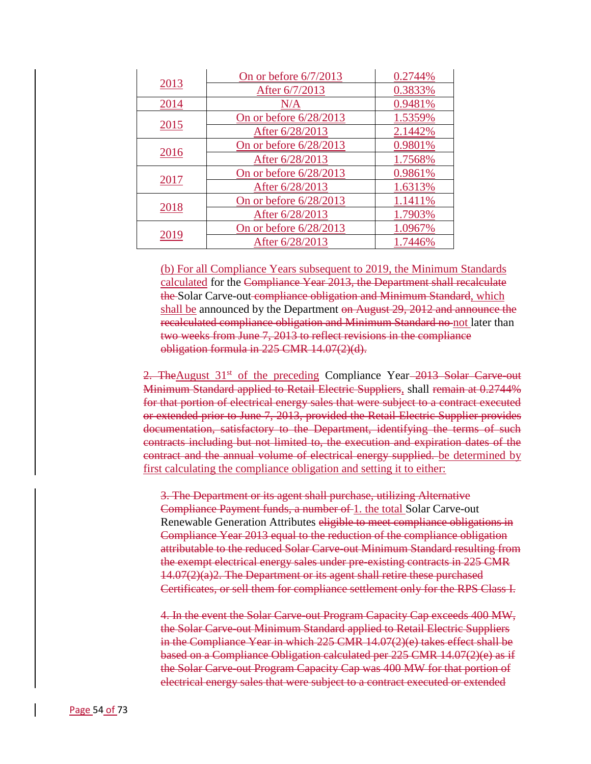| 2013 | On or before $6/7/2013$ | 0.2744% |
|------|-------------------------|---------|
|      | After 6/7/2013          | 0.3833% |
| 2014 | N/A                     | 0.9481% |
| 2015 | On or before 6/28/2013  | 1.5359% |
|      | After 6/28/2013         | 2.1442% |
| 2016 | On or before 6/28/2013  | 0.9801% |
|      | After 6/28/2013         | 1.7568% |
| 2017 | On or before 6/28/2013  | 0.9861% |
|      | After 6/28/2013         | 1.6313% |
| 2018 | On or before 6/28/2013  | 1.1411% |
|      | After 6/28/2013         | 1.7903% |
| 2019 | On or before 6/28/2013  | 1.0967% |
|      | After 6/28/2013         | 1.7446% |

(b) For all Compliance Years subsequent to 2019, the Minimum Standards calculated for the Compliance Year 2013, the Department shall recalculate the Solar Carve-out compliance obligation and Minimum Standard, which shall be announced by the Department on August 29, 2012 and announce the recalculated compliance obligation and Minimum Standard no not later than two weeks from June 7, 2013 to reflect revisions in the compliance obligation formula in 225 CMR 14.07(2)(d).

2. TheAugust 31<sup>st</sup> of the preceding Compliance Year–2013 Solar–Carve-out Minimum Standard applied to Retail Electric Suppliers, shall remain at 0.2744% for that portion of electrical energy sales that were subject to a contract executed or extended prior to June 7, 2013, provided the Retail Electric Supplier provides documentation, satisfactory to the Department, identifying the terms of such contracts including but not limited to, the execution and expiration dates of the contract and the annual volume of electrical energy supplied. be determined by first calculating the compliance obligation and setting it to either:

3. The Department or its agent shall purchase, utilizing Alternative Compliance Payment funds, a number of 1. the total Solar Carve-out Renewable Generation Attributes eligible to meet compliance obligations in Compliance Year 2013 equal to the reduction of the compliance obligation attributable to the reduced Solar Carve-out Minimum Standard resulting from the exempt electrical energy sales under pre-existing contracts in 225 CMR  $14.07(2)(a)2$ . The Department or its agent shall retire these purchased Certificates, or sell them for compliance settlement only for the RPS Class I.

4. In the event the Solar Carve-out Program Capacity Cap exceeds 400 MW, the Solar Carve-out Minimum Standard applied to Retail Electric Suppliers in the Compliance Year in which 225 CMR 14.07(2)(e) takes effect shall be based on a Compliance Obligation calculated per 225 CMR 14.07(2)(e) as if the Solar Carve-out Program Capacity Cap was 400 MW for that portion of electrical energy sales that were subject to a contract executed or extended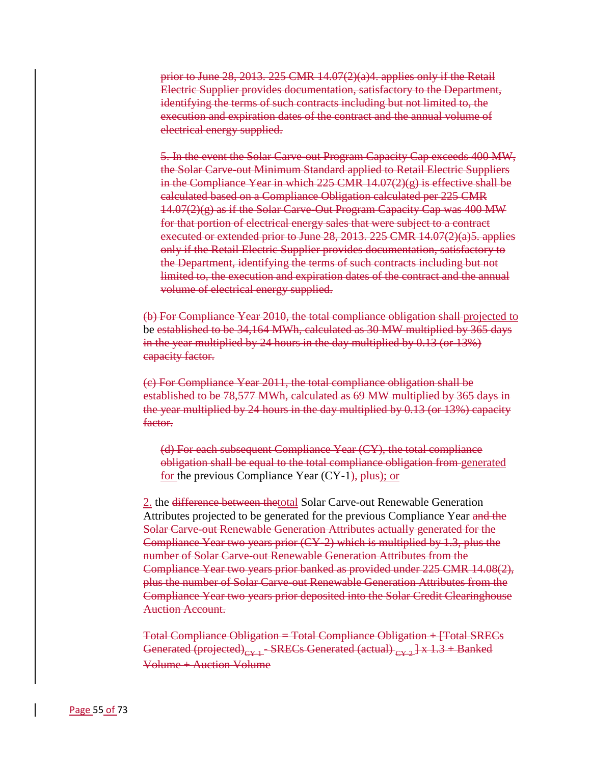prior to June 28, 2013. 225 CMR  $14.07(2)(a)4$ . applies only if the Retail Electric Supplier provides documentation, satisfactory to the Department, identifying the terms of such contracts including but not limited to, the execution and expiration dates of the contract and the annual volume of electrical energy supplied.

5. In the event the Solar Carve-out Program Capacity Cap exceeds 400 MW, the Solar Carve-out Minimum Standard applied to Retail Electric Suppliers in the Compliance Year in which 225 CMR  $14.07(2)(g)$  is effective shall be calculated based on a Compliance Obligation calculated per 225 CMR 14.07(2)(g) as if the Solar Carve-Out Program Capacity Cap was 400 MW for that portion of electrical energy sales that were subject to a contract executed or extended prior to June 28, 2013. 225 CMR 14.07(2)(a)5. applies only if the Retail Electric Supplier provides documentation, satisfactory to the Department, identifying the terms of such contracts including but not limited to, the execution and expiration dates of the contract and the annual volume of electrical energy supplied.

(b) For Compliance Year 2010, the total compliance obligation shall projected to be established to be 34,164 MWh, calculated as 30 MW multiplied by 365 days in the year multiplied by 24 hours in the day multiplied by 0.13 (or 13%) capacity factor.

(c) For Compliance Year 2011, the total compliance obligation shall be established to be 78,577 MWh, calculated as 69 MW multiplied by 365 days in the year multiplied by 24 hours in the day multiplied by 0.13 (or 13%) capacity factor.

(d) For each subsequent Compliance Year (CY), the total compliance obligation shall be equal to the total compliance obligation from generated for the previous Compliance Year (CY-1), plus); or

2. the <del>difference between thetotal</del> Solar Carve-out Renewable Generation Attributes projected to be generated for the previous Compliance Year and the Solar Carve-out Renewable Generation Attributes actually generated for the Compliance Year two years prior (CY-2) which is multiplied by 1.3, plus the number of Solar Carve-out Renewable Generation Attributes from the Compliance Year two years prior banked as provided under 225 CMR 14.08(2), plus the number of Solar Carve-out Renewable Generation Attributes from the Compliance Year two years prior deposited into the Solar Credit Clearinghouse Auction Account.

Total Compliance Obligation = Total Compliance Obligation + [Total SRECs Generated (projected)<sub>CY-1</sub> - SRECs Generated (actual)  $_{CY-2}$  | x 1.3 + Banked Volume + Auction Volume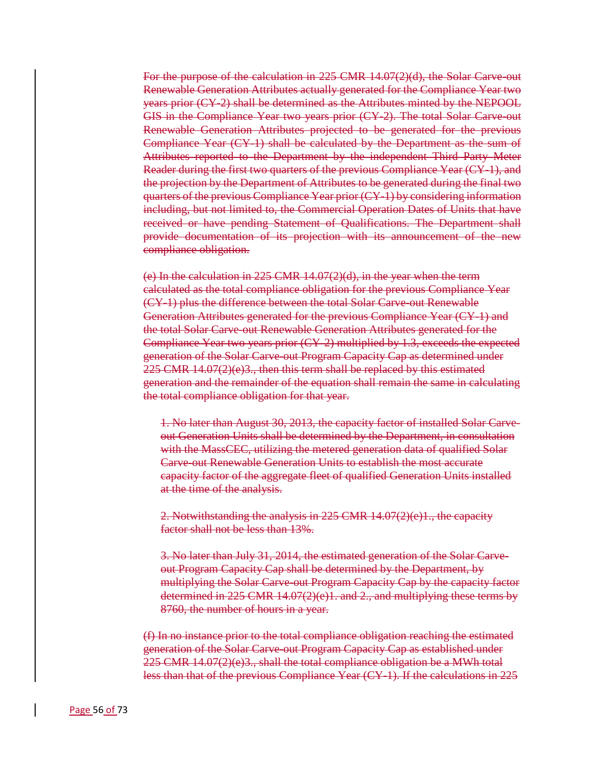For the purpose of the calculation in 225 CMR 14.07(2)(d), the Solar Carve-out Renewable Generation Attributes actually generated for the Compliance Year two years prior (CY-2) shall be determined as the Attributes minted by the NEPOOL GIS in the Compliance Year two years prior (CY-2). The total Solar Carve-out Renewable Generation Attributes projected to be generated for the previous Compliance Year (CY-1) shall be calculated by the Department as the sum of Attributes reported to the Department by the independent Third Party Meter Reader during the first two quarters of the previous Compliance Year (CY-1), and the projection by the Department of Attributes to be generated during the final two quarters of the previous Compliance Year prior (CY-1) by considering information including, but not limited to, the Commercial Operation Dates of Units that have received or have pending Statement of Qualifications. The Department shall provide documentation of its projection with its announcement of the new compliance obligation.

(e) In the calculation in 225 CMR 14.07(2)(d), in the year when the term calculated as the total compliance obligation for the previous Compliance Year (CY-1) plus the difference between the total Solar Carve-out Renewable Generation Attributes generated for the previous Compliance Year (CY-1) and the total Solar Carve-out Renewable Generation Attributes generated for the Compliance Year two years prior (CY-2) multiplied by 1.3, exceeds the expected generation of the Solar Carve-out Program Capacity Cap as determined under 225 CMR 14.07(2)(e)3., then this term shall be replaced by this estimated generation and the remainder of the equation shall remain the same in calculating the total compliance obligation for that year.

1. No later than August 30, 2013, the capacity factor of installed Solar Carveout Generation Units shall be determined by the Department, in consultation with the MassCEC, utilizing the metered generation data of qualified Solar Carve-out Renewable Generation Units to establish the most accurate capacity factor of the aggregate fleet of qualified Generation Units installed at the time of the analysis.

2. Notwithstanding the analysis in 225 CMR 14.07(2)(e)1., the capacity factor shall not be less than 13%.

3. No later than July 31, 2014, the estimated generation of the Solar Carveout Program Capacity Cap shall be determined by the Department, by multiplying the Solar Carve-out Program Capacity Cap by the capacity factor determined in 225 CMR 14.07(2)(e)1. and 2., and multiplying these terms by 8760, the number of hours in a year.

(f) In no instance prior to the total compliance obligation reaching the estimated generation of the Solar Carve-out Program Capacity Cap as established under  $225$  CMR 14.07 $(2)(e)3$ ., shall the total compliance obligation be a MWh total less than that of the previous Compliance Year (CY-1). If the calculations in 225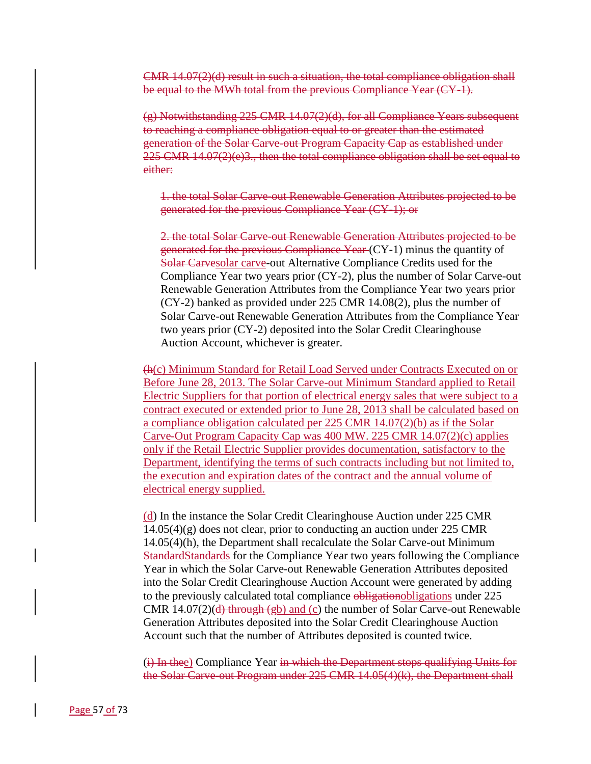CMR 14.07(2)(d) result in such a situation, the total compliance obligation shall be equal to the MWh total from the previous Compliance Year (CY-1).

(g) Notwithstanding 225 CMR 14.07(2)(d), for all Compliance Years subsequent to reaching a compliance obligation equal to or greater than the estimated generation of the Solar Carve-out Program Capacity Cap as established under 225 CMR 14.07(2)(e)3., then the total compliance obligation shall be set equal to either:

1. the total Solar Carve-out Renewable Generation Attributes projected to be generated for the previous Compliance Year (CY-1); or

2. the total Solar Carve-out Renewable Generation Attributes projected to be generated for the previous Compliance Year (CY-1) minus the quantity of Solar Carvesolar carve-out Alternative Compliance Credits used for the Compliance Year two years prior (CY-2), plus the number of Solar Carve-out Renewable Generation Attributes from the Compliance Year two years prior (CY-2) banked as provided under 225 CMR 14.08(2), plus the number of Solar Carve-out Renewable Generation Attributes from the Compliance Year two years prior (CY-2) deposited into the Solar Credit Clearinghouse Auction Account, whichever is greater.

(h(c) Minimum Standard for Retail Load Served under Contracts Executed on or Before June 28, 2013. The Solar Carve-out Minimum Standard applied to Retail Electric Suppliers for that portion of electrical energy sales that were subject to a contract executed or extended prior to June 28, 2013 shall be calculated based on a compliance obligation calculated per 225 CMR 14.07(2)(b) as if the Solar Carve-Out Program Capacity Cap was 400 MW. 225 CMR 14.07(2)(c) applies only if the Retail Electric Supplier provides documentation, satisfactory to the Department, identifying the terms of such contracts including but not limited to, the execution and expiration dates of the contract and the annual volume of electrical energy supplied.

(d) In the instance the Solar Credit Clearinghouse Auction under 225 CMR 14.05(4)(g) does not clear, prior to conducting an auction under 225 CMR 14.05(4)(h), the Department shall recalculate the Solar Carve-out Minimum StandardStandards for the Compliance Year two years following the Compliance Year in which the Solar Carve-out Renewable Generation Attributes deposited into the Solar Credit Clearinghouse Auction Account were generated by adding to the previously calculated total compliance obligationobligations under 225 CMR 14.07(2)( $\frac{d}{dt}$  through ( $\frac{g}{d}$ ) and (c) the number of Solar Carve-out Renewable Generation Attributes deposited into the Solar Credit Clearinghouse Auction Account such that the number of Attributes deposited is counted twice.

(i) In thee) Compliance Year in which the Department stops qualifying Units for the Solar Carve-out Program under 225 CMR 14.05(4)(k), the Department shall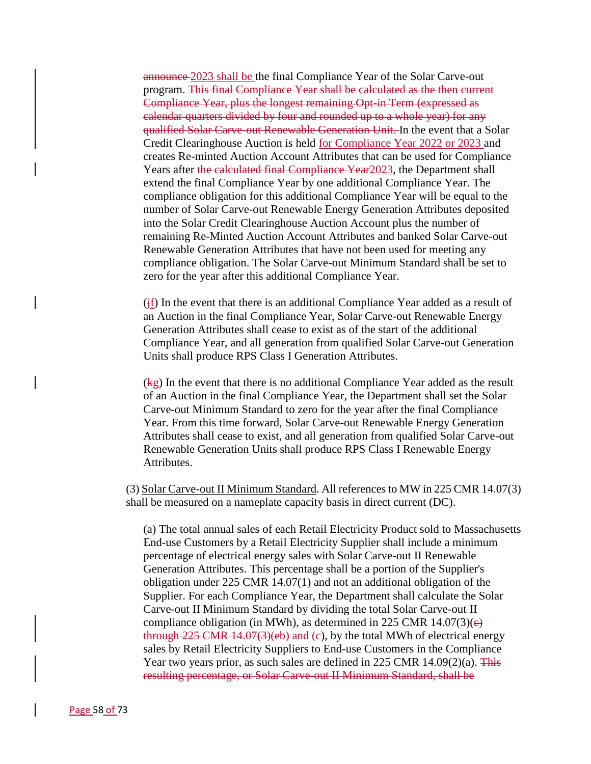announce 2023 shall be the final Compliance Year of the Solar Carve-out program. This final Compliance Year shall be calculated as the then current Compliance Year, plus the longest remaining Opt-in Term (expressed as calendar quarters divided by four and rounded up to a whole year) for any qualified Solar Carve-out Renewable Generation Unit. In the event that a Solar Credit Clearinghouse Auction is held for Compliance Year 2022 or 2023 and creates Re-minted Auction Account Attributes that can be used for Compliance Years after the calculated final Compliance Year2023, the Department shall extend the final Compliance Year by one additional Compliance Year. The compliance obligation for this additional Compliance Year will be equal to the number of Solar Carve-out Renewable Energy Generation Attributes deposited into the Solar Credit Clearinghouse Auction Account plus the number of remaining Re-Minted Auction Account Attributes and banked Solar Carve-out Renewable Generation Attributes that have not been used for meeting any compliance obligation. The Solar Carve-out Minimum Standard shall be set to zero for the year after this additional Compliance Year.

 $(i)$  In the event that there is an additional Compliance Year added as a result of an Auction in the final Compliance Year, Solar Carve-out Renewable Energy Generation Attributes shall cease to exist as of the start of the additional Compliance Year, and all generation from qualified Solar Carve-out Generation Units shall produce RPS Class I Generation Attributes.

(kg) In the event that there is no additional Compliance Year added as the result of an Auction in the final Compliance Year, the Department shall set the Solar Carve-out Minimum Standard to zero for the year after the final Compliance Year. From this time forward, Solar Carve-out Renewable Energy Generation Attributes shall cease to exist, and all generation from qualified Solar Carve-out Renewable Generation Units shall produce RPS Class I Renewable Energy Attributes.

(3) Solar Carve-out II Minimum Standard. All references to MW in 225 CMR 14.07(3) shall be measured on a nameplate capacity basis in direct current (DC).

(a) The total annual sales of each Retail Electricity Product sold to Massachusetts End-use Customers by a Retail Electricity Supplier shall include a minimum percentage of electrical energy sales with Solar Carve-out II Renewable Generation Attributes. This percentage shall be a portion of the Supplier's obligation under 225 CMR 14.07(1) and not an additional obligation of the Supplier. For each Compliance Year, the Department shall calculate the Solar Carve-out II Minimum Standard by dividing the total Solar Carve-out II compliance obligation (in MWh), as determined in 225 CMR 14.07(3) $(e)$ through  $225$  CMR  $14.07(3)(eb)$  and (c), by the total MWh of electrical energy sales by Retail Electricity Suppliers to End-use Customers in the Compliance Year two years prior, as such sales are defined in 225 CMR 14.09(2)(a). This resulting percentage, or Solar Carve-out II Minimum Standard, shall be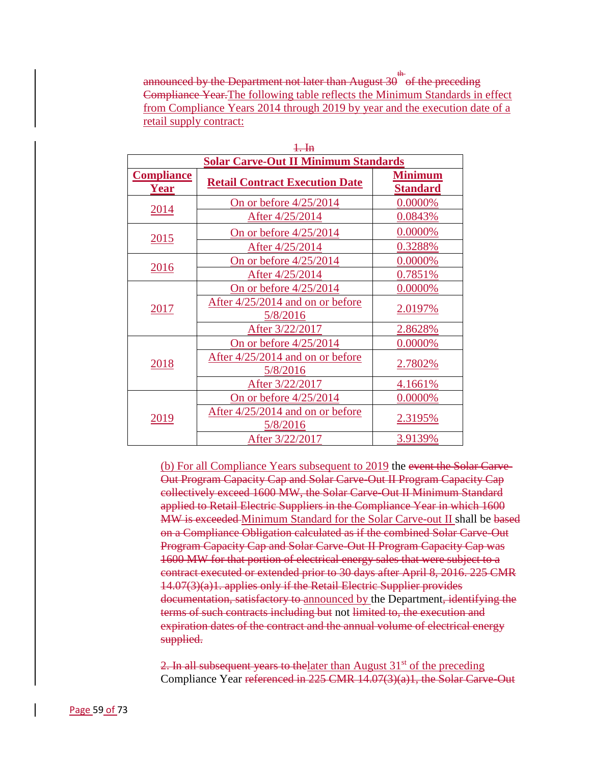announced by the Department not later than August 30  $^{\text{th}}$  of the preceding  $^{\text{th}}$ Compliance Year.The following table reflects the Minimum Standards in effect from Compliance Years 2014 through 2019 by year and the execution date of a retail supply contract:

| $1.$ In                          |                                              |                                   |  |
|----------------------------------|----------------------------------------------|-----------------------------------|--|
|                                  | <b>Solar Carve-Out II Minimum Standards</b>  |                                   |  |
| <b>Compliance</b><br><b>Year</b> | <b>Retail Contract Execution Date</b>        | <b>Minimum</b><br><b>Standard</b> |  |
| 2014                             | On or before $4/25/2014$                     | 0.0000%                           |  |
|                                  | After 4/25/2014                              | 0.0843%                           |  |
| 2015                             | On or before 4/25/2014                       | 0.0000%                           |  |
|                                  | After 4/25/2014                              | 0.3288%                           |  |
|                                  | On or before $4/25/2014$                     | $0.0000\%$                        |  |
| 2016                             | After 4/25/2014                              | 0.7851%                           |  |
| 2017                             | On or before $4/25/2014$                     | 0.0000%                           |  |
|                                  | After 4/25/2014 and on or before<br>5/8/2016 | <u>2.0197%</u>                    |  |
|                                  | After 3/22/2017                              | 2.8628%                           |  |
| 2018                             | On or before 4/25/2014                       | 0.0000%                           |  |
|                                  | After 4/25/2014 and on or before<br>5/8/2016 | 2.7802%                           |  |
|                                  | After 3/22/2017                              | 4.1661%                           |  |
| 2019                             | On or before 4/25/2014                       | 0.0000%                           |  |
|                                  | After 4/25/2014 and on or before<br>5/8/2016 | 2.3195%                           |  |
|                                  | After 3/22/2017                              | 3.9139%                           |  |

(b) For all Compliance Years subsequent to 2019 the event the Solar Carve-Out Program Capacity Cap and Solar Carve-Out II Program Capacity Cap collectively exceed 1600 MW, the Solar Carve-Out II Minimum Standard applied to Retail Electric Suppliers in the Compliance Year in which 1600 MW is exceeded Minimum Standard for the Solar Carve-out II shall be based on a Compliance Obligation calculated as if the combined Solar Carve-Out Program Capacity Cap and Solar Carve-Out II Program Capacity Cap was 1600 MW for that portion of electrical energy sales that were subject to a contract executed or extended prior to 30 days after April 8, 2016. 225 CMR 14.07(3)(a)1. applies only if the Retail Electric Supplier provides documentation, satisfactory to announced by the Department, identifying the terms of such contracts including but not limited to, the execution and expiration dates of the contract and the annual volume of electrical energy supplied.

2. In all subsequent years to the later than August  $31<sup>st</sup>$  of the preceding Compliance Year referenced in 225 CMR 14.07(3)(a)1, the Solar Carve-Out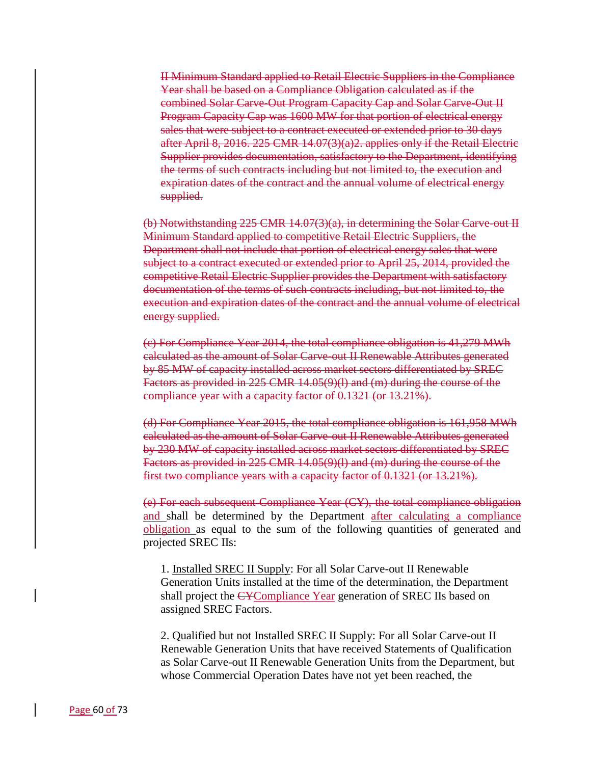II Minimum Standard applied to Retail Electric Suppliers in the Compliance Year shall be based on a Compliance Obligation calculated as if the combined Solar Carve-Out Program Capacity Cap and Solar Carve-Out II Program Capacity Cap was 1600 MW for that portion of electrical energy sales that were subject to a contract executed or extended prior to 30 days after April 8, 2016. 225 CMR 14.07(3)(a)2. applies only if the Retail Electric Supplier provides documentation, satisfactory to the Department, identifying the terms of such contracts including but not limited to, the execution and expiration dates of the contract and the annual volume of electrical energy supplied.

(b) Notwithstanding 225 CMR 14.07(3)(a), in determining the Solar Carve-out II Minimum Standard applied to competitive Retail Electric Suppliers, the Department shall not include that portion of electrical energy sales that were subject to a contract executed or extended prior to April 25, 2014, provided the competitive Retail Electric Supplier provides the Department with satisfactory documentation of the terms of such contracts including, but not limited to, the execution and expiration dates of the contract and the annual volume of electrical energy supplied.

(c) For Compliance Year 2014, the total compliance obligation is 41,279 MWh calculated as the amount of Solar Carve-out II Renewable Attributes generated by 85 MW of capacity installed across market sectors differentiated by SREC Factors as provided in 225 CMR 14.05(9)(l) and (m) during the course of the compliance year with a capacity factor of 0.1321 (or 13.21%).

(d) For Compliance Year 2015, the total compliance obligation is 161,958 MWh calculated as the amount of Solar Carve-out II Renewable Attributes generated by 230 MW of capacity installed across market sectors differentiated by SREC Factors as provided in 225 CMR 14.05(9)(l) and (m) during the course of the first two compliance years with a capacity factor of 0.1321 (or 13.21%).

(e) For each subsequent Compliance Year (CY), the total compliance obligation and shall be determined by the Department after calculating a compliance obligation as equal to the sum of the following quantities of generated and projected SREC IIs:

1. Installed SREC II Supply: For all Solar Carve-out II Renewable Generation Units installed at the time of the determination, the Department shall project the CYCompliance Year generation of SREC IIs based on assigned SREC Factors.

2. Qualified but not Installed SREC II Supply: For all Solar Carve-out II Renewable Generation Units that have received Statements of Qualification as Solar Carve-out II Renewable Generation Units from the Department, but whose Commercial Operation Dates have not yet been reached, the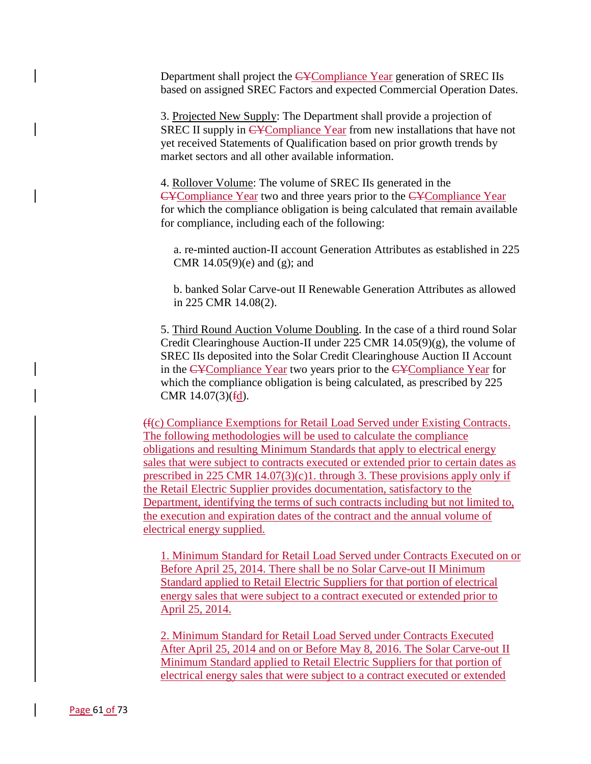Department shall project the CYCompliance Year generation of SREC IIs based on assigned SREC Factors and expected Commercial Operation Dates.

3. Projected New Supply: The Department shall provide a projection of SREC II supply in CYCompliance Year from new installations that have not yet received Statements of Qualification based on prior growth trends by market sectors and all other available information.

4. Rollover Volume: The volume of SREC IIs generated in the CYCompliance Year two and three years prior to the CYCompliance Year for which the compliance obligation is being calculated that remain available for compliance, including each of the following:

a. re-minted auction-II account Generation Attributes as established in 225 CMR  $14.05(9)(e)$  and  $(g)$ ; and

b. banked Solar Carve-out II Renewable Generation Attributes as allowed in 225 CMR 14.08(2).

5. Third Round Auction Volume Doubling. In the case of a third round Solar Credit Clearinghouse Auction-II under 225 CMR  $14.05(9)(g)$ , the volume of SREC IIs deposited into the Solar Credit Clearinghouse Auction II Account in the CYCompliance Year two years prior to the CYCompliance Year for which the compliance obligation is being calculated, as prescribed by 225 CMR  $14.07(3)(\text{fd})$ .

(f(c) Compliance Exemptions for Retail Load Served under Existing Contracts. The following methodologies will be used to calculate the compliance obligations and resulting Minimum Standards that apply to electrical energy sales that were subject to contracts executed or extended prior to certain dates as prescribed in 225 CMR  $14.07(3)(c)1$ . through 3. These provisions apply only if the Retail Electric Supplier provides documentation, satisfactory to the Department, identifying the terms of such contracts including but not limited to, the execution and expiration dates of the contract and the annual volume of electrical energy supplied.

1. Minimum Standard for Retail Load Served under Contracts Executed on or Before April 25, 2014. There shall be no Solar Carve-out II Minimum Standard applied to Retail Electric Suppliers for that portion of electrical energy sales that were subject to a contract executed or extended prior to April 25, 2014.

2. Minimum Standard for Retail Load Served under Contracts Executed After April 25, 2014 and on or Before May 8, 2016. The Solar Carve-out II Minimum Standard applied to Retail Electric Suppliers for that portion of electrical energy sales that were subject to a contract executed or extended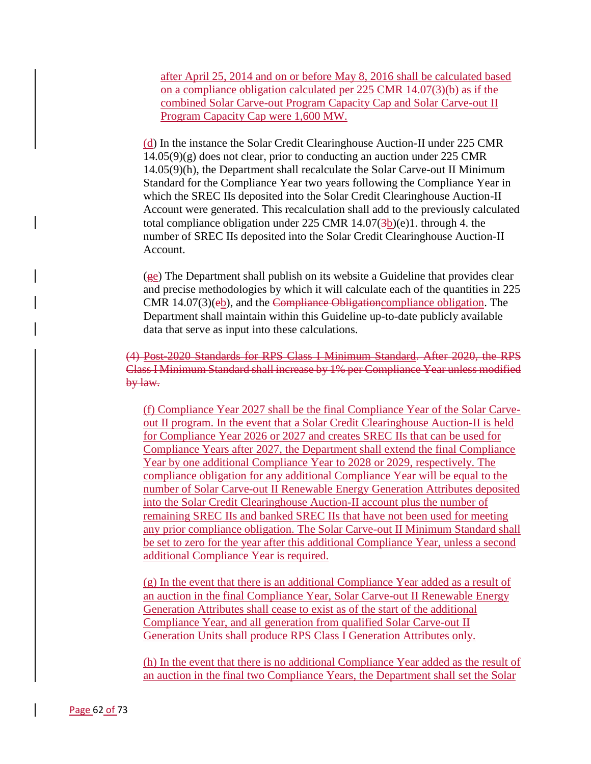after April 25, 2014 and on or before May 8, 2016 shall be calculated based on a compliance obligation calculated per 225 CMR 14.07(3)(b) as if the combined Solar Carve-out Program Capacity Cap and Solar Carve-out II Program Capacity Cap were 1,600 MW.

(d) In the instance the Solar Credit Clearinghouse Auction-II under 225 CMR 14.05(9)(g) does not clear, prior to conducting an auction under 225 CMR 14.05(9)(h), the Department shall recalculate the Solar Carve-out II Minimum Standard for the Compliance Year two years following the Compliance Year in which the SREC IIs deposited into the Solar Credit Clearinghouse Auction-II Account were generated. This recalculation shall add to the previously calculated total compliance obligation under  $225$  CMR  $14.07(3b)(e)1$ . through 4. the number of SREC IIs deposited into the Solar Credit Clearinghouse Auction-II Account.

 $(ge)$  The Department shall publish on its website a Guideline that provides clear and precise methodologies by which it will calculate each of the quantities in 225 CMR 14.07(3)(eb), and the Compliance Obligationcompliance obligation. The Department shall maintain within this Guideline up-to-date publicly available data that serve as input into these calculations.

(4) Post-2020 Standards for RPS Class I Minimum Standard. After 2020, the RPS Class I Minimum Standard shall increase by 1% per Compliance Year unless modified by law.

(f) Compliance Year 2027 shall be the final Compliance Year of the Solar Carveout II program. In the event that a Solar Credit Clearinghouse Auction-II is held for Compliance Year 2026 or 2027 and creates SREC IIs that can be used for Compliance Years after 2027, the Department shall extend the final Compliance Year by one additional Compliance Year to 2028 or 2029, respectively. The compliance obligation for any additional Compliance Year will be equal to the number of Solar Carve-out II Renewable Energy Generation Attributes deposited into the Solar Credit Clearinghouse Auction-II account plus the number of remaining SREC IIs and banked SREC IIs that have not been used for meeting any prior compliance obligation. The Solar Carve-out II Minimum Standard shall be set to zero for the year after this additional Compliance Year, unless a second additional Compliance Year is required.

(g) In the event that there is an additional Compliance Year added as a result of an auction in the final Compliance Year, Solar Carve-out II Renewable Energy Generation Attributes shall cease to exist as of the start of the additional Compliance Year, and all generation from qualified Solar Carve-out II Generation Units shall produce RPS Class I Generation Attributes only.

(h) In the event that there is no additional Compliance Year added as the result of an auction in the final two Compliance Years, the Department shall set the Solar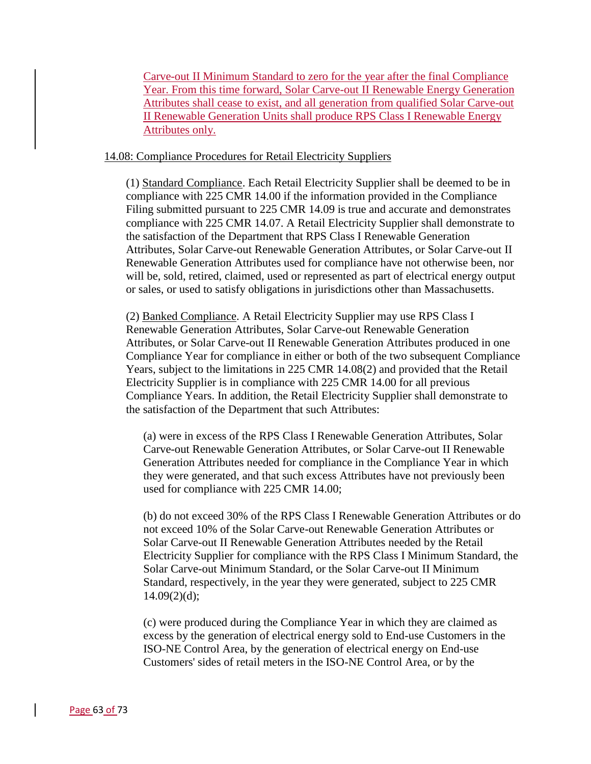Carve-out II Minimum Standard to zero for the year after the final Compliance Year. From this time forward, Solar Carve-out II Renewable Energy Generation Attributes shall cease to exist, and all generation from qualified Solar Carve-out II Renewable Generation Units shall produce RPS Class I Renewable Energy Attributes only.

### 14.08: Compliance Procedures for Retail Electricity Suppliers

(1) Standard Compliance. Each Retail Electricity Supplier shall be deemed to be in compliance with 225 CMR 14.00 if the information provided in the Compliance Filing submitted pursuant to 225 CMR 14.09 is true and accurate and demonstrates compliance with 225 CMR 14.07. A Retail Electricity Supplier shall demonstrate to the satisfaction of the Department that RPS Class I Renewable Generation Attributes, Solar Carve-out Renewable Generation Attributes, or Solar Carve-out II Renewable Generation Attributes used for compliance have not otherwise been, nor will be, sold, retired, claimed, used or represented as part of electrical energy output or sales, or used to satisfy obligations in jurisdictions other than Massachusetts.

(2) Banked Compliance. A Retail Electricity Supplier may use RPS Class I Renewable Generation Attributes, Solar Carve-out Renewable Generation Attributes, or Solar Carve-out II Renewable Generation Attributes produced in one Compliance Year for compliance in either or both of the two subsequent Compliance Years, subject to the limitations in 225 CMR 14.08(2) and provided that the Retail Electricity Supplier is in compliance with 225 CMR 14.00 for all previous Compliance Years. In addition, the Retail Electricity Supplier shall demonstrate to the satisfaction of the Department that such Attributes:

(a) were in excess of the RPS Class I Renewable Generation Attributes, Solar Carve-out Renewable Generation Attributes, or Solar Carve-out II Renewable Generation Attributes needed for compliance in the Compliance Year in which they were generated, and that such excess Attributes have not previously been used for compliance with 225 CMR 14.00;

(b) do not exceed 30% of the RPS Class I Renewable Generation Attributes or do not exceed 10% of the Solar Carve-out Renewable Generation Attributes or Solar Carve-out II Renewable Generation Attributes needed by the Retail Electricity Supplier for compliance with the RPS Class I Minimum Standard, the Solar Carve-out Minimum Standard, or the Solar Carve-out II Minimum Standard, respectively, in the year they were generated, subject to 225 CMR  $14.09(2)(d);$ 

(c) were produced during the Compliance Year in which they are claimed as excess by the generation of electrical energy sold to End-use Customers in the ISO-NE Control Area, by the generation of electrical energy on End-use Customers' sides of retail meters in the ISO-NE Control Area, or by the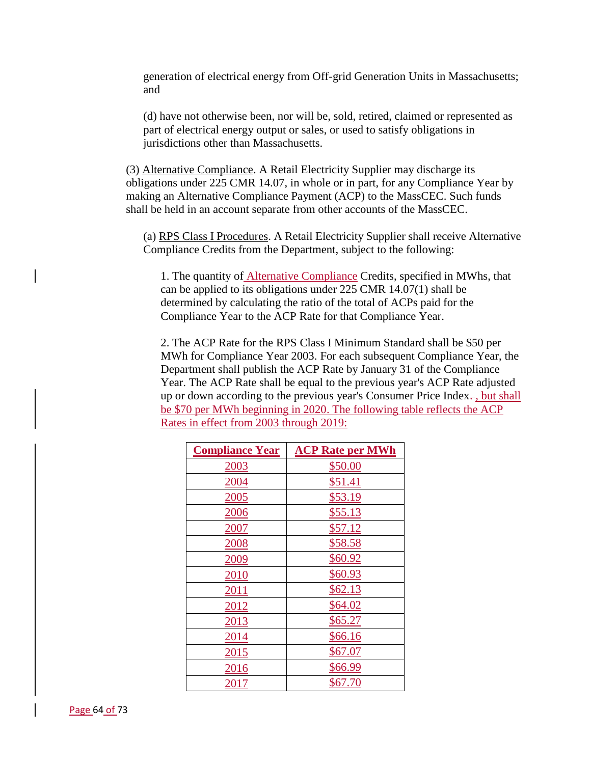generation of electrical energy from Off-grid Generation Units in Massachusetts; and

(d) have not otherwise been, nor will be, sold, retired, claimed or represented as part of electrical energy output or sales, or used to satisfy obligations in jurisdictions other than Massachusetts.

(3) Alternative Compliance. A Retail Electricity Supplier may discharge its obligations under 225 CMR 14.07, in whole or in part, for any Compliance Year by making an Alternative Compliance Payment (ACP) to the MassCEC. Such funds shall be held in an account separate from other accounts of the MassCEC.

(a) RPS Class I Procedures. A Retail Electricity Supplier shall receive Alternative Compliance Credits from the Department, subject to the following:

1. The quantity of Alternative Compliance Credits, specified in MWhs, that can be applied to its obligations under 225 CMR 14.07(1) shall be determined by calculating the ratio of the total of ACPs paid for the Compliance Year to the ACP Rate for that Compliance Year.

2. The ACP Rate for the RPS Class I Minimum Standard shall be \$50 per MWh for Compliance Year 2003. For each subsequent Compliance Year, the Department shall publish the ACP Rate by January 31 of the Compliance Year. The ACP Rate shall be equal to the previous year's ACP Rate adjusted up or down according to the previous year's Consumer Price Index $\div$ , but shall be \$70 per MWh beginning in 2020. The following table reflects the ACP Rates in effect from 2003 through 2019:

| <b>Compliance Year</b> | <b>ACP Rate per MWh</b> |
|------------------------|-------------------------|
| 2003                   | \$50.00                 |
| 2004                   | \$51.41                 |
| 2005                   | \$53.19                 |
| 2006                   | \$55.13                 |
| 2007                   | \$57.12                 |
| 2008                   | \$58.58                 |
| 2009                   | \$60.92                 |
| 2010                   | \$60.93                 |
| 2011                   | \$62.13                 |
| <u> 2012 </u>          | \$64.02                 |
| 2013                   | \$65.27                 |
| 2014                   | \$66.16                 |
| 2015                   | \$67.07                 |
| 2016                   | \$66.99                 |
| 2017                   | \$67.70                 |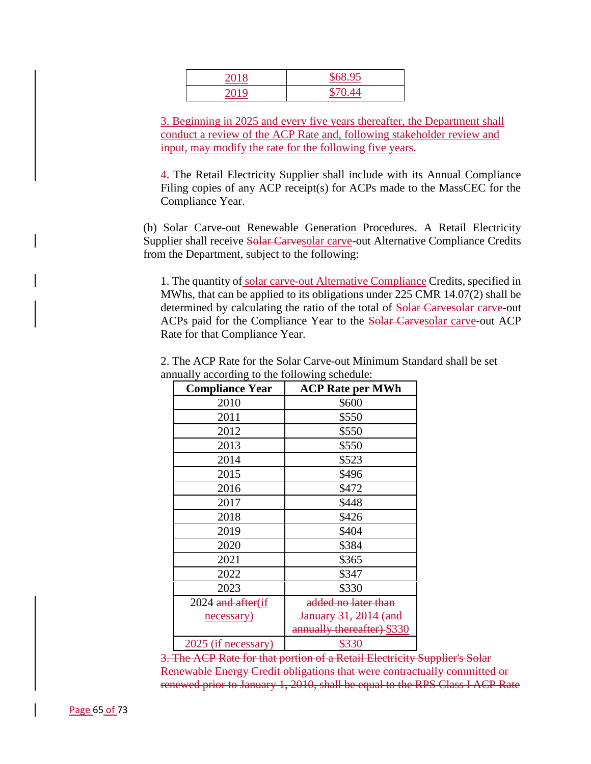| 2018 | \$68.95     |
|------|-------------|
| 2010 | 0.44<br>C71 |

3. Beginning in 2025 and every five years thereafter, the Department shall conduct a review of the ACP Rate and, following stakeholder review and input, may modify the rate for the following five years.

4. The Retail Electricity Supplier shall include with its Annual Compliance Filing copies of any ACP receipt(s) for ACPs made to the MassCEC for the Compliance Year.

(b) Solar Carve-out Renewable Generation Procedures. A Retail Electricity Supplier shall receive Solar Carvesolar carve-out Alternative Compliance Credits from the Department, subject to the following:

1. The quantity of solar carve-out Alternative Compliance Credits, specified in MWhs, that can be applied to its obligations under 225 CMR 14.07(2) shall be determined by calculating the ratio of the total of Solar Carvesolar carve-out ACPs paid for the Compliance Year to the Solar Carvesolar carve-out ACP Rate for that Compliance Year.

| <b>Compliance Year</b> | <b>ACP Rate per MWh</b>    |
|------------------------|----------------------------|
| 2010                   | \$600                      |
| 2011                   | \$550                      |
| 2012                   | \$550                      |
| 2013                   | \$550                      |
| 2014                   | \$523                      |
| 2015                   | \$496                      |
| 2016                   | \$472                      |
| 2017                   | \$448                      |
| 2018                   | \$426                      |
| 2019                   | \$404                      |
| 2020                   | \$384                      |
| 2021                   | \$365                      |
| 2022                   | \$347                      |
| 2023                   | \$330                      |
| 2024 and after (if     | added no later than        |
| necessary)             | January 31, 2014 (and      |
|                        | annually thereafter) \$330 |
| 2025 (if necessary)    | \$330                      |

2. The ACP Rate for the Solar Carve-out Minimum Standard shall be set annually according to the following schedule:

3. The ACP Rate for that portion of a Retail Electricity Supplier's Solar Renewable Energy Credit obligations that were contractually committed or renewed prior to January 1, 2010, shall be equal to the RPS Class I ACP Rate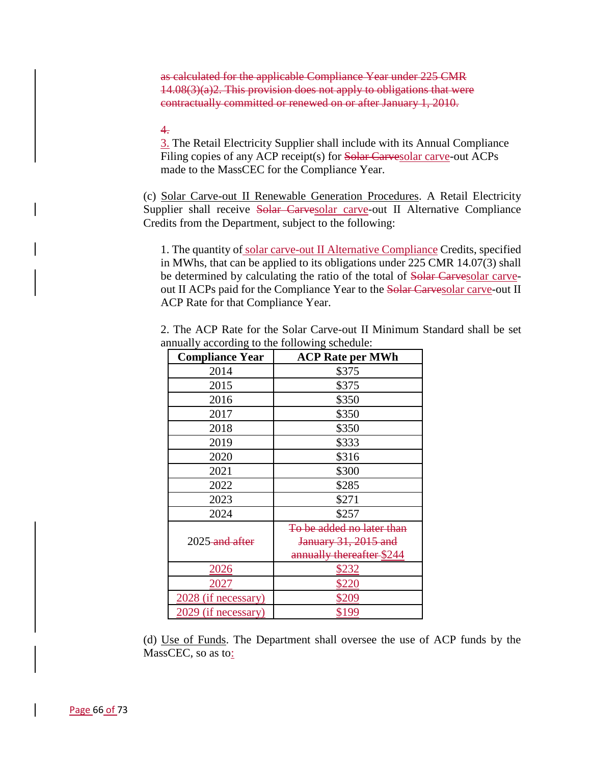as calculated for the applicable Compliance Year under 225 CMR  $14.08(3)(a)2$ . This provision does not apply to obligations that were contractually committed or renewed on or after January 1, 2010.

# 4.

3. The Retail Electricity Supplier shall include with its Annual Compliance Filing copies of any ACP receipt(s) for Solar Carvesolar carve-out ACPs made to the MassCEC for the Compliance Year.

(c) Solar Carve-out II Renewable Generation Procedures. A Retail Electricity Supplier shall receive Solar Carvesolar carve-out II Alternative Compliance Credits from the Department, subject to the following:

1. The quantity of solar carve-out II Alternative Compliance Credits, specified in MWhs, that can be applied to its obligations under 225 CMR 14.07(3) shall be determined by calculating the ratio of the total of Solar Carvesolar carveout II ACPs paid for the Compliance Year to the Solar Carvesolar carve-out II ACP Rate for that Compliance Year.

| <b>Compliance Year</b>     | <b>ACP Rate per MWh</b>   |
|----------------------------|---------------------------|
| 2014                       | \$375                     |
| 2015                       | \$375                     |
| 2016                       | \$350                     |
| 2017                       | \$350                     |
| 2018                       | \$350                     |
| 2019                       | \$333                     |
| 2020                       | \$316                     |
| 2021                       | \$300                     |
| 2022                       | \$285                     |
| 2023                       | \$271                     |
| 2024                       | \$257                     |
|                            | To be added no later than |
| 2025 <del> and after</del> | January 31, 2015 and      |
|                            | annually thereafter \$244 |
| 2026                       | <u>\$232</u>              |
| 2027                       | \$220                     |
| 2028 (if necessary)        | \$209                     |
| 2029 (if necessary)        | \$199                     |

2. The ACP Rate for the Solar Carve-out II Minimum Standard shall be set annually according to the following schedule:

(d) Use of Funds. The Department shall oversee the use of ACP funds by the MassCEC, so as to: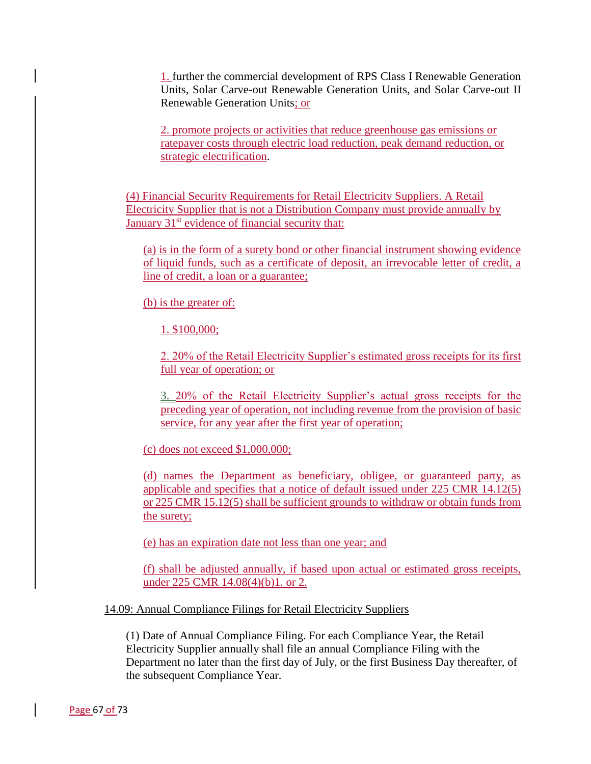1. further the commercial development of RPS Class I Renewable Generation Units, Solar Carve-out Renewable Generation Units, and Solar Carve-out II Renewable Generation Units; or

2. promote projects or activities that reduce greenhouse gas emissions or ratepayer costs through electric load reduction, peak demand reduction, or strategic electrification.

(4) Financial Security Requirements for Retail Electricity Suppliers. A Retail Electricity Supplier that is not a Distribution Company must provide annually by January  $31<sup>st</sup>$  evidence of financial security that:

(a) is in the form of a surety bond or other financial instrument showing evidence of liquid funds, such as a certificate of deposit, an irrevocable letter of credit, a line of credit, a loan or a guarantee;

(b) is the greater of:

1. \$100,000;

2. 20% of the Retail Electricity Supplier's estimated gross receipts for its first full year of operation; or

3. 20% of the Retail Electricity Supplier's actual gross receipts for the preceding year of operation, not including revenue from the provision of basic service, for any year after the first year of operation;

(c) does not exceed \$1,000,000;

(d) names the Department as beneficiary, obligee, or guaranteed party, as applicable and specifies that a notice of default issued under 225 CMR 14.12(5) or 225 CMR 15.12(5) shall be sufficient grounds to withdraw or obtain funds from the surety;

(e) has an expiration date not less than one year; and

(f) shall be adjusted annually, if based upon actual or estimated gross receipts, under 225 CMR 14.08(4)(b)1. or 2.

14.09: Annual Compliance Filings for Retail Electricity Suppliers

(1) Date of Annual Compliance Filing. For each Compliance Year, the Retail Electricity Supplier annually shall file an annual Compliance Filing with the Department no later than the first day of July, or the first Business Day thereafter, of the subsequent Compliance Year.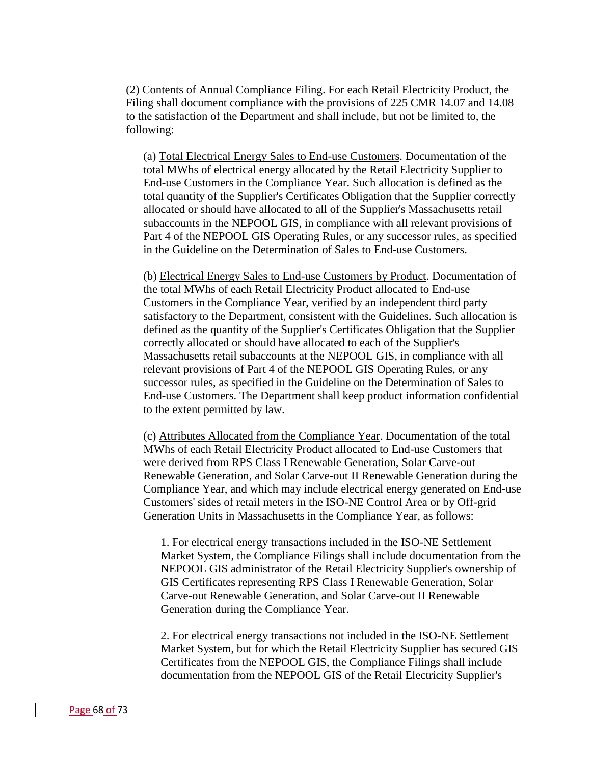(2) Contents of Annual Compliance Filing. For each Retail Electricity Product, the Filing shall document compliance with the provisions of 225 CMR 14.07 and 14.08 to the satisfaction of the Department and shall include, but not be limited to, the following:

(a) Total Electrical Energy Sales to End-use Customers. Documentation of the total MWhs of electrical energy allocated by the Retail Electricity Supplier to End-use Customers in the Compliance Year. Such allocation is defined as the total quantity of the Supplier's Certificates Obligation that the Supplier correctly allocated or should have allocated to all of the Supplier's Massachusetts retail subaccounts in the NEPOOL GIS, in compliance with all relevant provisions of Part 4 of the NEPOOL GIS Operating Rules, or any successor rules, as specified in the Guideline on the Determination of Sales to End-use Customers.

(b) Electrical Energy Sales to End-use Customers by Product. Documentation of the total MWhs of each Retail Electricity Product allocated to End-use Customers in the Compliance Year, verified by an independent third party satisfactory to the Department, consistent with the Guidelines. Such allocation is defined as the quantity of the Supplier's Certificates Obligation that the Supplier correctly allocated or should have allocated to each of the Supplier's Massachusetts retail subaccounts at the NEPOOL GIS, in compliance with all relevant provisions of Part 4 of the NEPOOL GIS Operating Rules, or any successor rules, as specified in the Guideline on the Determination of Sales to End-use Customers. The Department shall keep product information confidential to the extent permitted by law.

(c) Attributes Allocated from the Compliance Year. Documentation of the total MWhs of each Retail Electricity Product allocated to End-use Customers that were derived from RPS Class I Renewable Generation, Solar Carve-out Renewable Generation, and Solar Carve-out II Renewable Generation during the Compliance Year, and which may include electrical energy generated on End-use Customers' sides of retail meters in the ISO-NE Control Area or by Off-grid Generation Units in Massachusetts in the Compliance Year, as follows:

1. For electrical energy transactions included in the ISO-NE Settlement Market System, the Compliance Filings shall include documentation from the NEPOOL GIS administrator of the Retail Electricity Supplier's ownership of GIS Certificates representing RPS Class I Renewable Generation, Solar Carve-out Renewable Generation, and Solar Carve-out II Renewable Generation during the Compliance Year.

2. For electrical energy transactions not included in the ISO-NE Settlement Market System, but for which the Retail Electricity Supplier has secured GIS Certificates from the NEPOOL GIS, the Compliance Filings shall include documentation from the NEPOOL GIS of the Retail Electricity Supplier's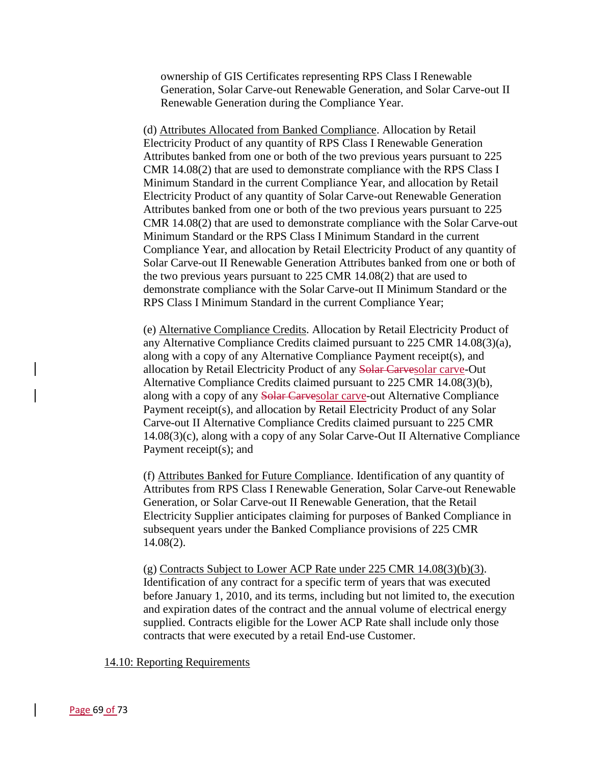ownership of GIS Certificates representing RPS Class I Renewable Generation, Solar Carve-out Renewable Generation, and Solar Carve-out II Renewable Generation during the Compliance Year.

(d) Attributes Allocated from Banked Compliance. Allocation by Retail Electricity Product of any quantity of RPS Class I Renewable Generation Attributes banked from one or both of the two previous years pursuant to 225 CMR 14.08(2) that are used to demonstrate compliance with the RPS Class I Minimum Standard in the current Compliance Year, and allocation by Retail Electricity Product of any quantity of Solar Carve-out Renewable Generation Attributes banked from one or both of the two previous years pursuant to 225 CMR 14.08(2) that are used to demonstrate compliance with the Solar Carve-out Minimum Standard or the RPS Class I Minimum Standard in the current Compliance Year, and allocation by Retail Electricity Product of any quantity of Solar Carve-out II Renewable Generation Attributes banked from one or both of the two previous years pursuant to 225 CMR 14.08(2) that are used to demonstrate compliance with the Solar Carve-out II Minimum Standard or the RPS Class I Minimum Standard in the current Compliance Year;

(e) Alternative Compliance Credits. Allocation by Retail Electricity Product of any Alternative Compliance Credits claimed pursuant to 225 CMR 14.08(3)(a), along with a copy of any Alternative Compliance Payment receipt(s), and allocation by Retail Electricity Product of any Solar Carvesolar carve-Out Alternative Compliance Credits claimed pursuant to 225 CMR 14.08(3)(b), along with a copy of any Solar Carvesolar carve-out Alternative Compliance Payment receipt(s), and allocation by Retail Electricity Product of any Solar Carve-out II Alternative Compliance Credits claimed pursuant to 225 CMR 14.08(3)(c), along with a copy of any Solar Carve-Out II Alternative Compliance Payment receipt(s); and

(f) Attributes Banked for Future Compliance. Identification of any quantity of Attributes from RPS Class I Renewable Generation, Solar Carve-out Renewable Generation, or Solar Carve-out II Renewable Generation, that the Retail Electricity Supplier anticipates claiming for purposes of Banked Compliance in subsequent years under the Banked Compliance provisions of 225 CMR 14.08(2).

(g) Contracts Subject to Lower ACP Rate under  $225$  CMR  $14.08(3)(b)(3)$ . Identification of any contract for a specific term of years that was executed before January 1, 2010, and its terms, including but not limited to, the execution and expiration dates of the contract and the annual volume of electrical energy supplied. Contracts eligible for the Lower ACP Rate shall include only those contracts that were executed by a retail End-use Customer.

14.10: Reporting Requirements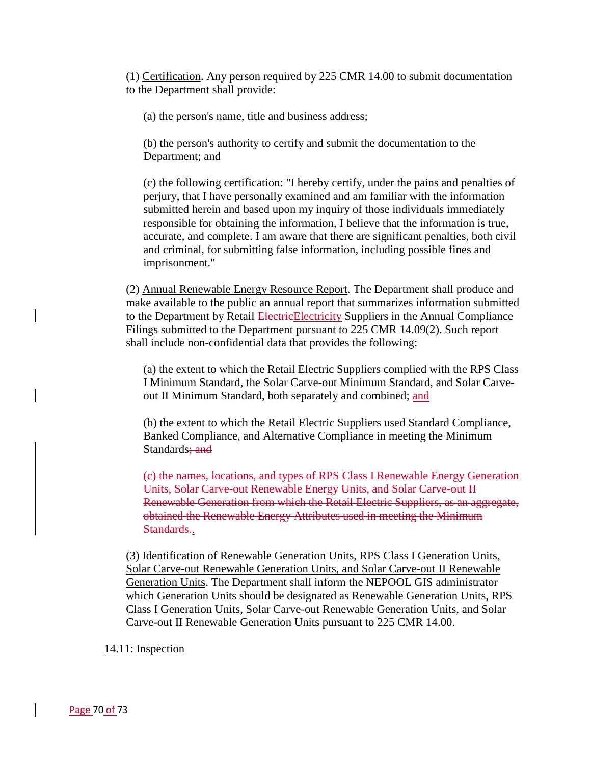(1) Certification. Any person required by 225 CMR 14.00 to submit documentation to the Department shall provide:

(a) the person's name, title and business address;

(b) the person's authority to certify and submit the documentation to the Department; and

(c) the following certification: "I hereby certify, under the pains and penalties of perjury, that I have personally examined and am familiar with the information submitted herein and based upon my inquiry of those individuals immediately responsible for obtaining the information, I believe that the information is true, accurate, and complete. I am aware that there are significant penalties, both civil and criminal, for submitting false information, including possible fines and imprisonment."

(2) Annual Renewable Energy Resource Report. The Department shall produce and make available to the public an annual report that summarizes information submitted to the Department by Retail Electricity Suppliers in the Annual Compliance Filings submitted to the Department pursuant to 225 CMR 14.09(2). Such report shall include non-confidential data that provides the following:

(a) the extent to which the Retail Electric Suppliers complied with the RPS Class I Minimum Standard, the Solar Carve-out Minimum Standard, and Solar Carveout II Minimum Standard, both separately and combined; and

(b) the extent to which the Retail Electric Suppliers used Standard Compliance, Banked Compliance, and Alternative Compliance in meeting the Minimum Standards: and

(c) the names, locations, and types of RPS Class I Renewable Energy Generation Units, Solar Carve-out Renewable Energy Units, and Solar Carve-out II Renewable Generation from which the Retail Electric Suppliers, as an aggregate, obtained the Renewable Energy Attributes used in meeting the Minimum Standards..

(3) Identification of Renewable Generation Units, RPS Class I Generation Units, Solar Carve-out Renewable Generation Units, and Solar Carve-out II Renewable Generation Units. The Department shall inform the NEPOOL GIS administrator which Generation Units should be designated as Renewable Generation Units, RPS Class I Generation Units, Solar Carve-out Renewable Generation Units, and Solar Carve-out II Renewable Generation Units pursuant to 225 CMR 14.00.

# 14.11: Inspection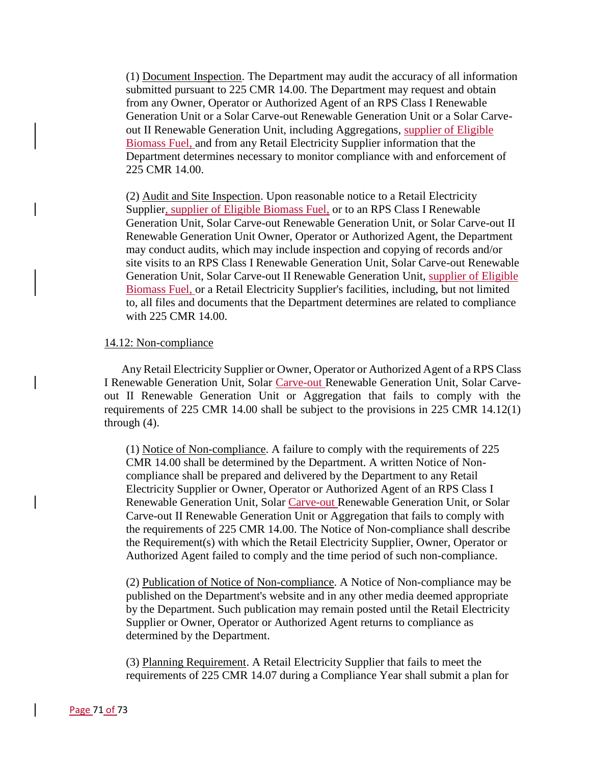(1) Document Inspection. The Department may audit the accuracy of all information submitted pursuant to 225 CMR 14.00. The Department may request and obtain from any Owner, Operator or Authorized Agent of an RPS Class I Renewable Generation Unit or a Solar Carve-out Renewable Generation Unit or a Solar Carveout II Renewable Generation Unit, including Aggregations, supplier of Eligible Biomass Fuel, and from any Retail Electricity Supplier information that the Department determines necessary to monitor compliance with and enforcement of 225 CMR 14.00.

(2) Audit and Site Inspection. Upon reasonable notice to a Retail Electricity Supplier, supplier of Eligible Biomass Fuel, or to an RPS Class I Renewable Generation Unit, Solar Carve-out Renewable Generation Unit, or Solar Carve-out II Renewable Generation Unit Owner, Operator or Authorized Agent, the Department may conduct audits, which may include inspection and copying of records and/or site visits to an RPS Class I Renewable Generation Unit, Solar Carve-out Renewable Generation Unit, Solar Carve-out II Renewable Generation Unit, supplier of Eligible Biomass Fuel, or a Retail Electricity Supplier's facilities, including, but not limited to, all files and documents that the Department determines are related to compliance with 225 CMR 14.00.

### 14.12: Non-compliance

Any Retail Electricity Supplier or Owner, Operator or Authorized Agent of a RPS Class I Renewable Generation Unit, Solar Carve-out Renewable Generation Unit, Solar Carveout II Renewable Generation Unit or Aggregation that fails to comply with the requirements of 225 CMR 14.00 shall be subject to the provisions in 225 CMR 14.12(1) through (4).

(1) Notice of Non-compliance. A failure to comply with the requirements of 225 CMR 14.00 shall be determined by the Department. A written Notice of Noncompliance shall be prepared and delivered by the Department to any Retail Electricity Supplier or Owner, Operator or Authorized Agent of an RPS Class I Renewable Generation Unit, Solar Carve-out Renewable Generation Unit, or Solar Carve-out II Renewable Generation Unit or Aggregation that fails to comply with the requirements of 225 CMR 14.00. The Notice of Non-compliance shall describe the Requirement(s) with which the Retail Electricity Supplier, Owner, Operator or Authorized Agent failed to comply and the time period of such non-compliance.

(2) Publication of Notice of Non-compliance. A Notice of Non-compliance may be published on the Department's website and in any other media deemed appropriate by the Department. Such publication may remain posted until the Retail Electricity Supplier or Owner, Operator or Authorized Agent returns to compliance as determined by the Department.

(3) Planning Requirement. A Retail Electricity Supplier that fails to meet the requirements of 225 CMR 14.07 during a Compliance Year shall submit a plan for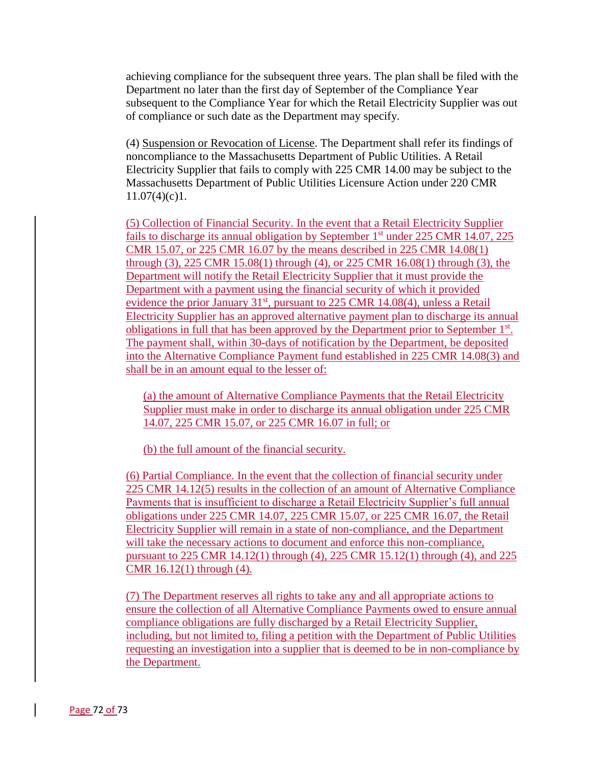achieving compliance for the subsequent three years. The plan shall be filed with the Department no later than the first day of September of the Compliance Year subsequent to the Compliance Year for which the Retail Electricity Supplier was out of compliance or such date as the Department may specify.

(4) Suspension or Revocation of License. The Department shall refer its findings of noncompliance to the Massachusetts Department of Public Utilities. A Retail Electricity Supplier that fails to comply with 225 CMR 14.00 may be subject to the Massachusetts Department of Public Utilities Licensure Action under 220 CMR  $11.07(4)(c)1.$ 

(5) Collection of Financial Security. In the event that a Retail Electricity Supplier fails to discharge its annual obligation by September 1<sup>st</sup> under 225 CMR 14.07, 225 CMR 15.07, or 225 CMR 16.07 by the means described in 225 CMR 14.08(1) through (3), 225 CMR 15.08(1) through (4), or 225 CMR 16.08(1) through (3), the Department will notify the Retail Electricity Supplier that it must provide the Department with a payment using the financial security of which it provided evidence the prior January  $31<sup>st</sup>$ , pursuant to 225 CMR 14.08(4), unless a Retail Electricity Supplier has an approved alternative payment plan to discharge its annual obligations in full that has been approved by the Department prior to September 1<sup>st</sup>. The payment shall, within 30-days of notification by the Department, be deposited into the Alternative Compliance Payment fund established in 225 CMR 14.08(3) and shall be in an amount equal to the lesser of:

(a) the amount of Alternative Compliance Payments that the Retail Electricity Supplier must make in order to discharge its annual obligation under 225 CMR 14.07, 225 CMR 15.07, or 225 CMR 16.07 in full; or

(b) the full amount of the financial security.

(6) Partial Compliance. In the event that the collection of financial security under 225 CMR 14.12(5) results in the collection of an amount of Alternative Compliance Payments that is insufficient to discharge a Retail Electricity Supplier's full annual obligations under 225 CMR 14.07, 225 CMR 15.07, or 225 CMR 16.07, the Retail Electricity Supplier will remain in a state of non-compliance, and the Department will take the necessary actions to document and enforce this non-compliance, pursuant to 225 CMR 14.12(1) through (4), 225 CMR 15.12(1) through (4), and 225 CMR 16.12(1) through (4).

(7) The Department reserves all rights to take any and all appropriate actions to ensure the collection of all Alternative Compliance Payments owed to ensure annual compliance obligations are fully discharged by a Retail Electricity Supplier, including, but not limited to, filing a petition with the Department of Public Utilities requesting an investigation into a supplier that is deemed to be in non-compliance by the Department.